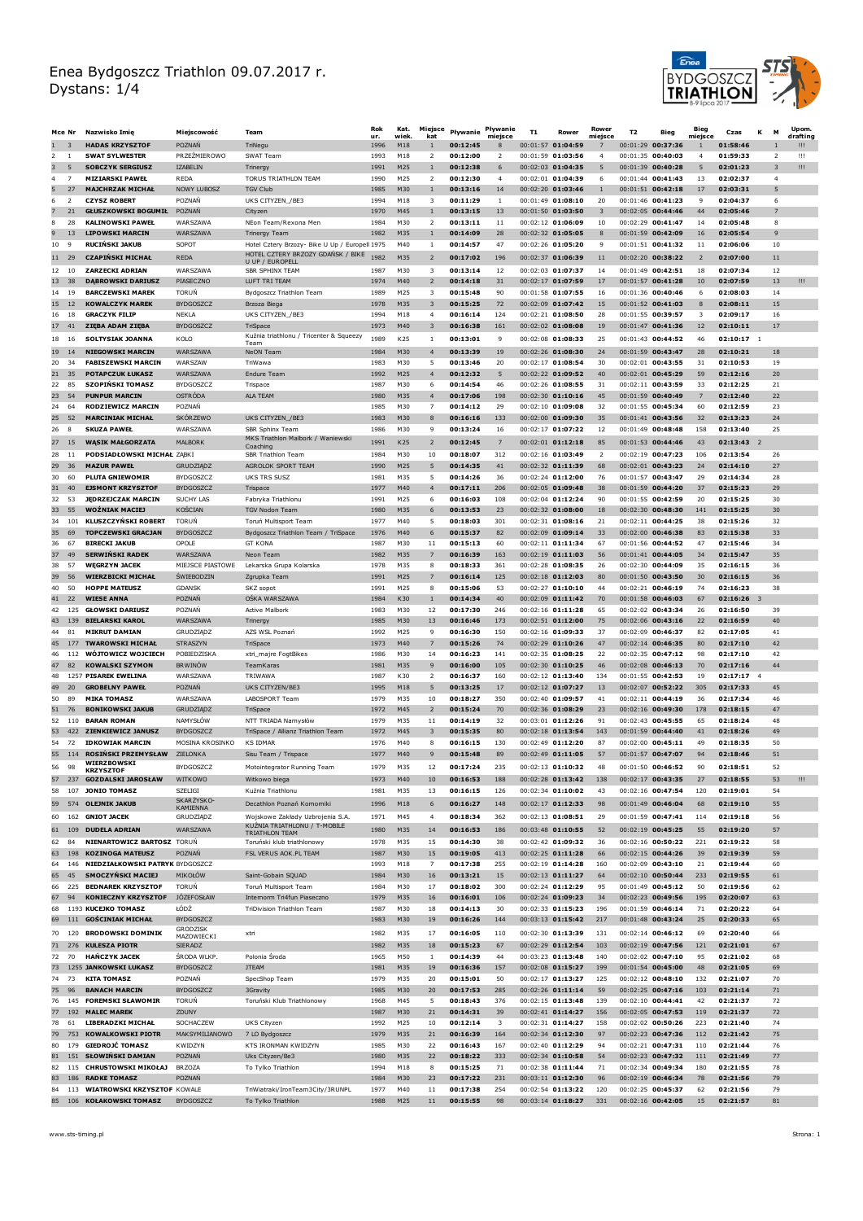

|          | Mce Nr               | Nazwisko Imię                                              | Miejscowość                          | Team                                                                                | Rok<br>ur.   | Kat.<br>wiek. | Miejsce<br>kat                 | Pływanie             | Pływanie<br>miejsce  | т1                  | Rower                                      | Rower<br>mieisce | T <sub>2</sub>                           | Bieg              | Bieg<br>miejsce | Czas                 | M<br>κ              | Up om.<br>drafting |
|----------|----------------------|------------------------------------------------------------|--------------------------------------|-------------------------------------------------------------------------------------|--------------|---------------|--------------------------------|----------------------|----------------------|---------------------|--------------------------------------------|------------------|------------------------------------------|-------------------|-----------------|----------------------|---------------------|--------------------|
|          | 3                    | <b>HADAS KRZYSZTOF</b>                                     | POZNAŃ                               | TriNegu                                                                             | 1996         | M18           | $\mathbf{1}$                   | 00:12:45             |                      |                     | 00:01:57 01:04:59                          | 7                | 00:01:29 00:37:36                        |                   | $\mathbf{1}$    | 01:58:46             | $\mathbf{1}$        | Ш                  |
|          | 1                    | <b>SWAT SYLWESTER</b>                                      | PRZEŻMIEROWO                         | SWAT Team                                                                           | 1993         | M18           | $\overline{2}$                 | 00:12:00             | 2                    |                     | 00:01:59 01:03:56                          | $\overline{4}$   | 00:01:35 00:40:03                        |                   | $\overline{4}$  | 01:59:33             | $\overline{2}$      | ш                  |
| з        | 5                    | <b>SOBCZYK SERGIUSZ</b>                                    | <b>IZABELIN</b>                      | Trinergy                                                                            | 1991         | M25           | $\mathbf{1}$                   | 00:12:38             | 6                    |                     | 00:02:03 01:04:35                          | 5                | $00:01:39$ 00:40:28                      |                   | 5               | 02:01:23             | 3                   | !!!                |
| 4        | $\overline{7}$<br>27 | <b>MIZIARSKI PAWEŁ</b><br><b>MAJCHRZAK MICHAŁ</b>          | <b>REDA</b><br><b>NOWY LUBOSZ</b>    | TORUS TRIATHLON TEAM<br><b>TGV Club</b>                                             | 1990<br>1985 | M25<br>M30    | $\overline{2}$<br>$\mathbf{1}$ | 00:12:30<br>00:13:16 | $\overline{4}$<br>14 | 00:02:01 01:04:39   | 00:02:20 01:03:46                          | 6<br>1           | 00:01:44 00:41:43<br>00:01:51 00:42:18   |                   | 13<br>17        | 02:02:37<br>02:03:31 | $\overline{4}$<br>5 |                    |
| 6        | $\overline{2}$       | <b>CZYSZ ROBERT</b>                                        | POZNAŃ                               | UKS CITYZEN_/BE3                                                                    | 1994         | M18           | 3                              | 00:11:29             | 1                    |                     | 00:01:49 01:08:10                          | 20               | 00:01:46 00:41:23                        |                   | 9               | 02:04:37             | 6                   |                    |
|          | 21                   | <b>GŁUSZKOWSKI BOGUMIŁ</b>                                 | POZNAŃ                               | Cityzen                                                                             | 1970         | M45           | $\mathbf{1}$                   | 00:13:15             | 13                   |                     | 00:01:50 01:03:50                          | $\overline{3}$   | 00:02:05 00:44:46                        |                   | 44              | 02:05:46             | $\overline{7}$      |                    |
| 8        | 28                   | <b>KALINOWSKI PAWEŁ</b>                                    | WARSZAWA                             | NEon Team/Rexona Men                                                                | 1984         | M30           | $\overline{2}$                 | 00:13:11             | 11                   |                     | $00:02:12$ 01:06:09                        | 10               | $00:02:29$ 00:41:47                      |                   | 14              | 02:05:48             | 8                   |                    |
|          | 13                   | <b>LIPOWSKI MARCIN</b>                                     | WARSZAWA                             | <b>Trinergy Team</b>                                                                | 1982         | M35           | $\mathbf{1}$                   | 00:14:09             | 28                   |                     | 00:02:32 01:05:05                          | 8                | 00:01:59 00:42:09                        |                   | 16              | 02:05:54             | 9                   |                    |
| 10       | 9                    | <b>RUCIŃSKI JAKUB</b>                                      | SOPOT                                | Hotel Cztery Brzozy- Bike U Up / Europell 1975<br>HOTEL CZTERY BRZOZY GDAŃSK / BIKE |              | M40           | $\overline{1}$                 | 00:14:57             | 47                   |                     | 00:02:26 01:05:20                          | 9                | 00:01:51 00:41:32                        |                   | 11              | 02:06:06             | 10                  |                    |
|          | 11 29                | <b>CZAPIŃSKI MICHAŁ</b>                                    | <b>REDA</b>                          | U UP / EUROPELL                                                                     | 1982         | M35           | $\overline{2}$                 | 00:17:02             | 196                  |                     | 00:02:37 01:06:39                          | 11               | 00:02:20 00:38:22                        |                   | $\overline{2}$  | 02:07:00             | 11                  |                    |
| 12       | 10                   | ZARZECKI ADRIAN<br><b>DABROWSKI DARIUSZ</b>                | WARSZAWA                             | SBR SPHINX TEAM<br><b>IUFT TRI TFAM</b>                                             | 1987         | M30           | 3<br>$\overline{2}$            | 00:13:14             | 12                   |                     | 00:02:03 01:07:37<br>00:02:17 01:07:59     | 14               | 00:01:49 00:42:51                        |                   | 18              | 02:07:34             | 12                  |                    |
| 13<br>14 | - 38<br>-19          | <b>BARCZEWSKI MAREK</b>                                    | PIASECZNO<br>TORUŃ                   | Bydgoszcz Triathlon Team                                                            | 1974<br>1989 | M40<br>M25    | 3                              | 00:14:18<br>00:15:48 | 31<br>90             |                     | 00:01:58 01:07:55                          | 17<br>16         | 00:01:57 00:41:28<br>00:01:36 00:40:46   |                   | 10<br>6         | 02:07:59<br>02:08:03 | 13<br>14            | Ш                  |
| 15       | 12                   | <b>KOWALCZYK MAREK</b>                                     | <b>BYDGOSZCZ</b>                     | Brzoza Biega                                                                        | 1978         | M35           | 3                              | 00:15:25             | 72                   |                     | 00:02:09 01:07:42                          | 15               | 00:01:52 00:41:03                        |                   | 8               | 02:08:11             | 15                  |                    |
| 16       | -18                  | <b>GRACZYK FILIP</b>                                       | NEKLA                                | UKS CITYZEN / BE3                                                                   | 1994         | M18           | $\overline{4}$                 | 00:16:14             | 124                  |                     | $00:02:21$ 01:08:50                        | 28               | 00:01:55 00:39:57                        |                   | 3               | 02:09:17             | 16                  |                    |
| 17       | -41                  | ZIEBA ADAM ZIEBA                                           | <b>BYDGOSZCZ</b>                     | TriSpace                                                                            | 1973         | M40           | 3                              | 00:16:38             | 161                  |                     | 00:02:02 01:08:08                          | 19               | 00:01:47 00:41:36                        |                   | 12              | 02:10:11             | 17                  |                    |
| 18       | 16                   | <b>SOLTYSIAK JOANNA</b>                                    | KOLO                                 | Kuźnia triathlonu / Tricenter & Squeezy<br>Team                                     | 1989         | K25           | $\mathbf{1}$                   | 00:13:01             | 9                    |                     | 00:02:08 01:08:33                          | 25               | 00:01:43 00:44:52                        |                   | 46              | 02:10:17             | $\overline{1}$      |                    |
| 19       | 14                   | <b>NIEGOWSKI MARCIN</b>                                    | WARSZAWA                             | NeON Team                                                                           | 1984         | M30           | $\overline{4}$                 | 00:13:39             | 19                   |                     | 00:02:26 01:08:30                          | 24               | 00:01:59 00:43:47                        |                   | 28              | 02:10:21             | 18                  |                    |
| 20       | -34                  | <b>FABISZEWSKI MARCIN</b>                                  | WARSZAW                              | TriWawa                                                                             | 1983         | M30           | 5                              | 00:13:46             | 20                   | 00:02:17 01:08:54   |                                            | 30               | 00:02:01 00:43:55                        |                   | 31              | 02:10:53             | 19                  |                    |
| 21       | 35                   | POTAPCZUK ŁUKASZ                                           | WARSZAWA                             | Endure Team                                                                         | 1992         | M25           | $\overline{4}$<br>6            | 00:12:32             | 5<br>46              |                     | 00:02:22 01:09:52                          | 40<br>31         | 00:02:01 00:45:29                        |                   | 59<br>33        | 02:12:16<br>02:12:25 | 20<br>21            |                    |
| 22<br>23 | 85<br>54             | <b>SZOPIŃSKI TOMASZ</b><br><b>PUNPUR MARCIN</b>            | <b>BYDGOSZCZ</b><br><b>OSTRÓDA</b>   | Trispace<br>ALA TEAM                                                                | 1987<br>1980 | M30<br>M35    | $\overline{4}$                 | 00:14:54<br>00:17:06 | 198                  |                     | 00:02:26 01:08:55<br>00:02:30 01:10:16     | 45               | 00:02:11 00:43:59<br>00:01:59 00:40:49   |                   | $\overline{7}$  | 02:12:40             | 22                  |                    |
| 24       | 64                   | <b>RODZIEWICZ MARCIN</b>                                   | POZNAŃ                               |                                                                                     | 1985         | M30           | $\overline{7}$                 | 00:14:12             | 29                   |                     | 00:02:10 01:09:08                          | 32               | 00:01:55 00:45:34                        |                   | 60              | 02:12:59             | 23                  |                    |
| 25       | 52                   | <b>MARCINIAK MICHAŁ</b>                                    | <b>SKÓRZEWO</b>                      | UKS CITYZEN_/BE3                                                                    | 1983         | M30           | 8                              | 00:16:16             | 133                  |                     | 00:02:00 01:09:30                          | 35               | 00:01:41 00:43:56                        |                   | 32              | 02:13:23             | 24                  |                    |
| 26       | 8                    | <b>SKUZA PAWEŁ</b>                                         | WARSZAWA                             | SBR Sphinx Team                                                                     | 1986         | M30           | $\mathbf{q}$                   | 00:13:24             | 16                   |                     | 00:02:17 01:07:22                          | 12               | 00:01:49 00:48:48                        |                   | 158             | 02:13:40             | 25                  |                    |
| 27       | 15                   | <b>WASIK MAŁGORZATA</b>                                    | <b>MALBORK</b>                       | MKS Triathlon Malbork / Waniewski<br>Coaching                                       | 1991         | K25           | $\overline{2}$                 | 00:12:45             | $\overline{7}$       |                     | 00:02:01 01:12:18                          | 85               | 00:01:53 00:44:46                        |                   | 43              | 02:13:43 2           |                     |                    |
| 28       | -11                  | PODSIADŁOWSKI MICHAŁ ZABKI                                 |                                      | SBR Triathlon Team                                                                  | 1984         | M30           | 10                             | 00:18:07             | 312                  |                     | $00:02:16$ 01:03:49                        | $\overline{2}$   | $00:02:19$ 00:47:23                      |                   | 106             | 02:13:54             | 26                  |                    |
| 29       | 36                   | <b>MAZUR PAWEŁ</b>                                         | GRUDZIĄDZ                            | AGROLOK SPORT TEAM                                                                  | 1990         | M25           | 5                              | 00:14:35             | 41                   |                     | 00:02:32 01:11:39                          | 68               | 00:02:01 00:43:23                        |                   | 24              | 02:14:10             | 27                  |                    |
| 30<br>31 | 60<br>40             | PLUTA GNIEWOMIR<br><b>EJSMONT KRZYSZTOF</b>                | <b>BYDGOSZCZ</b><br><b>BYDGOSZCZ</b> | UKS TRS SUSZ                                                                        | 1981<br>1977 | M35<br>M40    | 5<br>$\overline{4}$            | 00:14:26<br>00:17:11 | 36<br>206            |                     | 00:02:24 01:12:00<br>00:02:05 01:09:48     | 76<br>38         | 00:01:57 00:43:47<br>$00:01:59$ 00:44:20 |                   | 29<br>37        | 02:14:34<br>02:15:23 | 28<br>29            |                    |
| 32       | -53                  | <b>JEDRZEJCZAK MARCIN</b>                                  | SUCHY LAS                            | Trispace<br>Fabryka Triathlonu                                                      | 1991         | M25           | 6                              | 00:16:03             | 108                  | 00:02:04 01:12:24   |                                            | 90               | 00:01:55 00:42:59                        |                   | 20              | 02:15:25             | 30                  |                    |
| 33       | 55                   | <b>WOŻNIAK MACIEJ</b>                                      | <b>KOSCIAN</b>                       | <b>TGV Nodon Team</b>                                                               | 1980         | M35           | 6                              | 00:13:53             | 23                   |                     | 00:02:32 01:08:00                          | 18               | 00:02:30 00:48:30                        |                   | 141             | 02:15:25             | 30                  |                    |
| 34       | 101                  | <b>KLUSZCZYŃSKI ROBERT</b>                                 | <b>TORUN</b>                         | Toruń Multisport Team                                                               | 1977         | M40           | 5                              | 00:18:03             | 301                  | 00:02:31 01:08:16   |                                            | 21               | 00:02:11 00:44:25                        |                   | 38              | 02:15:26             | 32                  |                    |
| 35       | 69                   | <b>TOPCZEWSKI GRACJAN</b>                                  | <b>BYDGOSZCZ</b>                     | Bydgoszcz Triathlon Team / TriSpace                                                 | 1976         | M40           | 6                              | 00:15:37             | 82                   |                     | 00:02:09 01:09:14                          | 33               | 00:02:00 00:46:38                        |                   | 83              | 02:15:38             | 33                  |                    |
| 36       | 67                   | <b>BIRECKI JAKUB</b>                                       | OPOLE                                | <b>GT KONA</b>                                                                      | 1987         | M30           | 11                             | 00:15:13             | 60                   |                     | 00:02:11 01:11:34                          | 67               |                                          | 00:01:56 00:44:52 | 47              | 02:15:46             | 34                  |                    |
| 37       | 49<br>57             | <b>SERWINSKI RADEK</b><br><b>WEGRZYN JACEK</b>             | WARSZAWA<br>MIEJSCE PIASTOWE         | Neon Team                                                                           | 1982<br>1978 | M35<br>M35    | $\overline{7}$<br>8            | 00:16:39<br>00:18:33 | 163<br>361           |                     | 00:02:19 01:11:03<br>00:02:28 01:08:35     | 56<br>26         | 00:01:41 00:44:05<br>00:02:30 00:44:09   |                   | 34<br>35        | 02:15:47<br>02:16:15 | 35<br>36            |                    |
| 38<br>39 | 56                   | <b>WIERZBICKI MICHAŁ</b>                                   | <b>SWIEBODZIN</b>                    | Lekarska Grupa Kolarska<br>Zgrupka Team                                             | 1991         | M25           | 7                              | 00:16:14             | 125                  |                     | 00:02:18 01:12:03                          | 80               | 00:01:50 00:43:50                        |                   | 30              | 02:16:15             | 36                  |                    |
| 40       | 50                   | <b>HOPPE MATEUSZ</b>                                       | <b>GDANSK</b>                        | SKZ sopot                                                                           | 1991         | M25           | 8                              | 00:15:06             | 53                   |                     | 00:02:27 01:10:10                          | 44               | 00:02:21 00:46:19                        |                   | 74              | 02:16:23             | 38                  |                    |
| 41       | 22                   | <b>WIESE ANNA</b>                                          | POZNAŃ                               | OŚKA WARSZAWA                                                                       | 1984         | K30           | $\mathbf{1}$                   | 00:14:34             | 40                   |                     | 00:02:09 01:11:42                          | 70               | 00:01:58 00:46:03                        |                   | 67              | 02:16:26             |                     |                    |
| 42       | 125                  | <b>GŁOWSKI DARIUSZ</b>                                     | POZNAŃ                               | <b>Active Malbork</b>                                                               | 1983         | M30           | 12                             | 00:17:30             | 246                  |                     | 00:02:16 01:11:28                          | 65               | 00:02:02 00:43:34                        |                   | 26              | 02:16:50             | 39                  |                    |
| 43       | 139                  | <b>BIELARSKI KAROL</b>                                     | WARSZAWA                             | Trinergy                                                                            | 1985         | M30           | 13                             | 00:16:46             | 173                  |                     | 00:02:51 01:12:00                          | 75               |                                          | 00:02:06 00:43:16 | 22              | 02:16:59             | 40                  |                    |
| 44       | 81<br>177            | <b>MIKRUT DAMIAN</b>                                       | GRUDZIĄDZ                            | AZS WSL Poznań                                                                      | 1992         | M25<br>M40    | 9<br>$\overline{7}$            | 00:16:30             | 150                  |                     | 00:02:16 01:09:33                          | 37<br>47         | 00:02:09 00:46:37                        |                   | 82              | 02:17:05             | 41                  |                    |
| 45<br>46 | 112                  | <b>TWAROWSKI MICHAŁ</b><br><b>WOJTOWICZ WOJCIECH</b>       | <b>STRASZYN</b><br>POBIEDZISKA       | TriSpace<br>xtri_majre FogtBikes                                                    | 1973<br>1986 | M30           | 14                             | 00:15:26<br>00:16:23 | 74<br>141            |                     | 00:02:29 01:10:26<br>00:02:35 01:08:25     | 22               | 00:02:35 00:47:12                        | 00:02:14 00:46:35 | 80<br>98        | 02:17:10<br>02:17:10 | 42<br>42            |                    |
| 47       | 82                   | <b>KOWALSKI SZYMON</b>                                     | <b>BRWINOW</b>                       | TeamKaras                                                                           | 1981         | M35           | 9                              | 00:16:00             | 105                  |                     | 00:02:30 01:10:25                          | 46               | 00:02:08 00:46:13                        |                   | 70              | 02:17:16             | 44                  |                    |
| 48       |                      | 1257 PISAREK EWELINA                                       | WARSZAWA                             | TRIWAWA                                                                             | 1987         | K30           | $\overline{2}$                 | 00:16:37             | 160                  |                     | 00:02:12 01:13:40                          | 134              | 00:01:55 00:42:53                        |                   | 19              | 02:17:17             | $\overline{4}$      |                    |
| 49       | 20                   | <b>GROBELNY PAWEŁ</b>                                      | POZNAŃ                               | UKS CITYZEN/BE3                                                                     | 1995         | M18           | 5                              | 00:13:25             | 17                   |                     | $00:02:12$ 01:07:27                        | 13               |                                          | 00:02:07 00:52:22 | 305             | 02:17:33             | 45                  |                    |
| 50       | 89                   | <b>MIKA TOMASZ</b>                                         | WARSZAWA                             | LABOSPORT Team                                                                      | 1979         | M35           | 10                             | 00:18:27             | 35C                  | $00:02:40$ 01:09:57 |                                            | 41               | $00:02:11$ 00:44:19                      |                   | 36              | 02:17:34             | 46                  |                    |
| 51<br>52 | 76<br>110            | <b>BONIKOWSKI JAKUB</b><br><b>BARAN ROMAN</b>              | GRUDZIADZ<br>NAMYSŁÓW                | TriSpace<br>NTT TRIADA Namysłów                                                     | 1972<br>1979 | M45<br>M35    | 2<br>11                        | 00:15:24<br>00:14:19 | 70<br>32             |                     | $00:02:36$ 01:08:29<br>$00:03:01$ 01:12:26 | 23<br>91         | 00:02:16 00:49:30<br>00:02:43 00:45:55   |                   | 178<br>65       | 02:18:15<br>02:18:24 | 47<br>48            |                    |
| 53       | 422                  | <b>ZIENKIEWICZ JANUSZ</b>                                  | <b>BYDGOSZCZ</b>                     | TriSpace / Allianz Triathlon Team                                                   | 1972         | M45           | 3                              | 00:15:35             | 80                   |                     | 00:02:18 01:13:54                          | 143              | 00:01:59 00:44:40                        |                   | 41              | 02:18:26             | 49                  |                    |
| 54       | 72                   | <b>IDKOWIAK MARCIN</b>                                     | MOSINA KROSINKO                      | <b>KS IDMAR</b>                                                                     | 1976         | M40           | 8                              | 00:16:15             | 130                  | 00:02:49 01:12:20   |                                            | 87               | 00:02:00 00:45:11                        |                   | 49              | 02:18:35             | 50                  |                    |
| 55       | 114                  | <b>ROSIŃSKI PRZEMYSŁAW</b>                                 | ZIELONKA                             | Sisu Team / Trispace                                                                | 1977         | M40           | 9                              | 00:15:48             | 89                   |                     | 00:02:49 01:11:05                          | 57               | 00:01:57 00:47:07                        |                   | 94              | 02:18:46             | 51                  |                    |
| 56       | 98                   | WIERZBOWSKI<br><b>KRZYSZTOF</b>                            | <b>BYDGOSZCZ</b>                     | Motointegrator Running Team                                                         | 1979         | M35           | 12                             | 00:17:24             | 235                  |                     | 00:02:13 01:10:32                          | 48               | $00:01:50$ 00:46:52                      |                   | 90              | 02:18:51             | 52                  |                    |
| 57       | 237                  | <b>GOZDALSKI JAROSŁAW</b>                                  | <b>WITKOWO</b>                       | Witkowo biega                                                                       | 1973         | M40           | 10                             | 00:16:53             | 188                  |                     | 00:02:28 01:13:42                          | 138              | 00:02:17 00:43:35                        |                   | 27              | 02:18:55             | 53                  | Ш                  |
| 58       | 107                  | <b>JONIO TOMASZ</b>                                        | <b>SZELIGI</b>                       | Kuźnia Triathlonu                                                                   | 1981         | M35           | 13                             | 00:16:15             | 126                  | 00:02:34 01:10:02   |                                            | 43               | 00:02:16 00:47:54                        |                   | 120             | 02:19:01             | 54                  |                    |
| 59       | 574                  | <b>OLEJNIK JAKUB</b>                                       | SKARŻYSKO-<br>KAMIENNA               | Decathlon Poznań Komorniki                                                          | 1996         | M18           | 6                              | 00:16:27             | 148                  |                     | 00:02:17 01:12:33                          | 98               |                                          | 00:01:49 00:46:04 | 68              | 02:19:10             | 55                  |                    |
| 60       | 162                  | <b>GNIOT JACEK</b>                                         | GRUDZIĄDZ                            | Wojskowe Zakłady Uzbrojenia S.A.                                                    | 1971         | M45           | $\overline{4}$                 | 00:18:34             | 362                  |                     | 00:02:13 01:08:51                          | 29               | 00:01:59 00:47:41                        |                   | 114             | 02:19:18             | 56                  |                    |
| 61       | 109                  | <b>DUDELA ADRIAN</b>                                       | WARSZAWA                             | KUŻNIA TRIATHLONU / T-MOBILE<br>TRIATHLON TEAM                                      | 1980         | M35           | 14                             | 00:16:53             | 186                  |                     | 00:03:48 01:10:55                          | 52               | 00:02:19 00:45:25                        |                   | 55              | 02:19:20             | 57                  |                    |
| 62       | 84                   | <b>NIENARTOWICZ BARTOSZ TORUŃ</b>                          |                                      | Toruński klub triathlonowy                                                          | 1978         | M35           | 15                             | 00:14:30             | 38                   |                     | 00:02:42 01:09:32                          | 36               |                                          | 00:02:16 00:50:22 | 221             | 02:19:22             | 58                  |                    |
| 63<br>64 | 198<br>146           | <b>KOZINOGA MATEUSZ</b><br>NIEDZIAŁKOWSKI PATRYK BYDGOSZCZ | POZNAŃ                               | FSL VERUS AOK.PL TEAM                                                               | 1987<br>1993 | M30<br>M18    | 15<br>$\overline{7}$           | 00:19:05<br>00:17:38 | 413<br>255           |                     | 00:02:25 01:11:28<br>00:02:19 01:14:28     | 66<br>160        | 00:02:15 00:44:26<br>00:02:09 00:43:10   |                   | 39<br>21        | 02:19:39<br>02:19:44 | 59<br>60            |                    |
| 65       | 45                   | SMOCZYŃSKI MACIEJ                                          | MIKOŁÓW                              | Saint-Gobain SQUAD                                                                  | 1984         | M30           | 16                             | 00:13:21             | 15                   |                     | 00:02:13 01:11:27                          | 64               |                                          | 00:02:10 00:50:44 | 233             | 02:19:55             | 61                  |                    |
| 66       | 225                  | <b>BEDNAREK KRZYSZTOF</b>                                  | <b>TORUN</b>                         | Toruń Multisport Team                                                               | 1984         | M30           | 17                             | 00:18:02             | 300                  |                     | 00:02:24 01:12:29                          | 95               | 00:01:49 00:45:12                        |                   | 50              | 02:19:56             | 62                  |                    |
| 67       | 94                   | <b>KONIECZNY KRZYSZTOF</b>                                 | <b>JÓZEFOSŁAW</b>                    | Internorm Tri4fun Piaseczno                                                         | 1979         | M35           | 16                             | 00:16:01             | 106                  |                     | 00:02:24 01:09:23                          | 34               |                                          | 00:02:23 00:49:56 | 195             | 02:20:07             | 63                  |                    |
| 68       |                      | 1193 KUCEJKO TOMASZ                                        | ŁÓDŹ                                 | TriDivision Triathlon Team                                                          | 1987         | M30           | 18                             | 00:14:13             | 30                   |                     | 00:02:33 01:15:23                          | 196              | 00:01:59 00:46:14                        |                   | 71              | 02:20:22             | 64                  |                    |
| 69       | 111                  | <b>GOŚCINIAK MICHAŁ</b>                                    | <b>BYDGOSZCZ</b>                     |                                                                                     | 1983         | M30           | 19                             | 00:16:26             | 144                  |                     | 00:03:13 01:15:42                          | 217              | 00:01:48 00:43:24                        |                   | 25              | 02:20:33             | 65                  |                    |
| 70       | 120                  | <b>BRODOWSKI DOMINIK</b>                                   | <b>GRODZISK</b><br>MAZOWIECKI        | xtri                                                                                | 1982         | M35           | 17                             | 00:16:05             | 110                  |                     | 00:02:30 01:13:39                          | 131              |                                          | 00:02:14 00:46:12 | 69              | 02:20:40             | 66                  |                    |
| 71       | 276                  | <b>KULESZA PIOTR</b>                                       | SIERADZ                              |                                                                                     | 1982         | M35           | 18                             | 00:15:23             | 67                   |                     | 00:02:29 01:12:54                          | 103              |                                          | 00:02:19 00:47:56 | 121             | 02:21:01             | 67                  |                    |
| 72<br>73 | 70                   | <b>HAŃCZYK JACEK</b><br>1255 JANKOWSKI LUKASZ              | SRODA WLKP.<br><b>BYDGOSZCZ</b>      | Polonia Środa<br><b>JTEAM</b>                                                       | 1965<br>1981 | M50<br>M35    | 1<br>19                        | 00:14:39<br>00:16:36 | 44<br>157            |                     | 00:03:23 01:13:48<br>00:02:08 01:15:27     | 140<br>199       | 00:02:02 00:47:10                        | 00:01:54 00:45:00 | 95<br>48        | 02:21:02<br>02:21:05 | 68<br>69            |                    |
| 74       | 73                   | <b>KITA TOMASZ</b>                                         | POZNAŃ                               | SpecShop Team                                                                       | 1979         | M35           | 20                             | 00:15:01             | 50                   |                     | 00:02:17 01:13:27                          | 125              | 00:02:12 00:48:10                        |                   | 132             | 02:21:07             | 70                  |                    |
| 75       | 96                   | <b>BANACH MARCIN</b>                                       | <b>BYDGOSZCZ</b>                     | 3Gravity                                                                            | 1985         | M30           | 20                             | 00:17:53             | 285                  |                     | 00:02:26 01:11:14                          | 59               |                                          | 00:02:25 00:47:16 | 103             | 02:21:14             | 71                  |                    |
| 76       | 145                  | <b>FOREMSKI SŁAWOMIR</b>                                   | <b>TORUN</b>                         | Toruński Klub Triathlonowy                                                          | 1968         | M45           | 5                              | 00:18:43             | 376                  |                     | 00:02:15 01:13:48                          | 139              | 00:02:10 00:44:41                        |                   | 42              | 02:21:37             | 72                  |                    |
| 77       | 192                  | <b>MALEC MAREK</b>                                         | ZDUNY                                |                                                                                     | 1987         | M30           | 21                             | 00:14:31             | 39                   |                     | 00:02:41 01:14:27                          | 156              |                                          | 00:02:05 00:47:53 | 119             | 02:21:37             | 72                  |                    |
| 78       | 61<br>753            | <b>LIBERADZKI MICHAŁ</b>                                   | SOCHACZEW<br>MAKSYMILIANOWO          | UKS Cityzen                                                                         | 1992<br>1979 | M25           | 10                             | 00:12:14             | 3<br>164             |                     | 00:02:31 01:14:27                          | 158<br>97        | 00:02:02 00:50:26                        |                   | 223<br>112      | 02:21:40             | 74                  |                    |
| 79<br>80 | 179                  | <b>KOWALKOWSKI PIOTR</b><br><b>GIEDROJĆ TOMASZ</b>         | KWIDZYN                              | 7 LO Bydgoszcz<br>KTS IRONMAN KWIDZYN                                               | 1985         | M35<br>M30    | 21<br>22                       | 00:16:39<br>00:16:43 | 167                  |                     | 00:02:34 01:12:30<br>00:02:40 01:12:29     | 94               | 00:02:21 00:47:31                        | 00:02:23 00:47:36 | 110             | 02:21:42<br>02:21:44 | 75<br>76            |                    |
| 81       | 151                  | <b>SŁOWIŃSKI DAMIAN</b>                                    | POZNAŃ                               | Uks Cityzen/Be3                                                                     | 1980         | M35           | 22                             | 00:18:22             | 333                  |                     | 00:02:34 01:10:58                          | 54               |                                          | 00:02:23 00:47:32 | 111             | 02:21:49             | 77                  |                    |
| 82       | 115                  | <b>CHRUSTOWSKI MIKOŁAJ</b>                                 | <b>BRZOZA</b>                        | To Tylko Triathlon                                                                  | 1994         | M18           | 8                              | 00:15:25             | 71                   |                     | 00:02:38 01:11:44                          | 71               | 00:02:34 00:49:34                        |                   | 180             | 02:21:55             | 78                  |                    |
| 83       | 186                  | <b>RADKE TOMASZ</b>                                        | POZNAŃ                               |                                                                                     | 1984         | M30           | 23                             | 00:17:22             | 231                  |                     | 00:03:11 01:12:30                          | 96               | 00:02:19 00:46:34                        |                   | 78              | 02:21:56             | 79                  |                    |
| 84       | 113                  | WIATROWSKI KRZYSZTOF KOWALE                                |                                      | TriWiatraki/IronTeam3City/3RUNPL                                                    | 1977         | M40           | 11                             | 00:17:38             | 254                  |                     | 00:02:54 01:13:22                          | 120              | 00:02:25 00:45:37                        |                   | 62              | 02:21:56             | 79                  |                    |
|          |                      | 85 106 KOŁAKOWSKI TOMASZ                                   | <b>BYDGOSZCZ</b>                     | To Tylko Triathlon                                                                  | 1988         | M25           | 11                             | 00:15:55             | 98                   |                     | 00:03:14 01:18:27                          | 331              | 00:02:16 00:42:05                        |                   | 15              | 02:21:57             | 81                  |                    |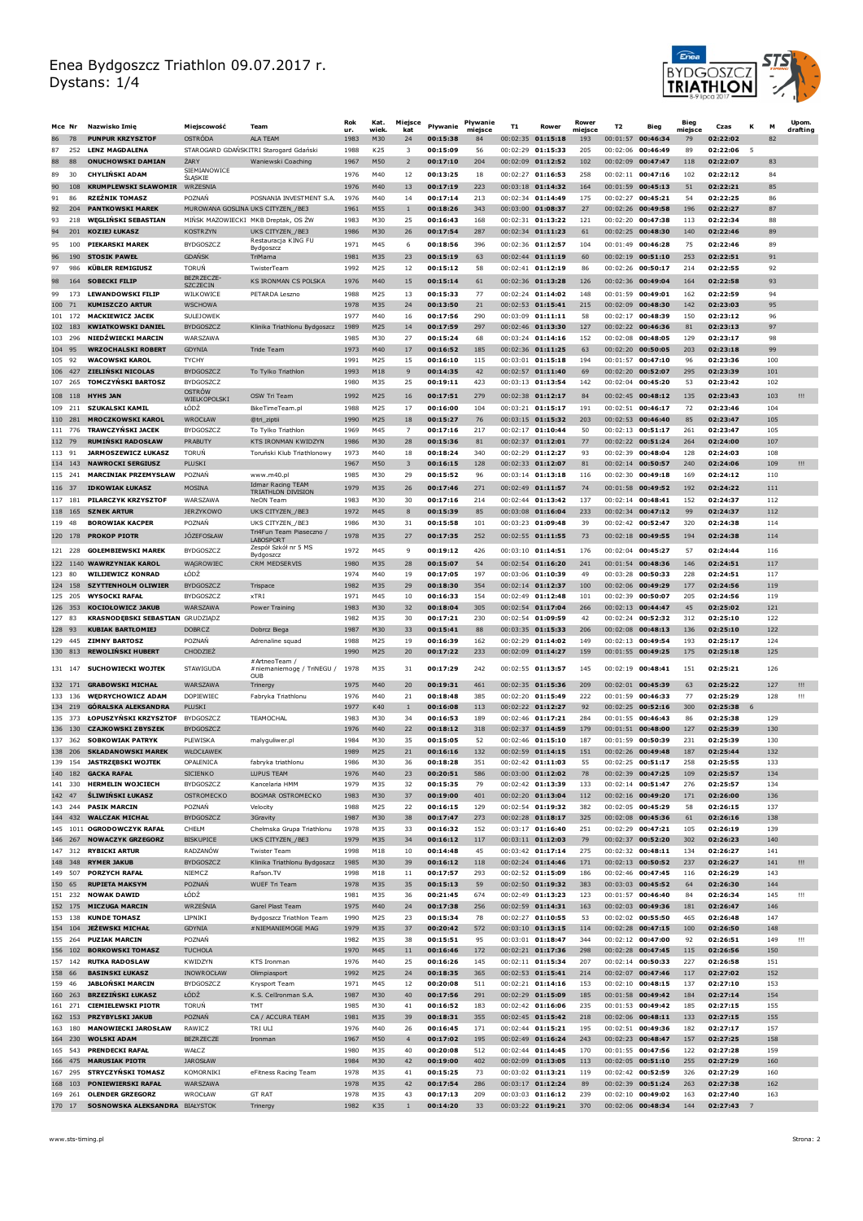

|          | Mce Nr             | Nazwisko Imię                                          | Miejscowość                         | Team                                                         | Rok<br>ur.   | Kat.<br>wiek | Miejsce<br>kat                            | Pływanie             | Pływanie<br>miejsce | T1       | Rower                                    | Rower<br>miejsce | T <sub>2</sub>                  | Bieg                                   | Bieg<br>miejsce | Czas                 | К |            | Upom.<br>drafting |
|----------|--------------------|--------------------------------------------------------|-------------------------------------|--------------------------------------------------------------|--------------|--------------|-------------------------------------------|----------------------|---------------------|----------|------------------------------------------|------------------|---------------------------------|----------------------------------------|-----------------|----------------------|---|------------|-------------------|
| 86       | 78                 | <b>PUNPUR KRZYSZTOF</b>                                | OSTRÓDA                             | <b>ALA TEAM</b>                                              | 1983         | M30          | 24                                        | 00:15:38             | 84                  |          | 00:02:35 01:15:18                        | 193              |                                 | 00:01:57 00:46:34                      | 79              | 02:22:02             |   | 82         |                   |
| 87<br>88 | 252<br>88          | <b>LENZ MAGDALENA</b><br><b>ONUCHOWSKI DAMIAN</b>      | ŻARY                                | STAROGARD GDAŃSKITRI Starogard Gdański<br>Waniewski Coaching | 1988<br>1967 | K25<br>M50   | $\overline{\mathbf{3}}$<br>$\overline{2}$ | 00:15:09<br>00:17:10 | 56<br>204           | 00:02:29 | 01:15:33<br>00:02:09 01:12:52            | 205<br>102       | 00:02:06<br>$00:02:09$ 00:47:47 | 00:46:49                               | 89<br>118       | 02:22:06<br>02:22:07 | 5 | 83         |                   |
| 89       | 30                 | <b>CHYLIŃSKI ADAM</b>                                  | SIEMIANOWICE                        |                                                              | 1976         | M40          | 12                                        | 00:13:25             | 18                  |          | 00:02:27 01:16:53                        | 258              |                                 | 00:02:11 00:47:16                      | 102             | 02:22:12             |   | 84         |                   |
| 90       | 108                | <b>KRUMPLEWSKI SŁAWOMIR WRZESNIA</b>                   | <b>SLĄSKIE</b>                      |                                                              | 1976         | M40          | 13                                        | 00:17:19             | 223                 |          | 00:03:18 01:14:32                        | 164              |                                 | 00:01:59 00:45:13                      | 51              | 02:22:21             |   | 85         |                   |
| 91       | 86                 | <b>RZEŻNIK TOMASZ</b>                                  | POZNAŃ                              | POSNANIA INVESTMENT S.A.                                     | 1976         | M40          | 14                                        | 00:17:14             | 213                 |          | 00:02:34 01:14:49                        | 175              | 00:02:27                        | 00:45:21                               | 54              | 02:22:25             |   | 86         |                   |
| 92       | 204                | <b>PANTKOWSKI MAREK</b>                                | MUROWANA GOSLINA UKS CITYZEN / BE3  |                                                              | 1961         | M55          | $\mathbf{1}$                              | 00:18:26             | 343                 |          | 00:03:00 01:08:37                        | 27               |                                 | 00:02:26 00:49:58                      | 196             | 02:22:27             |   | 87         |                   |
| 93<br>94 | 218<br>201         | <b>WEGLINSKI SEBASTIAN</b><br><b>KOZIEJ ŁUKASZ</b>     | <b>KOSTRZYN</b>                     | MIŃSK MAZOWIECKI MKB Dreptak, OS ŻW<br>UKS CITYZEN_/BE3      | 1983<br>1986 | M30<br>M30   | 25<br>26                                  | 00:16:43<br>00:17:54 | 168<br>287          |          | 00:02:31 01:13:22<br>00:02:34 01:11:23   | 121<br>61        | 00:02:20                        | 00:47:38<br>00:02:25 00:48:30          | 113<br>140      | 02:22:34<br>02:22:46 |   | 88<br>89   |                   |
| 95       | 100                | <b>PIEKARSKI MAREK</b>                                 | <b>BYDGOSZCZ</b>                    | Restauracja KING FU                                          | 1971         | M45          | 6                                         | 00:18:56             | 396                 |          | 00:02:36 01:12:57                        | 104              |                                 | 00:01:49 00:46:28                      | 75              | 02:22:46             |   | 89         |                   |
| 96       | 190                | <b>STOSIK PAWEŁ</b>                                    | <b>GDAŃSK</b>                       | Bydgoszcz<br>TriMama                                         | 1981         | M35          | 23                                        | 00:15:19             | 63                  |          | 00:02:44 01:11:19                        | 60               |                                 | 00:02:19 00:51:10                      | 253             | 02:22:51             |   | 91         |                   |
| 97       | 986                | <b>KÜBLER REMIGIUSZ</b>                                | TORUŃ                               | TwisterTeam                                                  | 1992         | M25          | 12                                        | 00:15:12             | 58                  |          | $00:02:41$ 01:12:19                      | 86               | 00:02:26 00:50:17               |                                        | 214             | 02:22:55             |   | 92         |                   |
| 98       | 164                | <b>SOBECKI FILIP</b>                                   | BEZRZECZE-<br><b>SZCZECIN</b>       | <b>KS IRONMAN CS POLSKA</b>                                  | 1976         | M40          | 15                                        | 00:15:14             | 61                  |          | $00:02:36$ 01:13:28                      | 126              |                                 | 00:02:36 00:49:04                      | 164             | 02:22:58             |   | 93         |                   |
| 99       | 173                | <b>LEWANDOWSKI FILIP</b>                               | WILKOWICE                           | PETARDA Leszno                                               | 1988         | M25          | 13                                        | 00:15:33             | 77                  |          | 00:02:24 01:14:02                        | 148              | 00:01:59                        | 00:49:01                               | 162             | 02:22:59             |   | 94         |                   |
| 100      | 71<br>101 172      | <b>KUMISZCZO ARTUR</b><br><b>MACKIEWICZ JACEK</b>      | <b>WSCHOWA</b><br><b>SULEJOWEK</b>  |                                                              | 1978<br>1977 | M35<br>M40   | 24<br>16                                  | 00:13:50<br>00:17:56 | 21<br>290           |          | $00:02:53$ 01:15:41<br>00:03:09 01:11:11 | 215<br>58        | 00:02:17                        | 00:02:09 00:48:30<br>00:48:39          | 142<br>150      | 02:23:03<br>02:23:12 |   | 95<br>96   |                   |
|          | 102 183            | <b>KWIATKOWSKI DANIEL</b>                              | <b>BYDGOSZCZ</b>                    | Klinika Triathlonu Bydgoszcz                                 | 1989         | M25          | 14                                        | 00:17:59             | 297                 |          | 00:02:46 01:13:30                        | 127              |                                 | 00:02:22 00:46:36                      | 81              | 02:23:13             |   | 97         |                   |
|          | 103 296            | NIEDŻWIECKI MARCIN                                     | WARSZAWA                            |                                                              | 1985         | M30          | 27                                        | 00:15:24             | 68                  |          | 00:03:24 01:14:16                        | 152              |                                 | 00:02:08 00:48:05                      | 129             | 02:23:17             |   | 98         |                   |
| 104      | 95<br>105 92       | <b>WRZOCHALSKI ROBERT</b><br><b>WACOWSKI KAROL</b>     | <b>GDYNIA</b><br><b>TYCHY</b>       | Tride Team                                                   | 1973<br>1991 | M40<br>M25   | 17<br>15                                  | 00:16:52<br>00:16:10 | 185<br>115          |          | 00:02:36 01:11:25<br>00:03:01 01:15:18   | 63<br>194        | 00:02:20<br>00:01:57            | 00:50:05<br>00:47:10                   | 203<br>96       | 02:23:18<br>02:23:36 |   | 99<br>100  |                   |
|          | 106 427            | <b>ZIELIŃSKI NICOLAS</b>                               | <b>BYDGOSZCZ</b>                    | To Tylko Triathlon                                           | 1993         | M18          | 9                                         | 00:14:35             | 42                  |          | 00:02:57 01:11:40                        | 69               | 00:02:20                        | 00:52:07                               | 295             | 02:23:39             |   | 101        |                   |
|          | 107 265            | <b>TOMCZYŃSKI BARTOSZ</b>                              | <b>BYDGOSZCZ</b>                    |                                                              | 1980         | M35          | 25                                        | 00:19:11             | 423                 |          | 00:03:13 01:13:54                        | 142              | 00:02:04 00:45:20               |                                        | 53              | 02:23:42             |   | 102        |                   |
|          |                    | 108 118 HYHS JAN                                       | OSTRÓW<br>WIELKOPOLSKI              | OSW Tri Team                                                 | 1992         | M25          | 16                                        | 00:17:51             | 279                 |          | 00:02:38 01:12:17                        | 84               |                                 | 00:02:45 00:48:12                      | 135             | 02:23:43             |   | 103        | Ш                 |
|          | 109 211            | SZUKALSKI KAMIL                                        | ŁÓDŹ                                | BikeTimeTeam.pl                                              | 1988         | M25          | 17                                        | 00:16:00             | 104                 |          | $00:03:21$ 01:15:17                      | 191              | 00:02:51 00:46:17               |                                        | 72              | 02:23:46             |   | 104        |                   |
| 111      | 110 281<br>776     | <b>MROCZKOWSKI KAROL</b><br><b>TRAWCZYŃSKI JACEK</b>   | WROCŁAW<br>BYDGOSZCZ                | @tri ziptii<br>To Tylko Triathlon                            | 1990<br>1969 | M25<br>M45   | 18<br>$\overline{7}$                      | 00:15:27<br>00:17:16 | 76<br>217           |          | 00:03:15 01:15:32<br>$00:02:17$ 01:10:44 | 203<br>50        | 00:02:53<br>00:02:13            | 00:46:40<br>00:51:17                   | 85<br>261       | 02:23:47<br>02:23:47 |   | 105<br>105 |                   |
|          | 112 79             | <b>RUMIŃSKI RADOSŁAW</b>                               | PRABUTY                             | KTS IRONMAN KWIDZYN                                          | 1986         | M30          | 28                                        | 00:15:36             | 81                  |          | 00:02:37 01:12:01                        | 77               | 00:02:22                        | 00:51:24                               | 264             | 02:24:00             |   | 107        |                   |
|          | 113 91             | <b>JARMOSZEWICZ ŁUKASZ</b>                             | TORUN                               | Toruński Klub Triathlonowy                                   | 1973         | M40          | 18                                        | 00:18:24             | 340                 |          | 00:02:29 01:12:27                        | 93               | 00:02:39                        | 00:48:04                               | 128             | 02:24:03             |   | 108        |                   |
|          | 114 143            | <b>NAWROCKI SERGIUSZ</b>                               | PLUSKI                              |                                                              | 1967         | M50          | 3                                         | 00:16:15             | 128                 |          | 00:02:33 01:12:07                        | 81               |                                 | 00:02:14 00:50:57                      | 240             | 02:24:06             |   | 109        | Ш                 |
|          | 115 241            | <b>MARCINIAK PRZEMYSŁAW</b><br><b>IDKOWIAK ŁUKASZ</b>  | POZNAN<br><b>MOSINA</b>             | www.m40.pl<br><b>Idmar Racing TEAM</b>                       | 1985         | M30          | 29                                        | 00:15:52             | 96                  |          | $00:03:14$ 01:13:18                      | 116<br>74        | 00:02:30                        | 00:49:18                               | 169<br>192      | 02:24:12<br>02:24:22 |   | 110<br>111 |                   |
|          | 116 37<br>117 181  | PILARCZYK KRZYSZTOF                                    | <b>WARSZAWA</b>                     | TRIATHLON DIVISION<br><b>NeON Team</b>                       | 1979<br>1983 | M35<br>M30   | 26<br>30                                  | 00:17:46<br>00:17:16 | 271<br>214          |          | 00:02:49 01:11:57<br>00:02:44 01:13:42   | 137              | 00:02:14                        | 00:01:58 00:49:52<br>00:48:41          | 152             | 02:24:37             |   | 112        |                   |
|          | 118 165            | <b>SZNEK ARTUR</b>                                     | <b>JERZYKOWO</b>                    | UKS CITYZEN_/BE3                                             | 1972         | M45          | 8                                         | 00:15:39             | 85                  |          | 00:03:08 01:16:04                        | 233              |                                 | 00:02:34 00:47:12                      | 99              | 02:24:37             |   | 112        |                   |
| 119      | 48                 | <b>BOROWIAK KACPER</b>                                 | POZNAN                              | UKS CITYZEN_/BE3                                             | 1986         | M30          | 31                                        | 00:15:58             | 101                 |          | 00:03:23 01:09:48                        | 39               | 00:02:42                        | 00:52:47                               | 320             | 02:24:38             |   | 114        |                   |
|          | 120 178            | <b>PROKOP PIOTR</b>                                    | <b>JÓZEFOSŁAW</b>                   | Tri4Fun Team Piaseczno /<br>LABOSPORT                        | 1978         | M35          | 27                                        | 00:17:35             | 252                 |          | 00:02:55 01:11:55                        | 73               |                                 | 00:02:18 00:49:55                      | 194             | 02:24:38             |   | 114        |                   |
|          | 121 228            | <b>GOLEMBIEWSKI MAREK</b>                              | <b>BYDGOSZCZ</b>                    | Zespół Szkół nr 5 MS<br>Bydgoszcz                            | 1972         | M45          | 9                                         | 00:19:12             | 426                 |          | 00:03:10 01:14:51                        | 176              | 00:02:04 00:45:27               |                                        | 57              | 02:24:44             |   | 116        |                   |
|          |                    | 122 1140 WAWRZYNIAK KAROL                              | WAGROWIEC                           | CRM MEDSERVIS                                                | 1980         | M35          | 28                                        | 00:15:07             | 54                  |          | 00:02:54 01:16:20                        | 241              | 00:01:54                        | 00:48:36                               | 146             | 02:24:51             |   | 117        |                   |
| 123      | 80<br>124 158      | <b>WILIJEWICZ KONRAD</b><br><b>SZYTTENHOLM OLIWIER</b> | ∤ÓDŹ<br><b>BYDGOSZCZ</b>            | Trispace                                                     | 1974<br>1982 | M40<br>M35   | 19<br>29                                  | 00:17:05<br>00:18:30 | 197<br>354          |          | 00:03:06 01:10:39<br>00:02:14 01:12:37   | 49<br>100        | 00:03:28                        | 00:50:33<br>00:02:06 00:49:29          | 228<br>177      | 02:24:51<br>02:24:56 |   | 117<br>119 |                   |
| 125      | 205                | <b>WYSOCKI RAFAL</b>                                   | <b>BYDGOSZCZ</b>                    | xTRI                                                         | 1971         | M45          | 10                                        | 00:16:33             | 154                 |          | 00:02:49 01:12:48                        | 101              | 00:02:39                        | 00:50:07                               | 205             | 02:24:56             |   | 119        |                   |
|          | 126 353            | <b>KOCIOŁOWICZ JAKUB</b>                               | WARSZAWA                            | Power Training                                               | 1983         | M30          | 32                                        | 00:18:04             | 305                 |          | 00:02:54 01:17:04                        | 266              |                                 | 00:02:13 00:44:47                      | 45              | 02:25:02             |   | 121        |                   |
| 127      | 83                 | <b>KRASNODĘBSKI SEBASTIAN GRUDZIĄDZ</b>                |                                     |                                                              | 1982         | M35          | 30                                        | 00:17:21             | 230                 |          | 00:02:54 01:09:59                        | 42               | 00:02:24                        | 00:52:32                               | 312             | 02:25:10             |   | 122        |                   |
| 129      | 128 93<br>445      | <b>KUBIAK BARTŁOMIEJ</b><br><b>ZIMNY BARTOSZ</b>       | DOBRCZ<br>POZNAŃ                    | Dobrcz Biega<br>Adrenaline squad                             | 1987<br>1988 | M30<br>M25   | 33<br>19                                  | 00:15:41<br>00:16:39 | 88<br>162           |          | 00:03:35 01:15:33<br>00:02:29 01:14:02   | 206<br>149       | 00:02:13                        | 00:02:08 00:48:13<br>00:49:54          | 136<br>193      | 02:25:10<br>02:25:17 |   | 122<br>124 |                   |
|          | 130 813            | <b>REWOLINSKI HUBERT</b>                               | CHODZIEŻ                            |                                                              | 1990         | M25          | 20                                        | 00:17:22             | 233                 |          | 00:02:09 01:14:27                        | 159              |                                 | 00:01:55 00:49:25                      | 175             | 02:25:18             |   | 125        |                   |
|          | 131 147            | <b>SUCHOWIECKI WOJTEK</b>                              | STAWIGUDA                           | #ArtneoTeam /<br># niemaniemogę / TriNEGU /                  | 1978         | M35          | 31                                        | 00:17:29             | 242                 |          | 00:02:55 01:13:57                        | 145              |                                 | 00:02:19 00:48:41                      | 151             | 02:25:21             |   | 126        |                   |
|          | 132 171            | <b>GRABOWSKI MICHAŁ</b>                                | WARSZAWA                            | OUB<br>Trinergy                                              | 1975         | M40          | 20                                        | 00:19:31             | 461                 |          | 00:02:35 01:15:36                        | 209              |                                 | $00:02:01$ 00:45:39                    | 63              | 02:25:22             |   | 127        | Ш                 |
| 133      | 136                | <b>WEDRYCHOWICZ ADAM</b>                               | <b>DOPIEWIEC</b>                    | Fabryka Triathlonu                                           | 1976         | M40          | 21                                        | 00:18:48             | 385                 |          | 00:02:20 01:15:49                        | 222              | 00:01:59                        | 00:46:33                               | 77              | 02:25:29             |   | 128        | Ш                 |
|          | 134 219            | GÓRALSKA ALEKSANDRA                                    | PLUSKI                              |                                                              | 1977         | K40          | 1                                         | 00:16:08             | 113                 |          | $00:02:22$ 01:12:27                      | 92               |                                 | 00:02:25 00:52:16                      | 300             | 02:25:38             | 6 |            |                   |
| 135      | 373                | ŁOPUSZYNSKI KRZYSZTOF                                  | <b>BYDGOSZCZ</b><br>BYDGOSZCZ       | TEAMOCHAL                                                    | 1983         | M30          | 34                                        | 00:16:53             | 189                 |          | 00:02:46 01:17:21                        | 284              | 00:01:55                        | 00:46:43                               | 86              | 02:25:38             |   | 129        |                   |
| 137      | 136 130<br>362     | <b>CZAJKOWSKI ZBYSZEK</b><br><b>SOBKOWIAK PATRYK</b>   | PLEWISKA                            | malyguliwer.pl                                               | 1976<br>1984 | M40<br>M30   | 22<br>35                                  | 00:18:12<br>00:15:05 | 318<br>52           |          | 00:02:37 01:14:59<br>00:02:46 01:15:10   | 179<br>187       | 00:01:59                        | 00:01:51 00:48:00<br>00:50:39          | 127<br>231      | 02:25:39<br>02:25:39 |   | 130<br>130 |                   |
|          |                    | 138 206 SKŁADANOWSKI MAREK                             | WŁOCŁAWEK                           |                                                              | 1989         | M25          | 21                                        | 00:16:16             | 132                 |          | 00:02:59 01:14:15                        | 151              |                                 | 00:02:26 00:49:48                      | 187             | 02:25:44             |   | 132        |                   |
|          | 139 154            | <b>JASTRZEBSKI WOJTEK</b>                              | OPALENICA                           | fabryka triathlonu                                           | 1986         | M30          | 36                                        | 00:18:28             | 351                 |          | 00:02:42 01:11:03                        | 55               |                                 | 00:02:25 00:51:17                      | 258             | 02:25:55             |   | 133        |                   |
|          | 141 330            | 140 182 GACKA RAFAŁ<br><b>HERMELIN WOJCIECH</b>        | <b>SICIENKO</b><br><b>BYDGOSZCZ</b> | LUPUS TEAM<br>Kancelaria HMM                                 | 1976<br>1979 | M40<br>M35   | 23<br>32                                  | 00:20:51<br>00:15:35 | 586<br>79           |          | 00:03:00 01:12:02<br>00:02:42 01:13:39   | 78<br>133        |                                 | 00:02:39 00:47:25<br>00:02:14 00:51:47 | 109<br>276      | 02:25:57<br>02:25:57 |   | 134<br>134 |                   |
|          | 142 47             | ŚLIWIŃSKI ŁUKASZ                                       | OSTROMECKO                          | BOGMAR OSTROMECKO                                            | 1983         | M30          | 37                                        | 00:19:00             | 401                 |          | 00:02:20 01:13:04                        | 112              |                                 | 00:02:16 00:49:20                      | 171             | 02:26:00             |   | 136        |                   |
|          | 143 244            | <b>PASIK MARCIN</b>                                    | POZNAŃ                              | Velocity                                                     | 1988         | M25          | 22                                        | 00:16:15             | 129                 |          | 00:02:54 01:19:32                        | 382              |                                 | 00:02:05 00:45:29                      | 58              | 02:26:15             |   | 137        |                   |
|          |                    | 144 432 WALCZAK MICHAŁ<br>145 1011 OGRODOWCZYK RAFAŁ   | <b>BYDGOSZCZ</b><br>CHEŁM           | 3Gravity                                                     | 1987         | M30          | 38                                        | 00:17:47<br>00:16:32 | 273                 |          | 00:02:28 01:18:17                        | 325<br>251       |                                 | 00:02:08 00:45:36                      | 61<br>105       | 02:26:16<br>02:26:19 |   | 138<br>139 |                   |
|          |                    | 146 267 NOWACZYK GRZEGORZ                              | <b>BISKUPICE</b>                    | Chełmska Grupa Triathlonu<br>UKS CITYZEN_/BE3                | 1978<br>1979 | M35<br>M35   | 33<br>34                                  | 00:16:12             | 152<br>117          |          | 00:03:17 01:16:40<br>$00:03:11$ 01:12:03 | 79               |                                 | 00:02:29 00:47:21<br>00:02:37 00:52:20 | 302             | 02:26:23             |   | 140        |                   |
|          |                    | 147 312 RYBICKI ARTUR                                  | RADZANÓW                            | <b>Twister Team</b>                                          | 1998         | M18          | 10                                        | 00:14:48             | 45                  |          | 00:03:42 01:17:14                        | 275              |                                 | 00:02:32 00:48:11                      | 134             | 02:26:27             |   | 141        |                   |
|          |                    | 148 348 RYMER JAKUB                                    | <b>BYDGOSZCZ</b>                    | Klinika Triathlonu Bydgoszcz                                 | 1985         | M30          | 39                                        | 00:16:12             | 118                 |          | 00:02:24 01:14:46                        | 171              |                                 | 00:02:13 00:50:52                      | 237             | 02:26:27             |   | 141        | Ш.                |
|          | 149 507<br>150 65  | <b>PORZYCH RAFAŁ</b><br><b>RUPIETA MAKSYM</b>          | NIEMCZ<br>POZNAŃ                    | Rafson.TV<br><b>WUEF Tri Team</b>                            | 1998<br>1978 | M18<br>M35   | 11<br>35                                  | 00:17:57<br>00:15:13 | 293<br>59           |          | 00:02:52 01:15:09<br>00:02:50 01:19:32   | 186<br>383       |                                 | 00:02:46 00:47:45<br>00:03:03 00:45:52 | 116<br>64       | 02:26:29<br>02:26:30 |   | 143<br>144 |                   |
|          | 151 232            | <b>NOWAK DAWID</b>                                     | ŁÓDŹ                                |                                                              | 1981         | M35          | 36                                        | 00:21:45             | 674                 |          | 00:02:49 01:13:23                        | 123              |                                 | 00:01:57 00:46:40                      | 84              | 02:26:34             |   | 145        | Ш                 |
|          | 152 175            | <b>MICZUGA MARCIN</b>                                  | WRZEŚNIA                            | Garel Plast Team                                             | 1975         | M40          | 24                                        | 00:17:38             | 256                 |          | 00:02:59 01:14:31                        | 163              |                                 | 00:02:03 00:49:36                      | 181             | 02:26:47             |   | 146        |                   |
|          | 153 138<br>154 104 | <b>KUNDE TOMASZ</b><br>JEŻEWSKI MICHAŁ                 | LIPNIKI<br>GDYNIA                   | Bydgoszcz Triathlon Team<br># NIEMANIEMOGE MAG               | 1990<br>1979 | M25<br>M35   | 23<br>37                                  | 00:15:34<br>00:20:42 | 78<br>572           |          | $00:02:27$ 01:10:55<br>00:03:10 01:13:15 | 53<br>114        |                                 | 00:02:02 00:55:50<br>00:02:28 00:47:15 | 465<br>100      | 02:26:48<br>02:26:50 |   | 147<br>148 |                   |
|          | 155 264            | <b>PUZIAK MARCIN</b>                                   | POZNAŃ                              |                                                              | 1982         | M35          | 38                                        | 00:15:51             | 95                  |          | 00:03:01 01:18:47                        | 344              |                                 | 00:02:12 00:47:00                      | 92              | 02:26:51             |   | 149        | Ш                 |
|          | 156 102            | <b>BORKOWSKI TOMASZ</b>                                | <b>TUCHOLA</b>                      |                                                              | 1970         | M45          | 11                                        | 00:16:46             | 172                 |          | 00:02:21 01:17:36                        | 298              |                                 | 00:02:28 00:47:45                      | 115             | 02:26:56             |   | 150        |                   |
|          | 157 142            | <b>RUTKA RADOSLAW</b>                                  | KWIDZYN                             | KTS Ironman                                                  | 1976         | M40          | 25                                        | 00:16:26             | 145                 |          | 00:02:11 01:15:34                        | 207              |                                 | 00:02:14 00:50:33                      | 227             | 02:26:58             |   | 151        |                   |
|          | 158 66<br>159 46   | <b>BASINSKI ŁUKASZ</b><br><b>JABŁOŃSKI MARCIN</b>      | INOWROCŁAW<br><b>BYDGOSZCZ</b>      | Olimpiasport<br>Krysport Team                                | 1992<br>1971 | M25<br>M45   | 24<br>12                                  | 00:18:35<br>00:20:08 | 365<br>511          |          | 00:02:53 01:15:41<br>00:02:21 01:14:16   | 214<br>153       |                                 | 00:02:07 00:47:46<br>00:02:10 00:48:15 | 117<br>137      | 02:27:02<br>02:27:10 |   | 152<br>153 |                   |
|          | 160 263            | <b>BRZEZIŃSKI ŁUKASZ</b>                               | ŁÓDŹ                                | K.S. CelIronman S.A.                                         | 1987         | M30          | 40                                        | 00:17:56             | 291                 |          | 00:02:29 01:15:09                        | 185              |                                 | 00:01:58 00:49:42                      | 184             | 02:27:14             |   | 154        |                   |
|          | 161 271            | <b>CIEMIELEWSKI PIOTR</b>                              | TORUŃ                               | TMT                                                          | 1985         | M30          | 41                                        | 00:16:52             | 183                 |          | 00:02:42 01:16:06                        | 235              |                                 | 00:01:53 00:49:42                      | 185             | 02:27:15             |   | 155        |                   |
|          | 163 180            | 162 153 PRZYBYLSKI JAKUB<br><b>MANOWIECKI JAROSŁAW</b> | POZNAŃ<br>RAWICZ                    | CA / ACCURA TEAM<br>TRI ULI                                  | 1981<br>1976 | M35<br>M40   | 39<br>26                                  | 00:18:31<br>00:16:45 | 355<br>171          |          | 00:02:45 01:15:42<br>00:02:44 01:15:21   | 218<br>195       |                                 | 00:02:06 00:48:11<br>00:02:51 00:49:36 | 133<br>182      | 02:27:15<br>02:27:17 |   | 155<br>157 |                   |
|          | 164 230            | <b>WOLSKI ADAM</b>                                     | BEZRZECZE                           | Ironman                                                      | 1967         | M50          | $\overline{4}$                            | 00:17:02             | 195                 |          | 00:02:49 01:16:24                        | 243              |                                 | 00:02:23 00:48:47                      | 157             | 02:27:25             |   | 158        |                   |
|          | 165 543            | <b>PRENDECKI RAFAŁ</b>                                 | WAŁCZ                               |                                                              | 1980         | M35          | 40                                        | 00:20:08             | 512                 |          | 00:02:44 01:14:45                        | 170              |                                 | 00:01:55 00:47:56                      | 122             | 02:27:28             |   | 159        |                   |
|          |                    | 166 475 MARUSIAK PIOTR                                 | <b>JAROSŁAW</b>                     |                                                              | 1984         | M30          | 42                                        | 00:19:00             | 402                 |          | 00:02:09 01:13:05                        | 113              |                                 | 00:02:05 00:51:10                      | 255             | 02:27:29             |   | 160        |                   |
|          | 167 295<br>168 103 | <b>STRYCZYŃSKI TOMASZ</b><br><b>PONIEWIERSKI RAFAŁ</b> | KOMORNIKI<br>WARSZAWA               | eFitness Racing Team                                         | 1978<br>1978 | M35<br>M35   | 41<br>42                                  | 00:15:25<br>00:17:54 | 73<br>286           |          | 00:03:02 01:13:21<br>00:03:17 01:12:24   | 119<br>89        |                                 | 00:02:42 00:52:59<br>00:02:39 00:51:24 | 326<br>263      | 02:27:29<br>02:27:38 |   | 160<br>162 |                   |
|          | 169 261            | <b>OLENDER GRZEGORZ</b>                                | WROCŁAW                             | <b>GT RAT</b>                                                | 1978         | M35          | 43                                        | 00:17:13             | 209                 |          | 00:03:03 01:16:12                        | 239              |                                 | 00:02:10 00:49:02                      | 163             | 02:27:40             |   | 163        |                   |
|          | 170 17             | SOSNOWSKA ALEKSANDRA BIAŁYSTOK                         |                                     | Trinergy                                                     | 1982         | K35          | $\mathbf{1}$                              | 00:14:20             | 33                  |          | 00:03:22 01:19:21                        | 370              |                                 | 00:02:06 00:48:34                      | 144             | 02:27:43             | 7 |            |                   |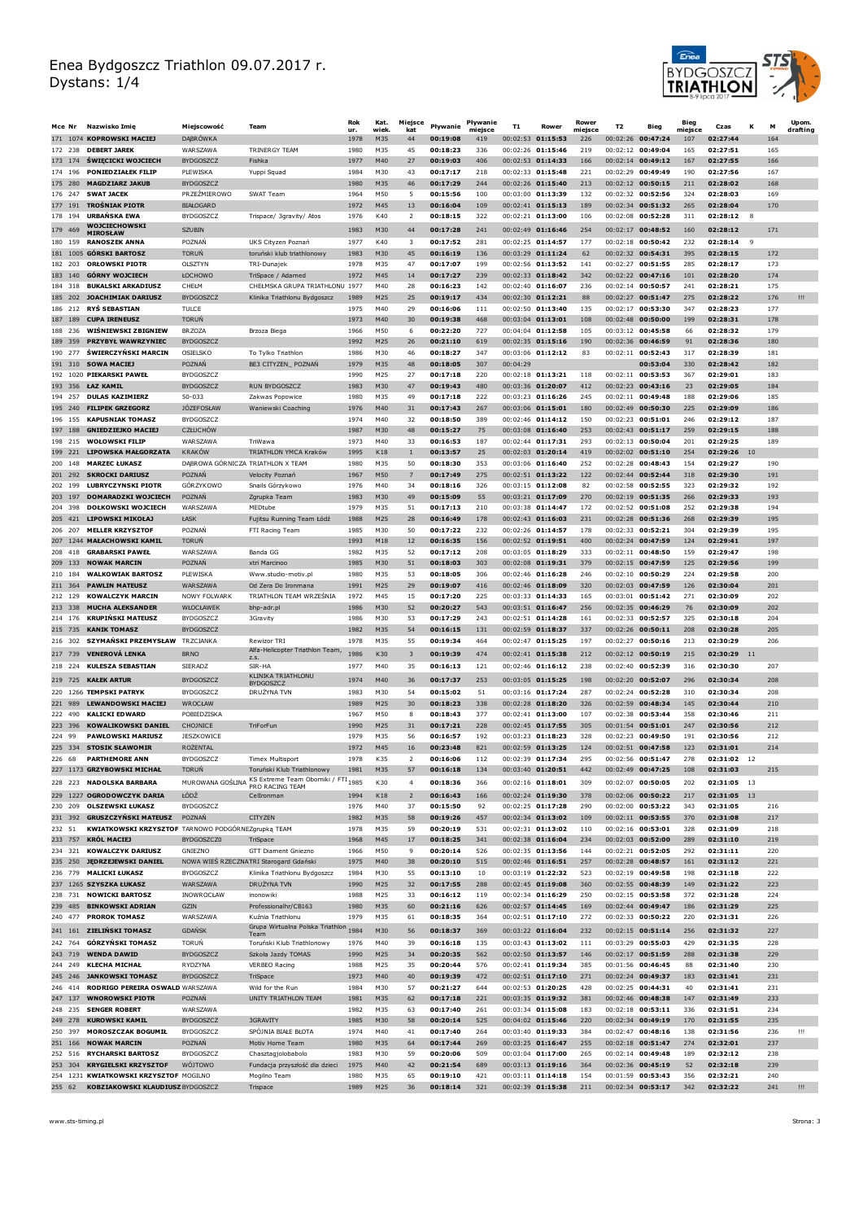

| Mce Nr                | Nazwisko Imię                                                            | Miejscowość                          | Team                                                              | Rok<br>ur.   | Kat.<br>wiek | Miejsce<br>kat          | Pływanie             | Pływanie<br>miejsce | <b>T1</b> | Rower                                      | Rower<br>miejsce | T2       | Bieg                                     | Bieg<br>miejsce | Czas                    | К<br>M       |            | Upom.<br>drafting |
|-----------------------|--------------------------------------------------------------------------|--------------------------------------|-------------------------------------------------------------------|--------------|--------------|-------------------------|----------------------|---------------------|-----------|--------------------------------------------|------------------|----------|------------------------------------------|-----------------|-------------------------|--------------|------------|-------------------|
|                       | 171 1074 KOPROWSKI MACIEJ                                                | <b>DABROWKA</b>                      |                                                                   | 1978         | M35          | 44                      | 00:19:08             | 419                 |           | 00:02:53 01:15:53                          | 226              |          | 00:02:26 00:47:24                        | 107             | 02:27:44                |              | 164        |                   |
| 172 238               | <b>DEBERT JAREK</b>                                                      | <b>WARSZAWA</b>                      | <b>TRINERGY TEAM</b>                                              | 1980         | M35          | 45                      | 00:18:23             | 336                 |           | 00:02:26 01:15:46                          | 219              |          | 00:02:12 00:49:04                        | 165             | 02:27:51                |              | 165        |                   |
| 173 174<br>174 196    | ŚWIĘCICKI WOJCIECH<br>PONIEDZIAŁEK FILIP                                 | <b>BYDGOSZCZ</b><br>PLEWISKA         | Fishka<br>Yuppi Squad                                             | 1977<br>1984 | M40<br>M30   | 27<br>43                | 00:19:03<br>00:17:17 | 406<br>218          |           | 00:02:53 01:14:33<br>00:02:33 01:15:48     | 166<br>221       | 00:02:14 | 00:49:12<br>00:02:29 00:49:49            | 167<br>190      | 02:27:55<br>02:27:56    | 167          | 166        |                   |
| 175 280               | <b>MAGDZIARZ JAKUB</b>                                                   | <b>BYDGOSZCZ</b>                     |                                                                   | 1980         | M35          | 46                      | 00:17:29             | 244                 |           | 00:02:26 01:15:40                          | 213              |          | 00:02:12 00:50:15                        | 211             | 02:28:02                |              | 168        |                   |
| 176 247               | <b>SWAT JACEK</b>                                                        | PRZEŻMIEROWO                         | <b>SWAT Team</b>                                                  | 1964         | M50          | 5                       | 00:15:56             | 100                 |           | 00:03:00 01:13:39                          | 132              | 00:02:32 | 00:52:56                                 | 324             | 02:28:03                |              | 169        |                   |
| 177 191<br>178<br>194 | <b>TROŚNIAK PIOTR</b><br><b>URBAŃSKA EWA</b>                             | <b>BIAŁOGARD</b><br><b>BYDGOSZCZ</b> | Trispace/ 3gravity/ Atos                                          | 1972<br>1976 | M45<br>K40   | 13<br>$\overline{2}$    | 00:16:04<br>00:18:15 | 109<br>322          |           | 00:02:41 01:15:13<br>00:02:21 01:13:00     | 189<br>106       | 00:02:08 | 00:02:34 00:51:32<br>00:52:28            | 265<br>311      | 02:28:04<br>02:28:12    | 8            | 170        |                   |
| 179 469               | WOJCIECHOWSKI                                                            | <b>SZUBIN</b>                        |                                                                   | 1983         | M30          | 44                      | 00:17:28             | 241                 |           | 00:02:49 01:16:46                          | 254              |          | 00:02:17 00:48:52                        | 160             | 02:28:12                |              | 171        |                   |
| 180 159               | <b>MIROSŁAW</b><br><b>RANOSZEK ANNA</b>                                  | POZNAŃ                               | UKS Cityzen Poznań                                                | 1977         | K40          | 3                       | 00:17:52             | 281                 |           | 00:02:25 01:14:57                          | 177              |          | 00:02:18 00:50:42                        | 232             | 02:28:14                | $\mathbf{q}$ |            |                   |
|                       | 181 1005 GÓRSKI BARTOSZ                                                  | <b>TORUN</b>                         | toruński klub triathlonowy                                        | 1983         | M30          | 45                      | 00:16:19             | 136                 |           | 00:03:29 01:11:24                          | 62               |          | 00:02:32 00:54:31                        | 395             | 02:28:15                |              | 172        |                   |
| 182 203               | <b>ORŁOWSKI PIOTR</b>                                                    | OLSZTYN                              | TRI-Dunajek                                                       | 1978         | M35          | 47                      | 00:17:07             | 199                 |           | 00:02:56 01:13:52                          | 141              | 00:02:27 | 00:51:55                                 | 285             | 02:28:17                |              | 173        |                   |
| 183 140<br>184 318    | <b>GÓRNY WOJCIECH</b><br><b>BUKALSKI ARKADIUSZ</b>                       | <b>ŁOCHOWO</b><br>CHEŁM              | TriSpace / Adamed<br>CHEŁMSKA GRUPA TRIATHLONU 1977               | 1972         | M45<br>M40   | 14<br>28                | 00:17:27<br>00:16:23 | 239<br>142          |           | 00:02:33 01:18:42<br>00:02:40 01:16:07     | 342<br>236       |          | 00:02:22 00:47:16<br>00:02:14 00:50:57   | 101<br>241      | 02:28:20<br>02:28:21    |              | 174<br>175 |                   |
| 185 202               | <b>JOACHIMIAK DARIUSZ</b>                                                | <b>BYDGOSZCZ</b>                     | Klinika Triathlonu Bydgoszcz                                      | 1989         | M25          | 25                      | 00:19:17             | 434                 |           | 00:02:30 01:12:21                          | 88               |          | 00:02:27 00:51:47                        | 275             | 02:28:22                |              | 176        | Ш                 |
| 186 212               | <b>RYŚ SEBASTIAN</b>                                                     | TULCE                                |                                                                   | 1975         | M40          | 29                      | 00:16:06             | 111                 |           | 00:02:50 01:13:40                          | 135              | 00:02:17 | 00:53:30                                 | 347             | 02:28:23                |              | 177        |                   |
| 187 189<br>188 236    | <b>CUPA IRENEUSZ</b><br><b>WIŚNIEWSKI ZBIGNIEW</b>                       | <b>TORUŃ</b><br><b>BRZOZA</b>        | Brzoza Biega                                                      | 1973<br>1966 | M40<br>M50   | 30<br>6                 | 00:19:38<br>00:22:20 | 468<br>727          |           | 00:03:04 01:13:01<br>00:04:04 01:12:58     | 108<br>105       | 00:03:12 | 00:02:48 00:50:00<br>00:45:58            | 199<br>66       | 02:28:31<br>02:28:32    |              | 178<br>179 |                   |
| 189 359               | <b>PRZYBYŁ WAWRZYNIEC</b>                                                | <b>BYDGOSZCZ</b>                     |                                                                   | 1992         | M25          | 26                      | 00:21:10             | 619                 |           | 00:02:35 01:15:16                          | 190              |          | 00:02:36 00:46:59                        | 91              | 02:28:36                |              | 180        |                   |
| 190 277               | ŚWIERCZYŃSKI MARCIN                                                      | OSIELSKO                             | To Tylko Triathlon                                                | 1986         | M30          | 46                      | 00:18:27             | 347                 |           | 00:03:06 01:12:12                          | 83               |          | 00:02:11 00:52:43                        | 317             | 02:28:39                |              | 181        |                   |
| 191 310               | <b>SOWA MACIEJ</b>                                                       | POZNAŃ                               | BE3 CITYZEN_POZNAŃ                                                | 1979         | M35          | 48                      | 00:18:05             | 307                 | 00:04:29  |                                            |                  |          | 00:53:04                                 | 330             | 02:28:42                |              | 182        |                   |
| 193 356               | 192 1020 PIEKARSKI PAWEŁ<br><b><i>LAZ KAMIL</i></b>                      | <b>BYDGOSZCZ</b><br><b>BYDGOSZCZ</b> | <b>RUN BYDGOSZCZ</b>                                              | 1990<br>1983 | M25<br>M30   | 27<br>47                | 00:17:18<br>00:19:43 | 220<br>480          |           | $00:02:18$ 01:13:21<br>00:03:36 01:20:07   | 118<br>412       |          | 00:02:11 00:53:53<br>00:02:23 00:43:16   | 367<br>23       | 02:29:01<br>02:29:05    |              | 183<br>184 |                   |
| 194 257               | <b>DULAS KAZIMIERZ</b>                                                   | 50-033                               | Zakwas Popowice                                                   | 1980         | M35          | 49                      | 00:17:18             | 222                 |           | 00:03:23 01:16:26                          | 245              |          | 00:02:11 00:49:48                        | 188             | 02:29:06                |              | 185        |                   |
| 195 240               | <b>FILIPEK GRZEGORZ</b>                                                  | <b>JÓZEFOSŁAW</b>                    | Waniewski Coaching                                                | 1976         | M40          | 31                      | 00:17:43             | 267                 |           | 00:03:06 01:15:01                          | 180              |          | 00:02:49 00:50:30                        | 225             | 02:29:09                |              | 186        |                   |
| 196 155               | <b>KAPUSNIAK TOMASZ</b>                                                  | <b>BYDGOSZCZ</b>                     |                                                                   | 1974         | M40          | 32                      | 00:18:50             | 389                 |           | 00:02:46 01:14:12                          | 150              |          | 00:02:23 00:51:01                        | 246             | 02:29:12                |              | 187        |                   |
| 197 188<br>198 215    | <b>GNIEDZIEJKO MACIEJ</b><br><b>WOŁOWSKI FILIP</b>                       | <b>CZŁUCHÓW</b><br><b>WARSZAWA</b>   | TriWawa                                                           | 1987<br>1973 | M30<br>M40   | 48<br>33                | 00:15:27<br>00:16:53 | 75<br>187           |           | 00:03:08 01:16:40<br>$00:02:44$ 01:17:31   | 253<br>293       | 00:02:43 | 00:51:17<br>00:02:13 00:50:04            | 259<br>201      | 02:29:15<br>02:29:25    |              | 188<br>189 |                   |
| 199 221               | <b>LIPOWSKA MAŁGORZATA</b>                                               | <b>KRAKÓW</b>                        | TRIATHLON YMCA Kraków                                             | 1995         | <b>K18</b>   | $\mathbf{1}$            | 00:13:57             | 25                  |           | 00:02:03 01:20:14                          | 419              |          | 00:02:02 00:51:10                        | 254             | 02:29:26                | 10           |            |                   |
| 200 148               | <b>MARZEC ŁUKASZ</b>                                                     | DABROWA GÓRNICZA TRIATHLON X TEAM    |                                                                   | 1980         | M35          | 50                      | 00:18:30             | 353                 |           | $00:03:06$ 01:16:40                        | 252              | 00:02:28 | 00:48:43                                 | 154             | 02:29:27                |              | 190        |                   |
| 201 292               | <b>SKROCKI DARIUSZ</b>                                                   | POZNAŃ                               | Velocity Poznań                                                   | 1967         | M50          | 7                       | 00:17:49             | 275                 |           | $00:02:51$ 01:13:22<br>$00:03:15$ 01:12:08 | 122              |          | 00:02:44 00:52:44                        | 318             | 02:29:30                |              | 191        |                   |
| 202 199<br>203 197    | <b>LUBRYCZYNSKI PIOTR</b><br><b>DOMARADZKI WOJCIECH</b>                  | <b>GÓRZYKOWO</b><br>POZNAŃ           | Snails Górzykowo<br>Zgrupka Team                                  | 1976<br>1983 | M40<br>M30   | 34<br>49                | 00:18:16<br>00:15:09 | 326<br>55           |           | 00:03:21 01:17:09                          | 82<br>270        | 00:02:58 | 00:52:55<br>00:02:19 00:51:35            | 323<br>266      | 02:29:32<br>02:29:33    |              | 192<br>193 |                   |
| 204 398               | <b>DOŁKOWSKI WOJCIECH</b>                                                | WARSZAWA                             | MEDtube                                                           | 1979         | M35          | 51                      | 00:17:13             | 210                 |           | 00:03:38 01:14:47                          | 172              |          | 00:02:52 00:51:08                        | 252             | 02:29:38                | 194          |            |                   |
| 205 421               | <b>LIPOWSKI MIKOŁAJ</b>                                                  | ŁASK                                 | Fujitsu Running Team Łódź                                         | 1988         | M25          | 28                      | 00:16:49             | 178                 |           | 00:02:43 01:16:03                          | 231              |          | 00:02:28 00:51:36                        | 268             | 02:29:39                |              | 195        |                   |
| 207<br>206            | <b>MELLER KRZYSZTOF</b><br>207 1244 MAŁACHOWSKI KAMIL                    | POZNAŃ<br><b>TORUŃ</b>               | FTI Racing Team                                                   | 1985<br>1993 | M30<br>M18   | 50<br>12                | 00:17:22<br>00:16:35 | 232<br>156          |           | 00:02:26 01:14:57<br>00:02:52 01:19:51     | 178<br>400       |          | 00:02:33 00:52:21<br>00:02:24 00:47:59   | 304<br>124      | 02:29:39<br>02:29:41    |              | 195<br>197 |                   |
| 208 418               | <b>GRABARSKI PAWEŁ</b>                                                   | <b>WARSZAWA</b>                      | Banda GG                                                          | 1982         | M35          | 52                      | 00:17:12             | 208                 |           | 00:03:05 01:18:29                          | 333              | 00:02:11 | 00:48:50                                 | 159             | 02:29:47                |              | 198        |                   |
| 209 133               | <b>NOWAK MARCIN</b>                                                      | POZNAŃ                               | xtri Marcinoo                                                     | 1985         | M30          | 51                      | 00:18:03             | 303                 |           | 00:02:08 01:19:31                          | 379              |          | 00:02:15 00:47:59                        | 125             | 02:29:56                |              | 199        |                   |
| 210 184               | <b>WALKOWIAK BARTOSZ</b>                                                 | PLEWISKA                             | Www.studio-motiv.pl                                               | 1980         | M35          | 53                      | 00:18:05             | 306                 |           | 00:02:46 01:16:28                          | 246              | 00:02:10 | 00:50:29                                 | 224             | 02:29:58                |              | 200        |                   |
| 211 364<br>212 129    | <b>PAWLIN MATEUSZ</b><br><b>KOWALCZYK MARCIN</b>                         | WARSZAWA<br><b>NOWY FOLWARK</b>      | Od Zera Do Ironmana<br>TRIATHLON TEAM WRZEŚNIA                    | 1991<br>1972 | M25<br>M45   | 29<br>15                | 00:19:07<br>00:17:20 | 416<br>225          |           | 00:02:46 01:18:09<br>00:03:33 01:14:33     | 320<br>165       |          | 00:02:03 00:47:59<br>00:03:01 00:51:42   | 126<br>271      | 02:30:04<br>02:30:09    |              | 201<br>202 |                   |
| 213 338               | <b>MUCHA ALEKSANDER</b>                                                  | WŁOCŁAWEK                            | bhp-adr.pl                                                        | 1986         | M30          | 52                      | 00:20:27             | 543                 |           | 00:03:51 01:16:47                          | 256              |          | 00:02:35 00:46:29                        | 76              | 02:30:09                |              | 202        |                   |
| 214 176               | <b>KRUPINSKI MATEUSZ</b>                                                 | <b>BYDGOSZCZ</b>                     | 3Gravity                                                          | 1986         | M30          | 53                      | 00:17:29             | 243                 |           | 00:02:51 01:14:28                          | 161              |          | 00:02:33 00:52:57                        | 325             | 02:30:18                |              | 204        |                   |
| 215 735               | <b>KANIK TOMASZ</b>                                                      | <b>BYDGOSZCZ</b>                     |                                                                   | 1982<br>1978 | M35          | 54<br>55                | 00:16:15             | 131                 |           | 00:02:59 01:18:37                          | 337              |          | 00:02:26 00:50:11                        | 208             | 02:30:28                |              | 205        |                   |
| 216 302<br>217 739    | <b>SZYMAŃSKI PRZEMYSŁAW</b> TRZCIANKA<br><b>VENEROVÁ LENKA</b>           | <b>BRNO</b>                          | Rewizor TRI<br>Alfa-Helicopter Triathlon Team,                    | 1986         | M35<br>K30   | $\overline{\mathbf{3}}$ | 00:19:34<br>00:19:39 | 464<br>474          |           | 00:02:47 01:15:25<br>00:02:41 01:15:38     | 197<br>212       |          | 00:02:27 00:50:16<br>00:02:12 00:50:19   | 213<br>215      | 02:30:29<br>02:30:29    | 11           | 206        |                   |
| 218 224               | <b>KULESZA SEBASTIAN</b>                                                 | SIERADZ                              | Z.S.<br>SIR-HA                                                    | 1977         | M40          | 35                      | 00:16:13             | 121                 |           | 00:02:46 01:16:12                          | 238              |          | 00:02:40 00:52:39                        | 316             | 02:30:30                |              | 207        |                   |
| 219 725               | <b>KAŁEK ARTUR</b>                                                       | <b>BYDGOSZCZ</b>                     | KLINIKA TRIATHLONU<br><b>BYDGOSZCZ</b>                            | 1974         | M40          | 36                      | 00:17:37             | 253                 |           | 00:03:05 01:15:25                          | 198              |          | 00:02:20 00:52:07                        | 296             | 02:30:34                |              | 208        |                   |
|                       | 220 1266 TEMPSKI PATRYK                                                  | BYDGOS7C7                            | DRUZYNA TVN                                                       | 1983         | M30          | 54                      | 00:15:02             | 51                  |           | 00:03:16 01:17:24                          | 287              |          | 00:02:24 00:52:28                        | 310             | 02:30:34                |              | 208        |                   |
| 221 989               | <b>LEWANDOWSKI MACIEJ</b>                                                | WROCŁAW                              |                                                                   | 1989         | M25          | 30                      | 00:18:23             | 338                 |           | 00:02:28 01:18:20                          | 326              |          | 00:02:59 00:48:34                        | 145             | 02:30:44                |              | 210        |                   |
| 222 490<br>223 396    | <b>KALICKI EDWARD</b><br><b>KOWALIKOWSKI DANIEL</b>                      | POBIEDZISKA<br>CHOJNICE              | TriForFun                                                         | 1967<br>1990 | M50<br>M25   | 8<br>31                 | 00:18:43<br>00:17:21 | 377<br>228          |           | 00:02:41 01:13:00<br>00:02:45 01:17:55     | 107<br>305       |          | 00:02:38 00:53:44<br>00:01:54 00:51:01   | 358<br>247      | 02:30:46<br>02:30:56    |              | 211<br>212 |                   |
| 224 99                | <b>PAWŁOWSKI MARIUSZ</b>                                                 | <b>JESZKOWICE</b>                    |                                                                   | 1979         | M35          | 56                      | 00:16:57             | 192                 |           | 00:03:23 01:18:23                          | 328              |          | $00:02:23$ 00:49:50                      | 191             | 02:30:56                | 212          |            |                   |
| 225 334               | <b>STOSIK SŁAWOMIR</b>                                                   | <b>ROŻENTAL</b>                      |                                                                   | 1972         | M45          | 16                      | 00:23:48             | 821                 |           | $00:02:59$ 01:13:25                        | 124              | 00:02:51 | 00:47:58                                 | 123             | 02:31:01                |              | 214        |                   |
| 226 68                | <b>PARTHEMORE ANN</b>                                                    | <b>BYDGOSZCZ</b>                     | <b>Timex Multisport</b>                                           | 1978         | K35          | $\overline{2}$          | 00:16:06             | 112                 |           | 00:02:39 01:17:34                          | 295              |          | 00:02:56 00:51:47                        | 278             | 02:31:02                | 12           |            |                   |
|                       | 227 1173 GRZYBOWSKI MICHAŁ<br>228 223 NADOLSKA BARBARA                   | <b>TORUN</b><br>MUROWANA GOŚLINA     | Toruński Klub Triathlonowy<br>KS Extreme Team Oborniki / FTI 1985 | 1981         | M35<br>K30   | 57<br>$\overline{4}$    | 00:16:18<br>00:18:36 | 134<br>366          |           | 00:03:40 01:20:51<br>$00:02:16$ 01:18:01   | 442<br>309       |          | 00:02:49 00:47:25<br>00:02:07 00:50:05   | 108<br>202      | 02:31:03<br>02:31:05 13 |              | 215        |                   |
|                       | 229 1227 OGRODOWCZYK DARIA                                               | ŁÓDŹ                                 | PRO RACING TEAM<br>CelIronman                                     | 1994         | K18          | $\overline{2}$          | 00:16:43             | 166                 |           | 00:02:24 01:19:30                          | 378              |          | 00:02:06 00:50:22                        | 217             | 02:31:05                | 13           |            |                   |
| 230 209               | <b>OLSZEWSKI ŁUKASZ</b>                                                  | <b>BYDGOSZCZ</b>                     |                                                                   | 1976         | M40          | 37                      | 00:15:50             | 92                  |           | 00:02:25 01:17:28                          | 290              |          | 00:02:00 00:53:22                        | 343             | 02:31:05                |              | 216        |                   |
| 231 392               | <b>GRUSZCZYŃSKI MATEUSZ</b>                                              | POZNAŃ                               | CITYZEN                                                           | 1982         | M35          | 58                      | 00:19:26             | 457                 |           | 00:02:34 01:13:02                          | 109              |          | 00:02:11 00:53:55                        | 370             | 02:31:08                |              | 217        |                   |
| 232 51<br>233 757     | KWIATKOWSKI KRZYSZTOF TARNOWO PODGÓRNEZgrupką TEAM<br><b>KRÓL MACIEJ</b> | BYDGOSZCZ0                           | TriSpace                                                          | 1978<br>1968 | M35<br>M45   | 59<br>17                | 00:20:19<br>00:18:25 | 531<br>341          |           | 00:02:31 01:13:02<br>00:02:38 01:16:04     | 110<br>234       |          | $00:02:16$ 00:53:01<br>00:02:03 00:52:00 | 328<br>289      | 02:31:09<br>02:31:10    |              | 218<br>219 |                   |
| 234 321               | <b>KOWALCZYK DARIUSZ</b>                                                 | GNIEZNO                              | GTT Diament Gniezno                                               | 1966         | M50          | 9                       | 00:20:14             | 526                 |           | 00:02:35 01:13:56                          | 144              |          | 00:02:21 00:52:05                        | 292             | 02:31:11                |              | 220        |                   |
| 235 250               | JĘDRZEJEWSKI DANIEL                                                      |                                      | NOWA WIEŚ RZECZNATRI Starogard Gdański                            | 1975         | M40          | 38                      | 00:20:10             | 515                 |           | 00:02:46 01:16:51                          | 257              |          | 00:02:28 00:48:57                        | 161             | 02:31:12                |              | 221        |                   |
| 236 779               | <b>MALICKI ŁUKASZ</b>                                                    | <b>BYDGOSZCZ</b>                     | Klinika Triathlonu Bydgoszcz<br>DRUŻYNA TVN                       | 1984         | M30          | 55                      | 00:13:10<br>00:17:55 | 10                  |           | 00:03:19 01:22:32<br>00:02:45 01:19:08     | 523              |          | 00:02:19 00:49:58                        | 198             | 02:31:18<br>02:31:22    |              | 222<br>223 |                   |
| 238 731               | 237 1265 SZYSZKA ŁUKASZ<br><b>NOWICKI BARTOSZ</b>                        | WARSZAWA<br>INOWROCŁAW               | inonowiki                                                         | 1990<br>1988 | M25<br>M25   | 32<br>33                | 00:16:12             | 288<br>119          |           | 00:02:34 01:16:29                          | 360<br>250       |          | 00:02:55 00:48:39<br>00:02:15 00:53:58   | 149<br>372      | 02:31:28                |              | 224        |                   |
| 239 485               | <b>BINKOWSKI ADRIAN</b>                                                  | GZIN                                 | Professionalhr/CB163                                              | 1980         | M35          | 60                      | 00:21:16             | 626                 |           | 00:02:57 01:14:45                          | 169              |          | 00:02:44 00:49:47                        | 186             | 02:31:29                |              | 225        |                   |
| 240 477               | <b>PROROK TOMASZ</b>                                                     | WARSZAWA                             | Kuźnia Triathlonu                                                 | 1979         | M35          | 61                      | 00:18:35             | 364                 |           | 00:02:51 01:17:10                          | 272              |          | 00:02:33 00:50:22                        | 220             | 02:31:31                |              | 226        |                   |
|                       | 241 161 ZIELIŃSKI TOMASZ                                                 | <b>GDAŃSK</b>                        | Grupa Wirtualna Polska Triathlon 1984<br>Team                     |              | M30          | 56                      | 00:18:37             | 369                 |           | 00:03:22 01:16:04                          | 232              |          | 00:02:15 00:51:14                        | 256             | 02:31:32                |              | 227        |                   |
| 242 764<br>243 719    | GÓRZYŃSKI TOMASZ<br><b>WENDA DAWID</b>                                   | TORUŃ<br><b>BYDGOSZCZ</b>            | Toruński Klub Triathlonowy<br>Szkoła Jazdy TOMAS                  | 1976<br>1990 | M40<br>M25   | 39<br>34                | 00:16:18<br>00:20:35 | 135<br>562          |           | 00:03:43 01:13:02<br>00:02:50 01:13:57     | 111<br>146       |          | 00:03:29 00:55:03<br>00:02:17 00:51:59   | 429<br>288      | 02:31:35<br>02:31:38    |              | 228<br>229 |                   |
| 244 249               | <b>KLECHA MICHAŁ</b>                                                     | RYDZYNA                              | <b>VERBEO Racing</b>                                              | 1988         | M25          | 35                      | 00:20:44             | 576                 |           | 00:02:41 01:19:34                          | 385              |          | 00:01:56 00:46:45                        | 88              | 02:31:40                |              | 230        |                   |
| 245 246               | <b>JANKOWSKI TOMASZ</b>                                                  | <b>BYDGOSZCZ</b>                     | TriSpace                                                          | 1973         | M40          | 40                      | 00:19:39             | 472                 |           | 00:02:51 01:17:10                          | 271              |          | 00:02:24 00:49:37                        | 183             | 02:31:41                |              | 231        |                   |
| 246 414               | RODRIGO PEREIRA OSWALD WARSZAWA                                          |                                      | Wild for the Run                                                  | 1984         | M30          | 57                      | 00:21:27             | 644                 |           | 00:02:53 01:20:25                          | 428              |          | 00:02:25 00:44:31                        | 40              | 02:31:41                |              | 231        |                   |
| 247 137<br>248 235    | <b>WNOROWSKI PIOTR</b><br><b>SENGER ROBERT</b>                           | POZNAŃ<br><b>WARSZAWA</b>            | UNITY TRIATHLON TEAM                                              | 1981<br>1982 | M35<br>M35   | 62<br>63                | 00:17:18<br>00:17:40 | 221<br>261          |           | 00:03:35 01:19:32<br>00:03:34 01:15:08     | 381<br>183       |          | 00:02:46 00:48:38<br>00:02:18 00:53:11   | 147<br>336      | 02:31:49<br>02:31:51    |              | 233<br>234 |                   |
| 249 278               | <b>KUROWSKI KAMIL</b>                                                    | <b>BYDGOSZCZ</b>                     | 3GRAVITY                                                          | 1985         | M30          | 58                      | 00:20:14             | 525                 |           | 00:04:02 01:15:46                          | 220              |          | 00:02:34 00:49:19                        | 170             | 02:31:55                |              | 235        |                   |
| 250 397               | <b>MOROSZCZAK BOGUMIŁ</b>                                                | <b>BYDGOSZCZ</b>                     | SPÓJNIA BIAŁE BŁOTA                                               | 1974         | M40          | 41                      | 00:17:40             | 264                 |           | 00:03:40 01:19:33                          | 384              |          | 00:02:47 00:48:16                        | 138             | 02:31:56                |              | 236        | Ш                 |
| 251 166               | <b>NOWAK MARCIN</b>                                                      | POZNAŃ                               | Motiv Home Team                                                   | 1980         | M35          | 64                      | 00:17:44             | 269                 |           | 00:03:25 01:16:47                          | 255              |          | 00:02:18 00:51:47                        | 274             | 02:32:01                |              | 237        |                   |
| 252 516<br>253 304    | <b>RYCHARSKI BARTOSZ</b><br><b>KRYGIELSKI KRZYSZTOF</b>                  | BYDGOSZCZ<br>WÓJTOWO                 | Chasztagjolobabolo<br>Fundacja przyszłość dla dzieci              | 1983<br>1975 | M30<br>M40   | 59<br>42                | 00:20:06<br>00:21:54 | 509<br>689          |           | 00:03:04 01:17:00<br>00:03:13 01:19:16     | 265<br>364       |          | 00:02:14 00:49:48<br>00:02:36 00:45:19   | 189<br>52       | 02:32:12<br>02:32:18    |              | 238<br>239 |                   |
|                       | 254 1231 KWIATKOWSKI KRZYSZTOF MOGILNO                                   |                                      | Mogilno Team                                                      | 1980         | M35          | 65                      | 00:19:10             | 421                 |           | 00:03:11 01:14:18                          | 154              |          | 00:01:59 00:53:43                        | 356             | 02:32:21                |              | 240        |                   |
| 255 62                | KOBZIAKOWSKI KLAUDIUSZ BYDGOSZCZ                                         |                                      | Trispace                                                          | 1989         | M25          | 36                      | 00:18:14             | 321                 |           | 00:02:39 01:15:38                          | 211              |          | 00:02:34 00:53:17                        | 342             | 02:32:22                |              | 241        | $\mathbf{III}$    |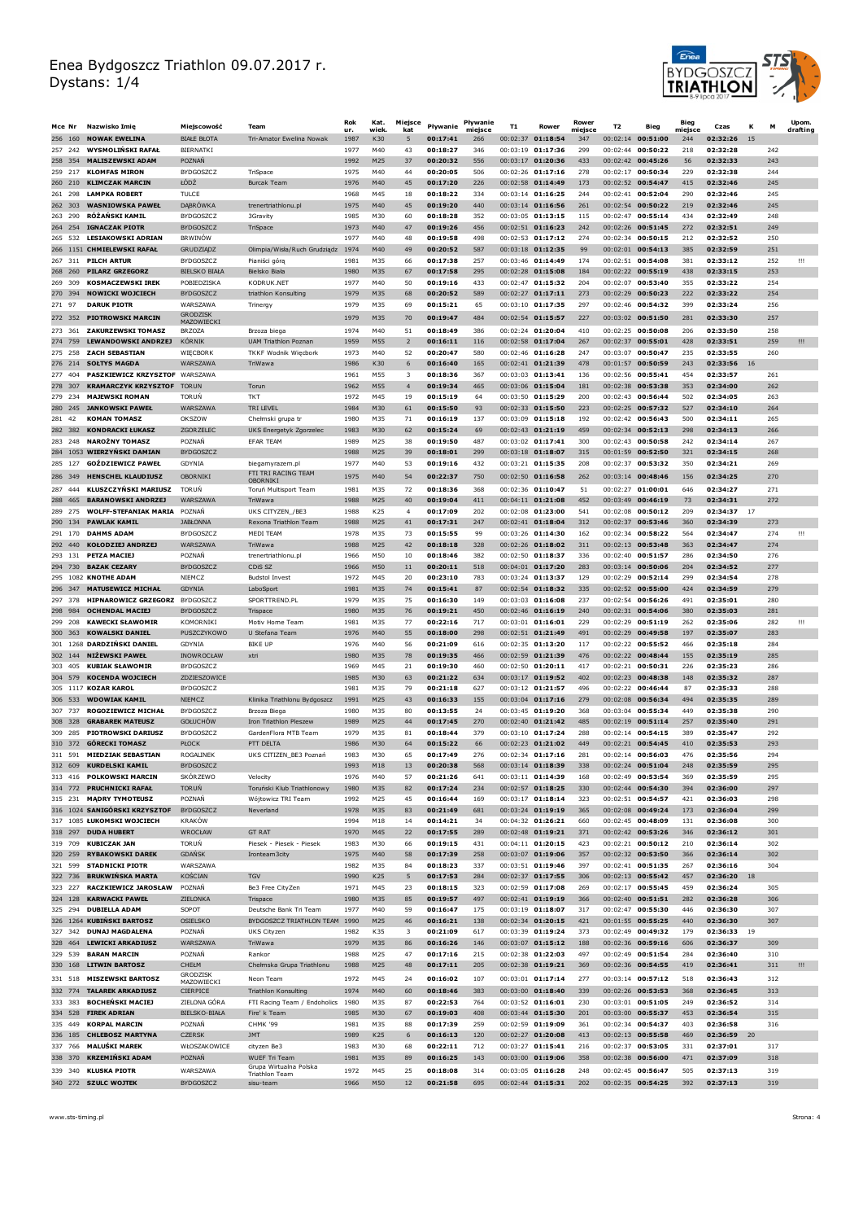

| Mce Nr                | Nazwisko Imię                                          | Miejscowość                              | Team                                                       | Rok<br>ur.   | Kat.<br>wiek           | Miejsce<br>kat       | Pływanie             | Pływanie<br>miejsce | T <sub>1</sub> | Rower                                    | Rower<br>miejsce | T <sub>2</sub> | Bieg                                     | <b>Bieg</b><br>miejsce | Czas                 |    | M          | Upom.<br>drafting |
|-----------------------|--------------------------------------------------------|------------------------------------------|------------------------------------------------------------|--------------|------------------------|----------------------|----------------------|---------------------|----------------|------------------------------------------|------------------|----------------|------------------------------------------|------------------------|----------------------|----|------------|-------------------|
|                       | 256 160 NOWAK EWELINA                                  | <b>BIAŁE BŁOTA</b>                       | Tri-Amator Ewelina Nowak                                   | 1987         | K30                    | 5                    | 00:17:41             | 266                 |                | 00:02:37 01:18:54                        | 347              |                | 00:02:14 00:51:00                        | 244                    | 02:32:26             | 15 |            |                   |
| 257 242<br>258 354    | <b>WYSMOLINSKI RAFAŁ</b><br><b>MALISZEWSKI ADAM</b>    | BIERNATKI<br>POZNAŃ                      |                                                            | 1977<br>1992 | M40<br>M25             | 43<br>37             | 00:18:27<br>00:20:32 | 346<br>556          | 00:03:19       | 01:17:36<br>00:03:17 01:20:36            | 299<br>433       | 00:02:44       | 00:50:22<br>00:02:42 00:45:26            | 218<br>56              | 02:32:28<br>02:32:33 |    | 242<br>243 |                   |
| 259 217               | <b>KLOMFAS MIRON</b>                                   | <b>BYDGOSZCZ</b>                         | TriSpace                                                   | 1975         | M40                    | 44                   | 00:20:05             | 506                 |                | 00:02:26 01:17:16                        | 278              |                | 00:02:17 00:50:34                        | 229                    | 02:32:38             |    | 244        |                   |
| 260 210               | <b>KLIMCZAK MARCIN</b>                                 | ŁÓDŹ                                     | Burcak Team                                                | 1976         | M40                    | 45                   | 00:17:20             | 226                 |                | 00:02:58 01:14:49                        | 173              |                | 00:02:52 00:54:47                        | 415                    | 02:32:46             |    | 245        |                   |
| 261 298               | <b>LAMPKA ROBERT</b>                                   | TULCE                                    |                                                            | 1968         | M45                    | 18                   | 00:18:22             | 334                 |                | 00:03:14 01:16:25                        | 244              |                | 00:02:41 00:52:04                        | 290                    | 02:32:46             |    | 245        |                   |
| 262 303               | <b>WASNIOWSKA PAWEŁ</b><br><b>RÓŻAŃSKI KAMIL</b>       | <b>DABROWKA</b><br><b>BYDGOSZCZ</b>      | trenertriathlonu.pl                                        | 1975<br>1985 | M40<br>M30             | 45<br>60             | 00:19:20<br>00:18:28 | 440<br>352          |                | $00:03:14$ 01:16:56<br>00:03:05 01:13:15 | 261<br>115       |                | 00:02:54 00:50:22<br>$00:02:47$ 00:55:14 | 219<br>434             | 02:32:46<br>02:32:49 |    | 245<br>248 |                   |
| 263 290<br>264 254    | <b>IGNACZAK PIOTR</b>                                  | <b>BYDGOSZCZ</b>                         | 3Gravity<br>TriSpace                                       | 1973         | M40                    | 47                   | 00:19:26             | 456                 |                | 00:02:51 01:16:23                        | 242              |                | 00:02:26 00:51:45                        | 272                    | 02:32:51             |    | 249        |                   |
| 265 532               | <b>LESIAKOWSKI ADRIAN</b>                              | <b>BRWINOW</b>                           |                                                            | 1977         | M40                    | 48                   | 00:19:58             | 498                 |                | 00:02:53 01:17:12                        | 274              |                | 00:02:34 00:50:15                        | 212                    | 02:32:52             |    | 250        |                   |
|                       | 266 1151 CHMIELEWSKI RAFAŁ                             | GRUDZIĄDZ                                | Olimpia/Wisła/Ruch Grudziądz                               | 1974         | M40                    | 49                   | 00:20:52             | 587                 |                | 00:03:18 01:12:35                        | 99               |                | 00:02:01 00:54:13                        | 385                    | 02:32:59             |    | 251        |                   |
|                       | 267 311 PILCH ARTUR<br><b>PILARZ GRZEGORZ</b>          | <b>BYDGOSZCZ</b><br><b>BIELSKO BIAŁA</b> | Pianiści górą                                              | 1981<br>1980 | M35<br>M35             | 66<br>67             | 00:17:38<br>00:17:58 | 257<br>295          |                | 00:03:46 01:14:49<br>$00:02:28$ 01:15:08 | 174<br>184       | 00:02:22       | 00:02:51 00:54:08<br>00:55:19            | 381<br>438             | 02:33:12<br>02:33:15 |    | 252        | Ш                 |
| 268 260<br>269 309    | <b>KOSMACZEWSKI IREK</b>                               | POBIEDZISKA                              | Bielsko Biała<br>KODRUK.NET                                | 1977         | M40                    | 50                   | 00:19:16             | 433                 |                | $00:02:47$ 01:15:32                      | 204              |                | $00:02:07$ 00:53:40                      | 355                    | 02:33:22             |    | 253<br>254 |                   |
| 270 394               | <b>NOWICKI WOJCIECH</b>                                | <b>BYDGOSZCZ</b>                         | triathlon Konsulting                                       | 1979         | M35                    | 68                   | 00:20:52             | 589                 |                | 00:02:27 01:17:11                        | 273              |                | 00:02:29 00:50:23                        | 222                    | 02:33:22             |    | 254        |                   |
| 271 97                | <b>DARUK PIOTR</b>                                     | <b>WARSZAWA</b>                          | Trinergy                                                   | 1979         | M35                    | 69                   | 00:15:21             | 65                  |                | 00:03:10 01:17:35                        | 297              |                | 00:02:46 00:54:32                        | 399                    | 02:33:24             |    | 256        |                   |
| 272 352               | <b>PIOTROWSKI MARCIN</b>                               | <b>GRODZISK</b><br>MAZOWIECKI            |                                                            | 1979         | M35                    | 70                   | 00:19:47             | 484                 |                | 00:02:54 01:15:57                        | 227              |                | 00:03:02 00:51:50                        | 281                    | 02:33:30             |    | 257        |                   |
| 273 361               | <b>ZAKURZEWSKI TOMASZ</b>                              | <b>BRZOZA</b>                            | Brzoza biega                                               | 1974         | M40                    | 51                   | 00:18:49             | 386                 |                | 00:02:24 01:20:04                        | 410              |                | 00:02:25 00:50:08                        | 206                    | 02:33:50             |    | 258        |                   |
| 274 759<br>275 258    | <b>LEWANDOWSKI ANDRZEJ</b><br><b>ZACH SEBASTIAN</b>    | <b>KÓRNIK</b><br>WIECBORK                | <b>UAM Triathlon Poznan</b><br><b>TKKF Wodnik Wiecbork</b> | 1959<br>1973 | M55<br>M40             | $\overline{2}$<br>52 | 00:16:11<br>00:20:47 | 116<br>580          |                | 00:02:58 01:17:04<br>00:02:46 01:16:28   | 267<br>247       | 00:03:07       | 00:02:37 00:55:01<br>00:50:47            | 428<br>235             | 02:33:51<br>02:33:55 |    | 259<br>260 | Ш                 |
| 276 214               | <b>SOLTYS MAGDA</b>                                    | <b>WARSZAWA</b>                          | TriWawa                                                    | 1986         | K30                    | 6                    | 00:16:40             | 165                 |                | 00:02:41 01:21:39                        | 478              |                | 00:01:57 00:50:59                        | 243                    | 02:33:56             | 16 |            |                   |
| 277<br>404            | PASZKIEWICZ KRZYSZTOF WARSZAWA                         |                                          |                                                            | 1961         | M55                    | 3                    | 00:18:36             | 367                 |                | 00:03:03 01:13:41                        | 136              | 00:02:56       | 00:55:41                                 | 454                    | 02:33:57             |    | 261        |                   |
| 278 307               | <b>KRAMARCZYK KRZYSZTOF TORUN</b>                      |                                          | Torun                                                      | 1962         | M <sub>55</sub>        | $\overline{4}$       | 00:19:34             | 465                 |                | 00:03:06 01:15:04                        | 181              |                | 00:02:38 00:53:38                        | 353                    | 02:34:00             |    | 262        |                   |
| 234<br>279<br>280 245 | <b>MAJEWSKI ROMAN</b><br><b>JANKOWSKI PAWEŁ</b>        | <b>TORUN</b><br>WARSZAWA                 | <b>TKT</b><br>TRI LEVEL                                    | 1972<br>1984 | M45<br>M30             | 19<br>61             | 00:15:19<br>00:15:50 | 64<br>93            |                | 00:03:50 01:15:29<br>00:02:33 01:15:50   | 200<br>223       | 00:02:43       | 00:56:44<br>00:02:25 00:57:32            | 502<br>527             | 02:34:05<br>02:34:10 |    | 263<br>264 |                   |
| 42<br>281             | <b>KOMAN TOMASZ</b>                                    | OKSZOW                                   | Chełmski grupa tr                                          | 1980         | M35                    | 71                   | 00:16:19             | 137                 |                | 00:03:09 01:15:18                        | 192              |                | 00:02:42 00:56:43                        | 500                    | 02:34:11             |    | 265        |                   |
| 282 382               | <b>KONDRACKI ŁUKASZ</b>                                | ZGOR ZELEC                               | UKS Energetyk Zgorzelec                                    | 1983         | M30                    | 62                   | 00:15:24             | 69                  |                | 00:02:43 01:21:19                        | 459              |                | 00:02:34 00:52:13                        | 298                    | 02:34:13             |    | 266        |                   |
| 283 248               | <b>NAROŻNY TOMASZ</b>                                  | POZNAŃ                                   | <b>EFAR TEAM</b>                                           | 1989         | M25                    | 38                   | 00:19:50             | 487                 |                | 00:03:02 01:17:41                        | 300              |                | 00:02:43 00:50:58                        | 242                    | 02:34:14             |    | 267        |                   |
| 285 127               | 284 1053 WIERZYŃSKI DAMIAN<br><b>GOŹDZIEWICZ PAWEŁ</b> | <b>BYDGOSZCZ</b><br>GDYNIA               | biegamvrazem.pl                                            | 1988<br>1977 | M25<br>M40             | 39<br>53             | 00:18:01<br>00:19:16 | 299<br>432          |                | 00:03:18 01:18:07<br>00:03:21 01:15:35   | 315<br>208       | 00:02:37       | 00:01:59 00:52:50<br>00:53:32            | 321<br>350             | 02:34:15<br>02:34:21 |    | 268<br>269 |                   |
| 286 349               | <b>HENSCHEL KLAUDIUSZ</b>                              | OBORNIKI                                 | FTI TRI RACING TEAM                                        | 1975         | M40                    | 54                   | 00:22:37             | 750                 |                | $00:02:50$ 01:16:58                      | 262              |                | $00:03:14$ 00:48:46                      | 156                    | 02:34:25             |    | 270        |                   |
| 287<br>444            | KLUSZCZYŃSKI MARIUSZ                                   | <b>TORUN</b>                             | OBORNIKI<br>Toruń Multisport Team                          | 1981         | M35                    | 72                   | 00:18:36             | 368                 |                | 00:02:36 01:10:47                        | 51               |                | 00:02:27 01:00:01                        | 646                    | 02:34:27             |    | 271        |                   |
| 288 465               | <b>BARANOWSKI ANDRZEJ</b>                              | WARSZAWA                                 | TriWawa                                                    | 1988         | M25                    | 40                   | 00:19:04             | 411                 |                | 00:04:11 01:21:08                        | 452              |                | 00:03:49 00:46:19                        | 73                     | 02:34:31             |    | 272        |                   |
| 289 275               | <b>WOLFF-STEFANIAK MARIA</b>                           | POZNAŃ                                   | UKS CITYZEN_/BE3                                           | 1988         | K25                    | $\overline{4}$       | 00:17:09             | 202                 |                | 00:02:08 01:23:00                        | 541              |                | 00:02:08 00:50:12                        | 209                    | 02:34:37             | 17 |            |                   |
| 290 134<br>291 170    | <b>PAWLAK KAMIL</b><br><b>DAHMS ADAM</b>               | <b>JABŁONNA</b><br><b>BYDGOSZCZ</b>      | Rexona Triathlon Team<br>MFDI TFAM                         | 1988<br>1978 | M25<br>M35             | 41<br>73             | 00:17:31<br>00:15:55 | 247<br>99           |                | 00:02:41 01:18:04<br>$00:03:26$ 01:14:30 | 312<br>162       |                | 00:02:37 00:53:46<br>00:02:34 00:58:22   | 360<br>564             | 02:34:39<br>02:34:47 |    | 273<br>274 | ш                 |
| 292 440               | <b>KOŁODZIEJ ANDRZEJ</b>                               | <b>WARSZAWA</b>                          | TriWawa                                                    | 1988         | M25                    | 42                   | 00:18:18             | 328                 |                | 00:02:26 01:18:02                        | 311              |                | 00:02:13 00:53:48                        | 363                    | 02:34:47             |    | 274        |                   |
| 293 131               | <b>PETZA MACIEJ</b>                                    | POZNAŃ                                   | trenertriathlonu.pl                                        | 1966         | M50                    | 10                   | 00:18:46             | 382                 |                | 00:02:50 01:18:37                        | 336              |                | 00:02:40 00:51:57                        | 286                    | 02:34:50             |    | 276        |                   |
| 294 730               | <b>BAZAK CEZARY</b>                                    | <b>BYDGOSZCZ</b>                         | CDiS <sub>SZ</sub>                                         | 1966         | M50                    | 11                   | 00:20:11             | 518                 |                | 00:04:01 01:17:20                        | 283              |                | 00:03:14 00:50:06                        | 204                    | 02:34:52             |    | 277        |                   |
| 296 347               | 295 1082 KNOTHE ADAM<br><b>MATUSEWICZ MICHAŁ</b>       | NIEMCZ<br><b>GDYNIA</b>                  | <b>Budstol Invest</b><br>LaboSport                         | 1972<br>1981 | M45<br>M35             | 20<br>74             | 00:23:10<br>00:15:41 | 783<br>87           |                | 00:03:24 01:13:37<br>00:02:54 01:18:32   | 129<br>335       |                | 00:02:29 00:52:14<br>00:02:52 00:55:00   | 299<br>424             | 02:34:54<br>02:34:59 |    | 278<br>279 |                   |
| 297 378               | <b>HIPNAROWICZ GRZEGORZ BYDGOSZCZ</b>                  |                                          | SPORTTREND.PL                                              | 1979         | M35                    | 75                   | 00:16:30             | 149                 |                | 00:03:03 01:16:08                        | 237              |                | 00:02:54 00:56:26                        | 491                    | 02:35:01             |    | 280        |                   |
| 298 984               | <b>OCHENDAL MACIEJ</b>                                 | <b>BYDGOSZCZ</b>                         | Trispace                                                   | 1980         | M35                    | 76                   | 00:19:21             | 450                 |                | 00:02:46 01:16:19                        | 240              |                | 00:02:31 00:54:06                        | 380                    | 02:35:03             |    | 281        |                   |
| 299 208               | <b>KAWECKI SŁAWOMIR</b>                                | KOMORNIKI                                | Motiv Home Team                                            | 1981         | M35                    | 77                   | 00:22:16             | 717                 |                | 00:03:01 01:16:01                        | 229              | 00:02:29       | 00:51:19                                 | 262                    | 02:35:06             |    | 282        | Ш                 |
| 300 363<br>301        | <b>KOWALSKI DANIEL</b><br>1268 DARDZIŃSKI DANIEL       | PUSZCZYKOWO<br>GDYNIA                    | U Stefana Team<br><b>BIKE UF</b>                           | 1976<br>1976 | M40<br>M40             | 55<br>56             | 00:18:00<br>00:21:09 | 298<br>616          |                | 00:02:51 01:21:49<br>00:02:35 01:13:20   | 491<br>117       |                | 00:02:29 00:49:58<br>00:02:22 00:55:52   | 197<br>466             | 02:35:07<br>02:35:18 |    | 283<br>284 |                   |
| 302 144               | <b>NIŻEWSKI PAWEŁ</b>                                  | INOWROCŁAW                               | xtri                                                       | 1980         | M35                    | 78                   | 00:19:35             | 466                 |                | 00:02:59 01:21:39                        | 476              |                | 00:02:22 00:48:44                        | 155                    | 02:35:19             |    | 285        |                   |
| 303 405               | <b>KUBIAK SŁAWOMIF</b>                                 | <b>BYDGOSZCZ</b>                         |                                                            | 1969         | M45                    | 21                   | 00:19:30             | 460                 |                | 00:02:50 01:20:11                        | 417              |                | 00:02:21 00:50:31                        | 226                    | 02:35:23             |    | 286        |                   |
|                       | 304 579 KOCENDA WOJCIECH                               | ZDZIESZOWICE                             |                                                            | 1985         | M30                    | 63                   | 00:21:22             | 634                 |                | 00:03:17 01:19:52                        | 402              |                | 00:02:23 00:48:38                        | 148                    | 02:35:32             |    | 287        |                   |
| 305                   | 1117 KOZAR KAROL<br>306 533 WDOWIAK KAMIL              | <b>BYDGOSZCZ</b><br>NIEMCZ               | Klinika Triathlonu Bydgoszcz                               | 1981<br>1991 | M35<br>M25             | 79<br>43             | 00:21:18<br>00:16:33 | 627<br>155          |                | 00:03:12 01:21:57<br>00:03:04 01:17:16   | 496<br>279       |                | 00:02:22 00:46:44<br>00:02:08 00:56:34   | 87<br>494              | 02:35:33<br>02:35:35 |    | 288<br>289 |                   |
| 307 737               | <b>ROGOZIEWICZ MICHAŁ</b>                              | <b>BYDGOSZCZ</b>                         | Brzoza Biega                                               | 1980         | M35                    | 80                   | 00:13:55             | 24                  |                | 00:03:45 01:19:20                        | 368              |                | 00:03:04 00:55:34                        | 449                    | 02:35:38             |    | 290        |                   |
| 308 328               | <b>GRABAREK MATEUSZ</b>                                | <b>GOŁUCHÓW</b>                          | Iron Triathlon Pleszew                                     | 1989         | M25                    | 44                   | 00:17:45             | 270                 |                | 00:02:40 01:21:42                        | 485              |                | 00:02:19 00:51:14                        | 257                    | 02:35:40             |    | 291        |                   |
| 309 285               | <b>PIOTROWSKI DARIUSZ</b><br>310 372 GÓRECKI TOMASZ    | BYDGOSZCZ<br>PŁOCK                       | GardenFlora MTB Team<br>PTT DFI TA                         | 1979<br>1986 | M35<br>M30             | 81<br>64             | 00:18:44<br>00:15:22 | 379<br>66           |                | $00:03:10$ 01:17:24<br>00:02:23 01:21:02 | 288<br>449       |                | $00:02:14$ 00:54:15<br>00:02:21 00:54:45 | 389<br>410             | 02:35:47<br>02:35:53 |    | 292<br>293 |                   |
|                       | 311 591 MIEDZIAK SEBASTIAN                             | <b>ROGALINEK</b>                         | UKS CITIZEN BE3 Poznań                                     | 1983         | M30                    | 65                   | 00:17:49             | 276                 |                | 00:02:34 01:17:16                        | 281              |                | 00:02:14 00:56:03                        | 476                    | 02:35:56             |    | 294        |                   |
|                       | 312 609 KURDELSKI KAMIL                                |                                          |                                                            | 1993         |                        |                      |                      |                     |                | $00.03:14$ 01.18.39                      |                  |                | $00.02.24$ $00.51.04$                    | 248                    | 02.35.59             |    |            |                   |
|                       | 313 416 POLKOWSKI MARCIN                               | <b>SKÓRZEWO</b>                          | Velocity                                                   | 1976         | M40                    | 57                   | 00:21:26             | 641                 |                | 00:03:11 01:14:39                        | 168              |                | 00:02:49 00:53:54                        | 369                    | 02:35:59             |    | 295        |                   |
|                       | 314 772 PRUCHNICKI RAFAŁ<br>315 231 MADRY TYMOTEUSZ    | <b>TORUN</b><br>POZNAŃ                   | Toruński Klub Triathlonowy<br>Wójtowicz TRI Team           | 1980<br>1992 | M35<br>M25             | 82<br>45             | 00:17:24<br>00:16:44 | 234<br>169          |                | 00:02:57 01:18:25<br>00:03:17 01:18:14   | 330<br>323       |                | 00:02:44 00:54:30<br>00:02:51 00:54:57   | 394<br>421             | 02:36:00<br>02:36:03 |    | 297<br>298 |                   |
|                       | 316 1024 SANIGÓRSKI KRZYSZTOF                          | <b>BYDGOSZCZ</b>                         | Neverland                                                  | 1978         | M35                    | 83                   | 00:21:49             | 681                 |                | 00:03:24 01:19:19                        | 365              |                | 00:02:08 00:49:24                        | 173                    | 02:36:04             |    | 299        |                   |
|                       | 317 1085 ŁUKOMSKI WOJCIECH                             | <b>KRAKÓW</b>                            |                                                            | 1994         | M18                    | 14                   | 00:14:21             | 34                  |                | 00:04:32 01:26:21                        | 660              |                | 00:02:45 00:48:09                        | 131                    | 02:36:08             |    | 300        |                   |
| 318 297               | <b>DUDA HUBERT</b>                                     | WROCŁAW                                  | <b>GT RAT</b>                                              | 1970         | M45                    | 22                   | 00:17:55             | 289                 |                | 00:02:48 01:19:21                        | 371              |                | 00:02:42 00:53:26                        | 346                    | 02:36:12             |    | 301        |                   |
| 319 709<br>320 259    | <b>KUBICZAK JAN</b><br><b>RYBAKOWSKI DAREK</b>         | TORUN<br><b>GDANSK</b>                   | Piesek - Piesek - Piesek<br>Ironteam3city                  | 1983<br>1975 | M30<br>M40             | 66<br>58             | 00:19:15<br>00:17:39 | 431<br>258          |                | 00:04:11 01:20:15<br>00:03:07 01:19:06   | 423<br>357       |                | 00:02:21 00:50:12<br>00:02:32 00:53:50   | 210<br>366             | 02:36:14<br>02:36:14 |    | 302<br>302 |                   |
| 321 599               | <b>STADNICKI PIOTR</b>                                 | WARSZAWA                                 |                                                            | 1982         | M35                    | 84                   | 00:18:23             | 337                 |                | 00:03:51 01:19:46                        | 397              |                | $00:02:41$ 00:51:35                      | 267                    | 02:36:16             |    | 304        |                   |
| 322 736               | <b>BRUKWINSKA MARTA</b>                                | <b>KOŚCIAN</b>                           | <b>TGV</b>                                                 | 1990         | K25                    | 5                    | 00:17:53             | 284                 |                | 00:02:37 01:17:55                        | 306              |                | 00:02:13 00:55:42                        | 457                    | 02:36:20             | 18 |            |                   |
| 323 227               | RACZKIEWICZ JAROSŁAW                                   | POZNAŃ                                   | Be3 Free CityZen                                           | 1971         | M45                    | 23                   | 00:18:15             | 323                 |                | 00:02:59 01:17:08                        | 269              |                | 00:02:17 00:55:45<br>00:02:40 00:51:51   | 459<br>282             | 02:36:24             |    | 305        |                   |
| 324 128<br>325 294    | <b>KARWACKI PAWEŁ</b><br><b>DUBIELLA ADAM</b>          | ZIELONKA<br>SOPOT                        | Trispace<br>Deutsche Bank Tri Team                         | 1980<br>1977 | M35<br>M40             | 85<br>59             | 00:19:57<br>00:16:47 | 497<br>175          |                | 00:02:41 01:19:19<br>00:03:19 01:18:07   | 366<br>317       |                | 00:02:47 00:55:30                        | 446                    | 02:36:28<br>02:36:30 |    | 306<br>307 |                   |
|                       | 326 1264 KUBIŃSKI BARTOSZ                              | <b>OSIELSKO</b>                          | BYDGOSZCZ TRIATHLON TEAM                                   | 1990         | M25                    | 46                   | 00:16:21             | 138                 |                | 00:02:34 01:20:15                        | 421              |                | 00:01:55 00:55:25                        | 440                    | 02:36:30             |    | 307        |                   |
|                       | 327 342 DUNAJ MAGDALENA                                | POZNAŃ                                   | UKS Cityzen                                                | 1982         | K35                    | 3                    | 00:21:09             | 617                 |                | 00:03:39 01:19:24                        | 373              |                | 00:02:49 00:49:32                        | 179                    | 02:36:33             | 19 |            |                   |
| 329 539               | 328 464 LEWICKI ARKADIUSZ<br><b>BARAN MARCIN</b>       | WARSZAWA<br>POZNAŃ                       | TriWawa<br>Rankor                                          | 1979<br>1988 | M35<br>M25             | 86<br>47             | 00:16:26<br>00:17:16 | 146<br>215          |                | 00:03:07 01:15:12<br>00:02:38 01:22:03   | 188<br>497       |                | 00:02:36 00:59:16<br>00:02:49 00:51:54   | 606<br>284             | 02:36:37<br>02:36:40 |    | 309<br>310 |                   |
|                       | 330 168 LITWIN BARTOSZ                                 | CHEŁM                                    | Chełmska Grupa Triathlonu                                  | 1988         | M25                    | 48                   | 00:17:11             | 205                 |                | 00:02:38 01:19:21                        | 369              |                | 00:02:36 00:54:55                        | 419                    | 02:36:41             |    | 311        | Ш                 |
|                       | 331 518 MISZEWSKI BARTOSZ                              | <b>GRODZISK</b>                          | Neon Team                                                  | 1972         | M45                    | 24                   | 00:16:02             | 107                 |                | 00:03:01 01:17:14                        | 277              |                | 00:03:14 00:57:12                        | 518                    | 02:36:43             |    | 312        |                   |
|                       | 332 774 TALAREK ARKADIUSZ                              | MAZOWIECKI<br>CIERPICE                   | <b>Triathlon Konsulting</b>                                | 1974         | M40                    | 60                   | 00:18:46             | 383                 |                | 00:03:00 01:18:40                        | 339              |                | 00:02:26 00:53:53                        | 368                    | 02:36:45             |    | 313        |                   |
| 333 383               | <b>BOCHEŃSKI MACIEJ</b>                                | ZIELONA GÓRA                             | FTI Racing Team / Endoholics                               | 1980         | M35                    | 87                   | 00:22:53             | 764                 |                | 00:03:52 01:16:01                        | 230              |                | 00:03:01 00:51:05                        | 249                    | 02:36:52             |    | 314        |                   |
|                       | 334 528 FIREK ADRIAN                                   | <b>BIELSKO-BIAŁA</b>                     | Fire' k Team                                               | 1985         | M30                    | 67                   | 00:19:03             | 408                 |                | 00:03:44 01:15:30                        | 201              |                | 00:03:00 00:55:37                        | 453                    | 02:36:54             |    | 315        |                   |
| 335 449               | <b>KORPAL MARCIN</b><br>336 185 CHLEBOSZ MARTYNA       | POZNAŃ<br><b>CZERSK</b>                  | CHMK '99<br><b>JMT</b>                                     | 1981<br>1989 | M35<br>K <sub>25</sub> | 88<br>6              | 00:17:39<br>00:16:13 | 259<br>120          |                | 00:02:59 01:19:09<br>00:02:27 01:20:08   | 361<br>413       |                | 00:02:34 00:54:37<br>00:02:13 00:55:58   | 403<br>469             | 02:36:58<br>02:36:59 | 20 | 316        |                   |
| 337 766               | <b>MALUŚKI MAREK</b>                                   | WŁOSZAKOWICE                             | cityzen Be3                                                | 1983         | M30                    | 68                   | 00:22:11             | 712                 |                | 00:03:27 01:15:41                        | 216              |                | 00:02:37 00:53:05                        | 331                    | 02:37:01             |    | 317        |                   |
|                       | 338 370 KRZEMIŃSKI ADAM                                | POZNAŃ                                   | <b>WUEF Tri Team</b>                                       | 1981         | M35                    | 89                   | 00:16:25             | 143                 |                | 00:03:00 01:19:06                        | 358              |                | 00:02:38 00:56:00                        | 471                    | 02:37:09             |    | 318        |                   |
|                       | 339 340 KLUSKA PIOTR                                   | WARSZAWA                                 | Grupa Wirtualna Polska<br><b>Triathlon Team</b>            | 1972         | M45                    | 25                   | 00:18:08             | 314                 |                | 00:03:05 01:16:28                        | 248              |                | 00:02:45 00:56:47                        | 505                    | 02:37:13             |    | 319        |                   |
|                       | 340 272 SZULC WOJTEK                                   | <b>BYDGOSZCZ</b>                         | sisu-team                                                  | 1966         | M50                    | 12                   | 00:21:58             | 695                 |                | 00:02:44 01:15:31                        | 202              |                | 00:02:35 00:54:25                        | 392                    | 02:37:13             |    | 319        |                   |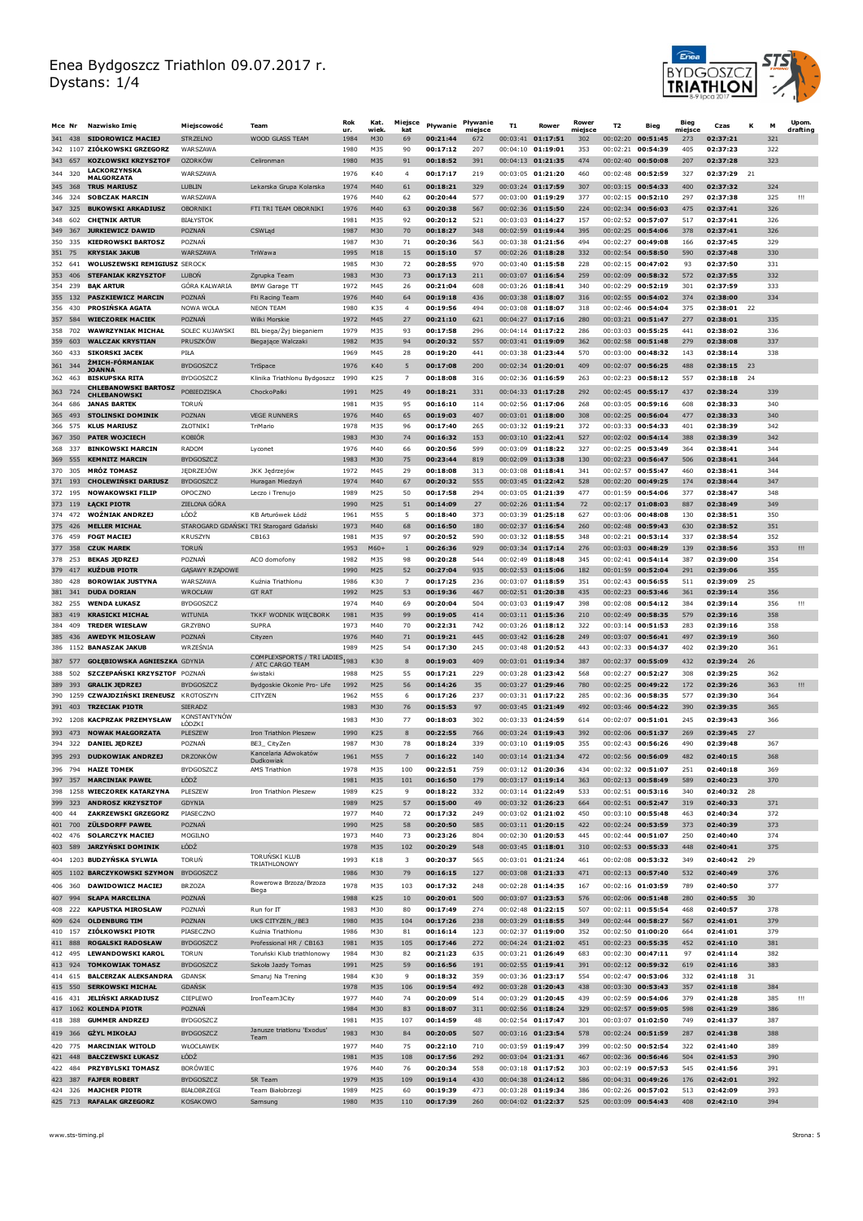

|            | Mce Nr             | Nazwisko Imie                                                       | Mieiscowość                             | Team                                         | Rok<br>ur.   | Kat.<br>wiek  | Miejsce<br>kat     | Pływanie             | Pływanie<br>miejsce | T <sub>1</sub> | Rower                                      | Rower<br>miejsce | T <sub>2</sub> | Bieg                                     | <b>Bieg</b><br>miejsce | Czas                 | К   |            | Upom.<br>drafting |
|------------|--------------------|---------------------------------------------------------------------|-----------------------------------------|----------------------------------------------|--------------|---------------|--------------------|----------------------|---------------------|----------------|--------------------------------------------|------------------|----------------|------------------------------------------|------------------------|----------------------|-----|------------|-------------------|
|            |                    | 341 438 SIDOROWICZ MACIEJ                                           | <b>STRZELNO</b>                         | <b>WOOD GLASS TEAM</b>                       | 1984         | M30           | 69                 | 00:21:44             | 672                 |                | 00:03:41 01:17:51                          | 302              |                | 00:02:20 00:51:45                        | 273                    | 02:37:21             |     | 321        |                   |
| 342        | 343 657            | 1107 ZIÓŁKOWSKI GRZEGORZ<br><b>KOZŁOWSKI KRZYSZTOF</b>              | <b>WARSZAWA</b><br>OZORKÓW              | Celironman                                   | 1980<br>1980 | M35<br>M35    | 90<br>91           | 00:17:12<br>00:18:52 | 207<br>391          |                | 00:04:10 01:19:01<br>00:04:13 01:21:35     | 353<br>474       | 00:02:21       | 00:54:39<br>00:02:40 00:50:08            | 405<br>207             | 02:37:23<br>02:37:28 |     | 322<br>323 |                   |
|            | 344 320            | <b>LACKORZYNSKA</b>                                                 | WARSZAWA                                |                                              | 1976         | K40           | $\overline{4}$     | 00:17:17             | 219                 |                | 00:03:05 01:21:20                          | 460              |                | 00:02:48 00:52:59                        | 327                    | 02:37:29             | 21  |            |                   |
|            | 345 368            | <b>MALGORZATA</b><br><b>TRUS MARIUSZ</b>                            | <b>LUBLIN</b>                           | Lekarska Grupa Kolarska                      | 1974         | M40           | 61                 | 00:18:21             | 329                 |                | 00:03:24 01:17:59                          | 307              |                | 00:03:15 00:54:33                        | 400                    | 02:37:32             |     | 324        |                   |
|            | 346 324            | <b>SOBCZAK MARCIN</b>                                               | WARSZAWA                                |                                              | 1976         | M40           | 62                 | 00:20:44             | 577                 |                | 00:03:00 01:19:29                          | 377              |                | 00:02:15 00:52:10                        | 297                    | 02:37:38             |     | 325        | Ш                 |
|            | 347 325            | <b>BUKOWSKI ARKADIUSZ</b>                                           | OBORNIKI                                | FTI TRI TEAM OBORNIKI                        | 1976         | M40           | 63                 | 00:20:38             | 567                 |                | 00:02:36 01:15:50                          | 224              |                | $00:02:34$ 00:56:03                      | 475                    | 02:37:41             |     | 326        |                   |
| 348<br>349 | 602<br>367         | <b>CHETNIK ARTUR</b><br><b>JURKIEWICZ DAWID</b>                     | <b>BIAŁYSTOK</b><br>POZNAŃ              | CSWLąd                                       | 1981<br>1987 | M35<br>M30    | 92<br>70           | 00:20:12<br>00:18:27 | 521<br>348          |                | $00:03:03$ 01:14:27<br>00:02:59 01:19:44   | 157<br>395       | 00:02:52       | 00:57:07<br>00:02:25 00:54:06            | 517<br>378             | 02:37:41<br>02:37:41 |     | 326<br>326 |                   |
| 350        | -335               | <b>KIEDROWSKI BARTOSZ</b>                                           | <b>POZNAN</b>                           |                                              | 1987         | M30           | 71                 | 00:20:36             | 563                 |                | 00:03:38 01:21:56                          | 494              |                | 00:02:27 00:49:08                        | 166                    | 02:37:45             |     | 329        |                   |
|            | 351 75             | <b>KRYSIAK JAKUB</b>                                                | <b>WARSZAWA</b>                         | TriWawa                                      | 1995         | M18           | 15                 | 00:15:10             | 57                  |                | 00:02:26 01:18:28                          | 332              |                | 00:02:54 00:58:50                        | 590                    | 02:37:48             |     | 330        |                   |
| 352        | 641                | WOLUSZEWSKI REMIGIUSZ SEROCK                                        |                                         |                                              | 1985         | M30           | 72                 | 00:28:55             | 970                 |                | 00:03:40 01:15:58                          | 228              |                | 00:02:15 00:47:02                        | 93                     | 02:37:50             |     | 331        |                   |
| 353<br>354 | 406<br>239         | <b>STEFANIAK KRZYSZTOF</b><br><b>BAK ARTUR</b>                      | <b>LUBON</b><br>GÓRA KALWARIA           | Zgrupka Team<br><b>BMW Garage TT</b>         | 1983<br>1972 | M30<br>M45    | 73<br>26           | 00:17:13<br>00:21:04 | 211<br>608          |                | 00:03:07 01:16:54<br>$00:03:26$ 01:18:41   | 259<br>340       | 00:02:09       | 00:58:32<br>$00:02:29$ 00:52:19          | 572<br>301             | 02:37:55<br>02:37:59 |     | 332<br>333 |                   |
| 355        | 132                | <b>PASZKIEWICZ MARCIN</b>                                           | POZNAŃ                                  | Fti Racing Team                              | 1976         | M40           | 64                 | 00:19:18             | 436                 |                | 00:03:38 01:18:07                          | 316              | 00:02:55       | 00:54:02                                 | 374                    | 02:38:00             |     | 334        |                   |
| 356        | 430                | <b>PROSINSKA AGATA</b>                                              | NOWA WOLA                               | <b>NEON TEAM</b>                             | 1980         | K35           | $\overline{4}$     | 00:19:56             | 494                 |                | $00:03:08$ 01:18:07                        | 318              |                | $00:02:46$ 00:54:04                      | 375                    | 02:38:01             | 22  |            |                   |
| 357<br>358 | 584<br>702         | <b>WIECZOREK MACIEK</b><br><b>WAWRZYNIAK MICHAŁ</b>                 | POZNAŃ<br>SOLEC KUJAWSKI                | Wilki Morskie<br>BIL biega/Zyj bieganiem     | 1972<br>1979 | M45<br>M35    | 27<br>93           | 00:21:10<br>00:17:58 | 621<br>296          |                | 00:04:27 01:17:16<br>00:04:14 01:17:22     | 280<br>286       | 00:03:03       | 00:03:21 00:51:47<br>00:55:25            | 277<br>441             | 02:38:01<br>02:38:02 |     | 335<br>336 |                   |
|            | 359 603            | <b>WALCZAK KRYSTIAN</b>                                             | PRUSZKÓW                                | Biegające Walczaki                           | 1982         | M35           | 94                 | 00:20:32             | 557                 |                | 00:03:41 01:19:09                          | 362              |                | 00:02:58 00:51:48                        | 279                    | 02:38:08             |     | 337        |                   |
| 360        | 433                | <b>SIKORSKI JACEK</b>                                               | PIŁA                                    |                                              | 1969         | M45           | 28                 | 00:19:20             | 441                 |                | 00:03:38 01:23:44                          | 570              | 00:03:00       | 00:48:32                                 | 143                    | 02:38:14             |     | 338        |                   |
| 361        | 344                | ŻMICH-FÓRMANIAK<br><b>JOANNA</b>                                    | <b>BYDGOSZCZ</b>                        | TriSpace                                     | 1976         | K40           | 5                  | 00:17:08             | 200                 |                | 00:02:34 01:20:01                          | 409              |                | 00:02:07 00:56:25                        | 488                    | 02:38:15             | 23  |            |                   |
| 362        | 463                | <b>BISKUPSKA RITA</b>                                               | <b>BYDGOSZCZ</b>                        | Klinika Triathlonu Bydgoszcz                 | 1990         | K25           | $\overline{7}$     | 00:18:08             | 316                 |                | 00:02:36 01:16:59                          | 263              | 00:02:23       | 00:58:12                                 | 557                    | 02:38:18             | -24 |            |                   |
| 363        | 724                | <b>CHLEBANOWSKI BARTOSZ</b><br><b>CHLEBANOWSKI</b>                  | POBIEDZISKA                             | ChockoPałki                                  | 1991         | M25           | 49                 | 00:18:21             | 331                 |                | 00:04:33 01:17:28                          | 292              |                | 00:02:45 00:55:17                        | 437                    | 02:38:24             |     | 339        |                   |
| 364        | 686<br>365 493     | <b>JANAS BARTEK</b><br><b>STOLINSKI DOMINIK</b>                     | <b>TORUN</b><br>POZNAN                  | <b>VEGE RUNNERS</b>                          | 1981<br>1976 | M35<br>M40    | 95<br>65           | 00:16:10<br>00:19:03 | 114<br>407          |                | 00:02:56 01:17:06<br>$00:03:01$ 01:18:00   | 268<br>308       |                | 00:03:05 00:59:16<br>00:02:25 00:56:04   | 608<br>477             | 02:38:33<br>02:38:33 |     | 340<br>340 |                   |
| 366        | 575                | <b>KLUS MARIUSZ</b>                                                 | ZŁOTNIKI                                | TriMario                                     | 1978         | M35           | 96                 | 00.17.40             | 265                 |                | 00:03:32 01:19:21                          | 372              | 00:03:33       | 00:54:33                                 | 401                    | 02:38:39             |     | 342        |                   |
| 367        | 350                | <b>PATER WOJCIECH</b>                                               | <b>KOBIÓR</b>                           |                                              | 1983         | M30           | 74                 | 00:16:32             | 153                 |                | 00:03:10 01:22:41                          | 527              |                | 00:02:02 00:54:14                        | 388                    | 02:38:39             |     | 342        |                   |
| 368        | -337<br>555        | <b>BINKOWSKI MARCIN</b>                                             | RADOM<br><b>BYDGOSZCZ</b>               | Lyconet                                      | 1976         | M40           | 66                 | 00:20:56             | 599                 |                | 00:03:09 01:18:22                          | 327<br>130       | 00:02:25       | 00:53:49                                 | 364                    | 02:38:41             |     | 344        |                   |
| 369<br>370 | 305                | <b>KEMNITZ MARCIN</b><br><b>MRÓZ TOMASZ</b>                         | JĘDR ZEJÓW                              | JKK Jędrzejów                                | 1983<br>1972 | M30<br>M45    | 75<br>29           | 00:23:44<br>00:18:08 | 819<br>313          |                | 00:02:09 01:13:38<br>00:03:08 01:18:41     | 341              | 00:02:57       | 00:02:23 00:56:47<br>00:55:47            | 506<br>460             | 02:38:41<br>02:38:41 |     | 344<br>344 |                   |
|            | 371 193            | <b>CHOLEWIŃSKI DARIUSZ</b>                                          | <b>BYDGOSZCZ</b>                        | Huragan Miedzyń                              | 1974         | M40           | 67                 | 00:20:32             | 555                 |                | 00:03:45 01:22:42                          | 528              |                | $00:02:20$ 00:49:25                      | 174                    | 02:38:44             |     | 347        |                   |
| 372        | 195                | <b>NOWAKOWSKI FILIF</b>                                             | OPOCZNO                                 | Leczo i Trenujo                              | 1989         | M25           | 50                 | 00:17:58             | 294                 |                | $00:03:05$ 01:21:39                        | 477              | 00:01:59       | 00:54:06                                 | 377                    | 02:38:47             |     | 348        |                   |
| 374        | 373 119<br>472     | <b>ŁĄCKI PIOTR</b><br><b>WOŹNIAK ANDRZEJ</b>                        | ZIELONA GÓRA<br>ŁÓDŹ                    | KB Arturówek Łódź                            | 1990<br>1961 | M25<br>M55    | 51<br>5            | 00:14:09<br>00:18:40 | 27<br>373           |                | 00:02:26 01:11:54<br>00:03:39 01:25:18     | 72<br>627        | 00:03:06       | 00:02:17 01:08:03<br>00:48:08            | 887<br>130             | 02:38:49<br>02:38:51 |     | 349<br>350 |                   |
|            | 375 426            | <b>MELLER MICHAŁ</b>                                                |                                         | STAROGARD GDAŃSKI TRI Starogard Gdański      | 1973         | M40           | 68                 | 00:16:50             | 180                 |                | 00:02:37 01:16:54                          | 260              |                | $00:02:48$ 00:59:43                      | 630                    | 02:38:52             |     | 351        |                   |
| 376        | 459                | <b>FOGT MACIEJ</b>                                                  | KRUSZYN                                 | CB163                                        | 1981         | M35           | 97                 | 00:20:52             | 590                 |                | 00:03:32 01:18:55                          | 348              |                | 00:02:21 00:53:14                        | 337                    | 02:38:54             |     | 352        |                   |
| 377        | 358<br>253         | <b>CZUK MAREK</b><br><b>BEKAS JEDRZEJ</b>                           | <b>TORUN</b><br>POZNAŃ                  |                                              | 1953<br>1982 | $M60+$<br>M35 | $\mathbf{1}$<br>98 | 00:26:36<br>00:20:28 | 929<br>544          |                | 00:03:34 01:17:14<br>00:02:49 01:18:48     | 276<br>345       |                | 00:03:03 00:48:29<br>00:02:41 00:54:14   | 139<br>387             | 02:38:56<br>02:39:00 |     | 353<br>354 | Ш                 |
| 378<br>379 | 417                | <b>KUŻDUB PIOTR</b>                                                 | GASAWY RZĄDOWE                          | ACO domofony                                 | 1990         | M25           | 52                 | 00:27:04             | 935                 |                | 00:02:53 01:15:06                          | 182              |                | 00:01:59 00:52:04                        | 291                    | 02:39:06             |     | 355        |                   |
| 380        | 428                | <b>BOROWIAK JUSTYNA</b>                                             | WARSZAWA                                | Kuźnia Triathlonu                            | 1986         | K30           | $\overline{7}$     | 00:17:25             | 236                 |                | 00:03:07 01:18:59                          | 351              |                | 00:02:43 00:56:55                        | 511                    | 02:39:09             | 25  |            |                   |
| 381        | 341                | <b>DUDA DORIAN</b>                                                  | WROCŁAW                                 | <b>GT RAT</b>                                | 1992         | M25           | 53                 | 00:19:36             | 467                 |                | 00:02:51 01:20:38                          | 435              | 00:02:23       | 00:53:46                                 | 361                    | 02:39:14             |     | 356        |                   |
| 382<br>383 | 255<br>419         | <b>WENDA ŁUKASZ</b><br><b>KRASICKI MICHAŁ</b>                       | <b>BYDGOSZCZ</b><br>WITUNIA             | TKKF WODNIK WIĘCBORK                         | 1974<br>1981 | M40<br>M35    | 69<br>99           | 00:20:04<br>00:19:05 | 504<br>414          |                | 00:03:03 01:19:47<br>00:03:11 01:15:36     | 398<br>210       | 00:02:49       | 00:02:08 00:54:12<br>00:58:35            | 384<br>579             | 02:39:14<br>02:39:16 |     | 356<br>358 | Ш                 |
| 384        | 409                | <b>TREDER WIESŁAW</b>                                               | <b>GRZYBNC</b>                          | <b>SUPRA</b>                                 | 1973         | M40           | 70                 | 00:22:31             | 742                 |                | 00:03:26 01:18:12                          | 322              | 00:03:14       | 00:51:53                                 | 283                    | 02:39:16             |     | 358        |                   |
|            | 385 436            | <b>AWEDYK MIŁOSŁAW</b>                                              | POZNAŃ                                  | Cityzen                                      | 1976         | M40           | 71                 | 00:19:21             | 445                 |                | 00:03:42 01:16:28                          | 249              |                | 00:03:07 00:56:41                        | 497                    | 02:39:19             |     | 360        |                   |
| 386        |                    | 1152 BANASZAK JAKUB                                                 | WRZEŚNIA                                | COMPLEXSPORTS / TRI LADIES <sub>1983</sub>   | 1989         | M25           | 54                 | 00:17:30             | 245                 |                | 00:03:48 01:20:52                          | 443              | 00:02:33       | 00:54:37                                 | 402                    | 02:39:20             |     | 361        |                   |
| 387        | 577<br>502         | <b>GOŁĘBIOWSKA AGNIESZKA GDYNIA</b><br>SZCZEPAŃSKI KRZYSZTOF POZNAŃ |                                         | / ATC CARGO TEAM                             | 1988         | K30<br>M25    | 8<br>55            | 00:19:03<br>00:17:21 | 409<br>229          |                | 00:03:01 01:19:34<br>00:03:28 01:23:42     | 387<br>568       | 00:02:27       | 00:02:37 00:55:09<br>00:52:27            | 432<br>308             | 02:39:24<br>02:39:25 | 26  | 362        |                   |
| 388<br>389 | 393                | <b>GRALIK JEDRZEJ</b>                                               | <b>BYDGOSZCZ</b>                        | świstaki<br>Bydgoskie Okonie Pro- Life       | 1992         | M25           | 56                 | 00:14:26             | 35                  |                | $00:03:27$ 01:29:46                        | 780              |                | 00:02:25 00:49:22                        | 172                    | 02:39:26             |     | 363        | Ш                 |
| 390        |                    | 1259 CZWAJDZIŃSKI IRENEUSZ KROTOSZYN                                |                                         | CITYZEN                                      | 1962         | M55           | 6                  | 00:17:26             | 237                 |                | $00:03:31$ 01:17:22                        | 285              | 00:02:36       | 00:58:35                                 | 577                    | 02:39:30             |     | 364        |                   |
|            |                    | 391 403 TRZECIAK PIOTR                                              | <b>SIERADZ</b><br>KONSTANTYNÓW          |                                              | 1983         | M30           | 76                 | 00:15:53             | 97                  |                | 00:03:45 01:21:49                          | 492              |                | 00:03:46 00:54:22                        | 390                    | 02:39:35             |     | 365        |                   |
|            |                    | 392 1208 KACPRZAK PRZEMYSŁAW                                        | ŁÓDZKI                                  |                                              | 1983         | M30           | 77                 | 00:18:03             | 302                 |                | 00:03:33 01:24:59                          | 614              |                | 00:02:07 00:51:01                        | 245                    | 02-39-43             |     | 366        |                   |
|            | 393 473<br>394 322 | <b>NOWAK MAŁGORZATA</b><br><b>DANIEL JEDRZEJ</b>                    | PLESZEW<br>POZNAN                       | <b>Iron Triathlon Pleszew</b><br>BE3_CityZen | 1990<br>1987 | K25<br>M30    | 8<br>78            | 00:22:55<br>00:18:24 | 766<br>339          |                | $00:03:24$ 01:19:43<br>$00:03:10$ 01:19:05 | 392<br>355       |                | $00:02:06$ 00:51:37<br>00:02:43 00:56:26 | 269<br>490             | 02:39:45<br>02:39:48 | 27  | 367        |                   |
|            |                    | 395 293 DUDKOWIAK ANDRZEJ                                           | <b>DRZONKÓW</b>                         | Kancelaria Adwokatów<br>Dudkowiak            | 1961         | M55           | $\overline{7}$     | 00:16:22             | 140                 |                | 00:03:14 01:21:34                          | 472              |                | 00:02:56 00:56:09                        | 482                    | 02.40.15             |     | 368        |                   |
| 396        | 794                | <b>HAIZE TOMEK</b>                                                  | <b>BYDGOSZCZ</b>                        | AMS Triathlon                                | 1978         | M35           | 100                | 00:22:51             | 759                 |                | 00:03:12 01:20:36                          | 434              |                | 00:02:32 00:51:07                        | 251                    | 02:40:18             |     | 369        |                   |
|            |                    | 397 357 MARCINIAK PAWEŁ                                             | ŁÓDŻ                                    |                                              | 1981         | M35           | 101                | 00:16:50             | 179                 |                | 00:03:17 01:19:14                          | 363              |                | 00:02:13 00:58:49                        | 589                    | 02:40:23             |     | 370        |                   |
| 398        |                    | 1258 WIECZOREK KATARZYNA<br>399 323 ANDROSZ KRZYSZTOF               | PLESZEW<br>GDYNIA                       | <b>Iron Triathlon Pleszew</b>                | 1989<br>1989 | K25<br>M25    | 9<br>57            | 00:18:22<br>00:15:00 | 332<br>49           |                | 00:03:14 01:22:49<br>00:03:32 01:26:23     | 533<br>664       |                | 00:02:51 00:53:16<br>00:02:51 00:52:47   | 340<br>319             | 02:40:32<br>02:40:33 | 28  | 371        |                   |
| 400        | 44                 | ZAKRZEWSKI GRZEGORZ                                                 | PIASECZNO                               |                                              | 1977         | M40           | 72                 | 00:17:32             | 249                 |                | 00:03:02 01:21:02                          | 450              |                | 00:03:10 00:55:48                        | 463                    | 02:40:34             |     | 372        |                   |
|            |                    | 401 700 ZÜLSDORFF PAWEŁ                                             | POZNAŃ                                  |                                              | 1990         | M25           | 58                 | 00:20:50             | 585                 |                | 00:03:11 01:20:15                          | 422              |                | 00:02:24 00:53:59                        | 373                    | 02:40:39             |     | 373        |                   |
|            | 402 476            | <b>SOLARCZYK MACIEJ</b><br>403 589 JARZYŃSKI DOMINIK                | MOGILNO<br>ŁÓDŹ                         |                                              | 1973<br>1978 | M40<br>M35    | 73<br>102          | 00:23:26<br>00:20:29 | 804<br>548          |                | 00:02:30 01:20:53<br>00:03:45 01:18:01     | 445<br>310       |                | 00:02:44 00:51:07<br>00:02:53 00:55:33   | 250<br>448             | 02:40:40<br>02:40:41 |     | 374<br>375 |                   |
|            |                    | 404 1203 BUDZYŃSKA SYLWIA                                           | TORUŃ                                   | TORUŃSKI KLUB                                | 1993         | K18           | 3                  | 00:20:37             | 565                 |                | 00:03:01 01:21:24                          | 461              |                | 00:02:08 00:53:32                        | 349                    | 02:40:42 29          |     |            |                   |
|            |                    | 405 1102 BARCZYKOWSKI SZYMON                                        | <b>BYDGOSZCZ</b>                        | TRIATHLONOWY                                 | 1986         | M30           | 79                 | 00:16:15             | 127                 |                | 00:03:08 01:21:33                          | 471              |                | 00:02:13 00:57:40                        | 532                    | 02:40:49             |     | 376        |                   |
|            |                    | 406 360 DAWIDOWICZ MACIEJ                                           | <b>BRZOZA</b>                           | Rowerowa Brzoza/Brzoza<br>Biega              | 1978         | M35           | 103                | 00:17:32             | 248                 |                | 00:02:28 01:14:35                          | 167              |                | 00:02:16 01:03:59                        | 789                    | 02:40:50             |     | 377        |                   |
|            |                    | 407 994 SŁAPA MARCELINA                                             | POZNAŃ                                  |                                              | 1988         | K25           | 10                 | 00:20:01             | 500                 |                | 00:03:07 01:23:53                          | 576              |                | 00:02:06 00:51:48                        | 280                    | 02:40:55             | 30  |            |                   |
| 408        | 222                | <b>KAPUSTKA MIROSŁAW</b>                                            | POZNAŃ                                  | Run for IT                                   | 1983         | M30           | 80                 | 00:17:49             | 274                 |                | 00:02:48 01:22:15                          | 507              |                | 00:02:11 00:55:54                        | 468                    | 02:40:57             |     | 378        |                   |
|            | 410 157            | 409 624 OLDENBURG TIM<br>ZIÓŁKOWSKI PIOTR                           | POZNAN<br>PIASECZNO                     | UKS CITYZEN / BE3<br>Kuźnia Triathlonu       | 1980<br>1986 | M35<br>M30    | 104<br>81          | 00:17:26<br>00:16:14 | 238<br>123          |                | 00:03:29 01:18:55<br>00:02:37 01:19:00     | 349<br>352       |                | 00:02:44 00:58:27<br>00:02:50 01:00:20   | 567<br>664             | 02:41:01<br>02:41:01 |     | 379<br>379 |                   |
|            | 411 888            | <b>ROGALSKI RADOSŁAW</b>                                            | <b>BYDGOSZCZ</b>                        | Professional HR / CB163                      | 1981         | M35           | 105                | 00:17:46             | 272                 |                | 00:04:24 01:21:02                          | 451              |                | 00:02:23 00:55:35                        | 452                    | 02:41:10             |     | 381        |                   |
|            | 412 495            | <b>LEWANDOWSKI KAROL</b>                                            | <b>TORUN</b>                            | Toruński Klub triathlonowy                   | 1984         | M30           | 82                 | 00:21:23             | 635                 |                | 00:03:21 01:26:49                          | 683              |                | 00:02:30 00:47:11                        | 97                     | 02:41:14             |     | 382        |                   |
|            | 414 615            | 413 924 TOMKOWIAK TOMASZ<br><b>BALCERZAK ALEKSANDRA</b>             | <b>BYDGOSZCZ</b><br><b>GDANSK</b>       | Szkoła Jazdy Tomas<br>Smaruj Na Trening      | 1991<br>1984 | M25<br>K30    | 59<br>9            | 00:16:56<br>00:18:32 | 191<br>359          |                | 00:02:55 01:19:41<br>00:03:36 01:23:17     | 391<br>554       |                | 00:02:12 00:59:32<br>00:02:47 00:53:06   | 619<br>332             | 02:41:16<br>02:41:18 | 31  | 383        |                   |
|            |                    | 415 550 SERKOWSKI MICHAŁ                                            | <b>GDANSK</b>                           |                                              | 1978         | M35           | 106                | 00:19:54             | 492                 |                | 00:03:28 01:20:43                          | 438              |                | 00:03:30 00:53:43                        | 357                    | 02:41:18             |     | 384        |                   |
|            |                    | 416 431 JELIŃSKI ARKADIUSZ                                          | CIEPLEWO                                | IronTeam3City                                | 1977         | M40           | 74                 | 00:20:09             | 514                 |                | 00:03:29 01:20:45                          | 439              |                | 00:02:59 00:54:06                        | 379                    | 02:41:28             |     | 385        | Ш                 |
|            | 418 388            | 417 1062 KOLENDA PIOTR<br><b>GUMMER ANDRZEJ</b>                     | POZNAŃ<br><b>BYDGOSZCZ</b>              |                                              | 1984<br>1981 | M30<br>M35    | 83<br>107          | 00:18:07<br>00:14:59 | 311<br>48           |                | 00:02:56 01:18:24<br>00:02:54 01:17:47     | 329<br>301       |                | 00:02:57 00:59:05<br>00:03:07 01:02:50   | 598<br>749             | 02:41:29<br>02:41:37 |     | 386<br>387 |                   |
|            |                    | 419 366 GŻYL MIKOŁAJ                                                | <b>BYDGOSZCZ</b>                        | Janusze triatlonu 'Exodus'                   | 1983         | M30           | 84                 | 00:20:05             | 507                 |                | 00:03:16 01:23:54                          | 578              |                | 00:02:24 00:51:59                        | 287                    | 02:41:38             |     | 388        |                   |
|            | 420 775            | <b>MARCINIAK WITOLD</b>                                             | WŁOCŁAWEK                               | Team                                         | 1977         | M40           | 75                 | 00:22:10             | 710                 |                | 00:03:59 01:19:47                          | 399              |                | 00:02:50 00:52:54                        | 322                    | 02:41:40             |     | 389        |                   |
|            | 421 448            | <b>BAŁCZEWSKI ŁUKASZ</b>                                            | ŁÓDŹ                                    |                                              | 1981         | M35           | 108                | 00:17:56             | 292                 |                | 00:03:04 01:21:31                          | 467              |                | 00:02:36 00:56:46                        | 504                    | 02:41:53             |     | 390        |                   |
|            | 422 484            | <b>PRZYBYLSKI TOMASZ</b>                                            | <b>BOROWIEC</b>                         |                                              | 1976         | M40           | 76                 | 00:20:34             | 558                 |                | 00:03:18 01:17:52                          | 303              |                | 00:02:19 00:57:53                        | 545                    | 02:41:56             |     | 391        |                   |
|            | 423 387<br>424 326 | <b>FAJFER ROBERT</b><br><b>MAJCHER PIOTR</b>                        | <b>BYDGOSZCZ</b><br><b>BIAŁOBR ZEGI</b> | 5R Team<br>Team Białobrzegi                  | 1979<br>1989 | M35<br>M25    | 109<br>60          | 00:19:14<br>00:19:39 | 430<br>473          |                | 00:04:38 01:24:12<br>00:03:28 01:19:34     | 586<br>386       |                | 00:04:31 00:49:26<br>00:02:26 00:57:02   | 176<br>513             | 02:42:01<br>02:42:09 |     | 392<br>393 |                   |
|            |                    | 425 713 RAFALAK GRZEGORZ                                            | KOSAKOWO                                | Samsung                                      | 1980         | M35           | 110                | 00:17:39             | 260                 |                | 00:04:02 01:22:37                          | 525              |                | 00:03:09 00:54:43                        | 408                    | 02:42:10             |     | 394        |                   |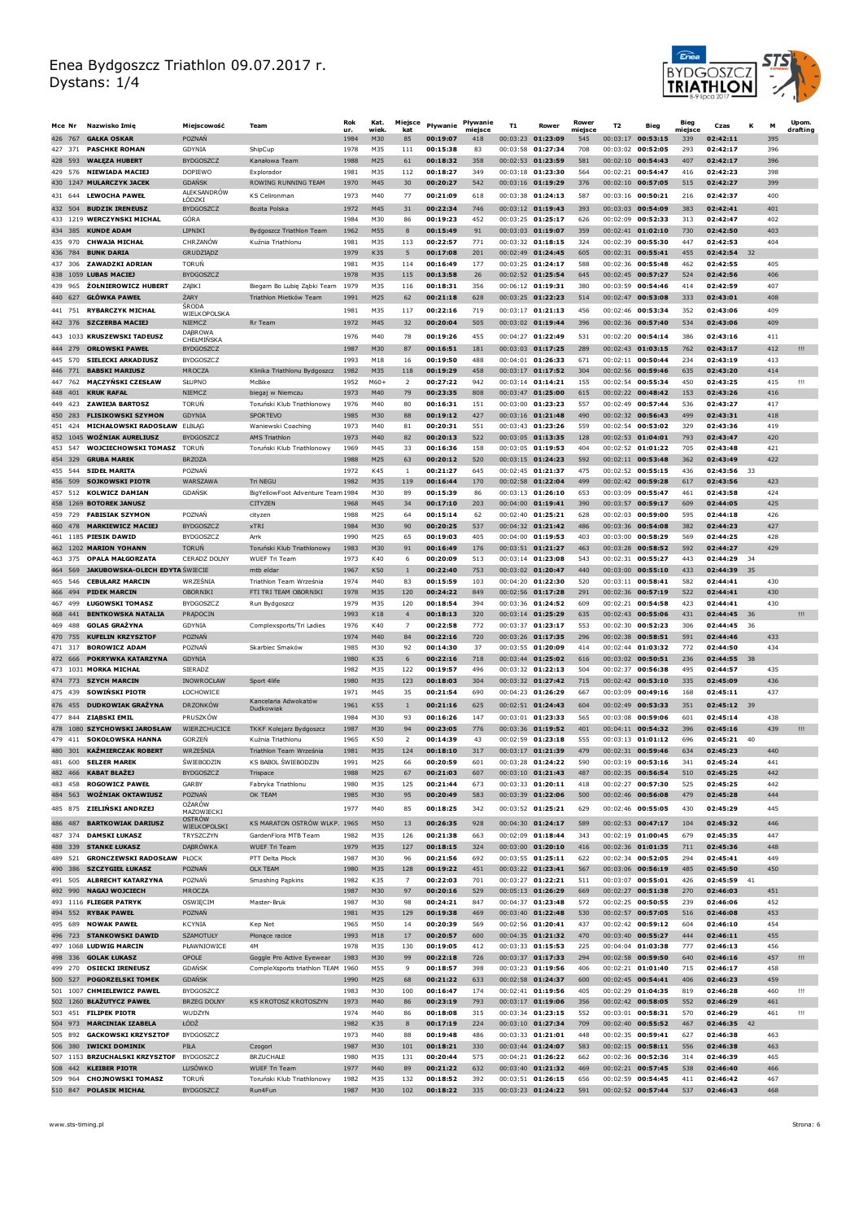

| Mce Nr                | Nazwisko Imię                                            | Miejscowość                           | Team                                                 | Rok<br>ur.   | Kat.<br>wiek.          | Miejsce<br>kat       | Pływanie             | Pływanie<br>mieisce | T1 | Rower                                      | Rower<br>miejsce | T2       | Bieg                                     | Bieg<br>miejsce | Czas                 | к   | M          | Upom.<br>drafting |
|-----------------------|----------------------------------------------------------|---------------------------------------|------------------------------------------------------|--------------|------------------------|----------------------|----------------------|---------------------|----|--------------------------------------------|------------------|----------|------------------------------------------|-----------------|----------------------|-----|------------|-------------------|
| 426 767               | <b>GAŁKA OSKAR</b>                                       | POZNAŃ                                |                                                      | 1984         | M30                    | 85                   | 00:19:07             | 418                 |    | 00:03:23 01:23:09                          | 545              |          | 00:03:17 00:53:15                        | 339             | 02:42:11             |     | 395        |                   |
| 427 371               | <b>PASCHKE ROMAN</b>                                     | GDYNIA                                | ShipCup                                              | 1978         | M35                    | 111                  | 00:15:38             | 83                  |    | 00:03:58 01:27:34                          | 708              |          | 00:03:02 00:52:05                        | 293             | 02:42:17             |     | 396        |                   |
| 428 593<br>429 576    | <b>WAŁEZA HUBERT</b><br><b>NIEWIADA MACIEJ</b>           | <b>BYDGOSZCZ</b><br><b>DOPIEWO</b>    | Kanałowa Team<br>Explorador                          | 1988<br>1981 | M25<br>M35             | 61<br>112            | 00:18:32<br>00:18:27 | 358<br>349          |    | 00:02:53 01:23:59<br>00:03:18 01:23:30     | 581<br>564       |          | 00:02:10 00:54:43<br>00:02:21 00:54:47   | 407<br>416      | 02:42:17<br>02:42:23 |     | 396<br>398 |                   |
|                       | 430 1247 MULARCZYK JACEK                                 | <b>GDANSK</b>                         | ROWING RUNNING TEAM                                  | 1970         | M45                    | 30                   | 00:20:27             | 542                 |    | 00:03:16 01:19:29                          | 376              |          | 00:02:10 00:57:05                        | 515             | 02:42:27             |     | 399        |                   |
|                       | 431 644 LEWOCHA PAWEŁ                                    | <b>ALEK SANDROW</b><br>ŁODZKI         | KS Celironman                                        | 1973         | M40                    | 77                   | 00:21:09             | 618                 |    | 00:03:38 01:24:13                          | 587              |          | $00:03:16$ 00:50:21                      | 216             | 02:42:37             |     | 400        |                   |
| 432 504               | <b>BUDZIK IRENEUSZ</b>                                   | <b>BYDGOSZCZ</b>                      | Bozita Polska                                        | 1972         | M45                    | 31                   | 00:22:34             | 746                 |    | 00:03:12 01:19:43                          | 393              |          | $00:03:03$ 00:54:09                      | 383             | 02:42:41             |     | 401        |                   |
|                       | 433 1219 WERCZYNSKI MICHAL                               | GÓRA                                  |                                                      | 1984         | M30                    | 86                   | 00:19:23             | 452                 |    | $00:03:25$ 01:25:17                        | 626              |          | $00:02:09$ 00:52:33                      | 313             | 02:42:47             |     | 402        |                   |
| 435 970               | 434 385 KUNDE ADAM<br><b>CHWAJA MICHAŁ</b>               | LIPNIKI<br>CHRZANÓW                   | Bydgoszcz Triathlon Team<br>Kuźnia Triathlonu        | 1962<br>1981 | M55<br>M35             | 8<br>113             | 00:15:49<br>00:22:57 | 91<br>771           |    | 00:03:03 01:19:07<br>00:03:32 01:18:15     | 359<br>324       |          | 00:02:41 01:02:10<br>00:02:39 00:55:30   | 730<br>447      | 02:42:50<br>02:42:53 |     | 403<br>404 |                   |
| 436 784               | <b>BUNK DARIA</b>                                        | GRUDZIĄDZ                             |                                                      | 1979         | K35                    | 5                    | 00:17:08             | 201                 |    | 00:02:49 01:24:45                          | 605              |          | 00:02:31 00:55:41                        | 455             | 02:42:54             | 32  |            |                   |
| 437 306               | <b>ZAWADZKI ADRIAN</b>                                   | <b>TORUN</b>                          |                                                      | 1981         | M35                    | 114                  | 00:16:49             | 177                 |    | 00:03:25 01:24:17                          | 588              | 00:02:36 | 00:55:48                                 | 462             | 02:42:55             |     | 405        |                   |
|                       | 438 1059 LUBAS MACIEJ<br><b>ŻOŁNIEROWICZ HUBERT</b>      | <b>BYDGOSZCZ</b>                      |                                                      | 1978         | M35                    | 115                  | 00:13:58<br>00:18:31 | 26                  |    | 00:02:52 01:25:54<br>$00:06:12$ 01:19:31   | 645              |          | 00:02:45 00:57:27                        | 524             | 02:42:56<br>02:42:59 |     | 406        |                   |
| 965<br>439<br>440 627 | <b>GŁÓWKA PAWEŁ</b>                                      | ZABKI<br><b>ZARY</b>                  | Biegam Bo Lubię Ząbki Team<br>Triathlon Mietków Team | 1979<br>1991 | M35<br>M25             | 116<br>62            | 00:21:18             | 356<br>628          |    | 00:03:25 01:22:23                          | 380<br>514       | 00:03:59 | 00:54:46<br>00:02:47 00:53:08            | 414<br>333      | 02:43:01             |     | 407<br>408 |                   |
| 441 751               | <b>RYBARCZYK MICHAŁ</b>                                  | ŚRODA                                 |                                                      | 1981         | M35                    | 117                  | 00:22:16             | 719                 |    | 00:03:17 01:21:13                          | 456              |          | 00:02:46 00:53:34                        | 352             | 02:43:06             |     | 409        |                   |
|                       | 442 376 SZCZERBA MACIEJ                                  | WIELKOPOLSKA<br>NIEMCZ                | <b>Rr</b> Team                                       | 1972         | M45                    | 32                   | 00:20:04             | 505                 |    | $00:03:02$ 01:19:44                        | 396              |          | $00:02:36$ 00:57:40                      | 534             | 02:43:06             |     | 409        |                   |
|                       | 443 1033 KRUSZEWSKI TADEUSZ                              | DĄBROWA<br>CHEŁMIŃSKA                 |                                                      | 1976         | M40                    | 78                   | 00:19:26             | 455                 |    | 00:04:27 01:22:49                          | 531              |          | 00:02:20 00:54:14                        | 386             | 02:43:16             |     | 411        |                   |
| 444 279               | <b>ORŁOWSKI PAWEŁ</b>                                    | <b>BYDGOSZCZ</b>                      |                                                      | 1987         | M30                    | 87                   | 00:16:51             | 181                 |    | 00:03:03 01:17:25                          | 289              |          | 00:02:43 01:03:15                        | 762             | 02:43:17             |     | 412        | Ш                 |
| 445 570               | <b>SIELECKI ARKADIUSZ</b>                                | <b>BYDGOSZCZ</b>                      |                                                      | 1993         | M18                    | 16                   | 00:19:50             | 488                 |    | 00:04:01 01:26:33                          | 671              | 00:02:11 | 00:50:44                                 | 234             | 02:43:19             |     | 413        |                   |
| 446 771<br>447<br>762 | <b>BABSKI MARIUSZ</b><br><b>MĄCZYŃSKI CZESŁAW</b>        | MROCZA<br>SŁUPNO                      | Klinika Triathlonu Bydgoszcz<br>McBike               | 1982<br>1952 | M35<br>M60+            | 118<br>$\mathcal{L}$ | 00:19:29<br>00:27:22 | 458<br>942          |    | 00:03:17 01:17:52<br>00:03:14 01:14:21     | 304<br>155       | 00:02:54 | 00:02:56 00:59:46<br>00:55:34            | 635<br>450      | 02:43:20<br>02:43:25 |     | 414<br>415 | Ш                 |
| 448 401               | <b>KRUK RAFAŁ</b>                                        | NIEMCZ                                | biegaj w Niemczu                                     | 1973         | M40                    | 79                   | 00:23:35             | 808                 |    | 00:03:47 01:25:00                          | 615              |          | 00:02:22 00:48:42                        | 153             | 02:43:26             |     | 416        |                   |
| 423<br>449            | <b>ZAWIEJA BARTOSZ</b>                                   | <b>TORUN</b>                          | Toruński Klub Triathlonowy                           | 1976         | M40                    | 80                   | 00:16:31             | 151                 |    | 00:03:00 01:23:23                          | 557              | 00:02:49 | 00:57:44                                 | 536             | 02:43:27             |     | 417        |                   |
| 450 283               | <b>FLISIKOWSKI SZYMON</b>                                | <b>GDYNIA</b>                         | SPORTEVO                                             | 1985         | M30                    | 88                   | 00:19:12             | 427                 |    | 00:03:16 01:21:48                          | 490              |          | 00:02:32 00:56:43                        | 499             | 02:43:31             |     | 418        |                   |
| 424<br>451            | MICHAŁOWSKI RADOSŁAW<br>452 1045 WOŹNIAK AURELIUSZ       | <b>ELBLAG</b><br><b>BYDGOSZCZ</b>     | Waniewski Coaching<br>AMS Triathlon                  | 1973<br>1973 | M40<br>M40             | 81<br>82             | 00:20:31<br>00:20:13 | 551<br>522          |    | 00:03:43 01:23:26<br>00:03:05 01:13:35     | 559<br>128       | 00:02:54 | 00:53:02<br>$00:02:53$ 01:04:01          | 329<br>793      | 02:43:36<br>02:43:47 |     | 419<br>420 |                   |
| 453 547               | <b>WOJCIECHOWSKI TOMASZ</b>                              | <b>TORUN</b>                          | Toruński Klub Triathlonowy                           | 1969         | M45                    | 33                   | 00:16:36             | 158                 |    | $00:03:05$ 01:19:53                        | 404              |          | 00:02:52 01:01:22                        | 705             | 02:43:48             |     | 421        |                   |
| 454 329               | <b>GRUBA MAREK</b>                                       | <b>BRZOZA</b>                         |                                                      | 1988         | M25                    | 63                   | 00:20:12             | 520                 |    | 00:03:15 01:24:23                          | 592              |          | 00:02:11 00:53:48                        | 362             | 02:43:49             |     | 422        |                   |
| 455 544<br>456 509    | <b>SIDEŁ MARITA</b>                                      | POZNAŃ<br>WAR SZAWA                   |                                                      | 1972         | K45                    | -1                   | 00:21:27             | 645                 |    | 00:02:45 01:21:37<br>00:02:58 01:22:04     | 475              |          | 00:02:52 00:55:15<br>$00:02:42$ 00:59:28 | 436             | 02:43:56             | 33  |            |                   |
| 457 512               | <b>SOJKOWSKI PIOTR</b><br><b>KOLWICZ DAMIAN</b>          | <b>GDANSK</b>                         | <b>Tri NEGU</b><br>BigYellowFoot Adventure Team 1984 | 1982         | M35<br>M30             | 119<br>89            | 00:16:44<br>00:15:39 | 170<br>86           |    | 00:03:13 01:26:10                          | 499<br>653       |          | 00:03:09 00:55:47                        | 617<br>461      | 02:43:56<br>02:43:58 |     | 423<br>424 |                   |
|                       | 458 1269 BOTOREK JANUSZ                                  |                                       | <b>CITYZEN</b>                                       | 1968         | M45                    | 34                   | 00:17:10             | 203                 |    | 00:04:00 01:19:41                          | 390              |          | 00:03:57 00:59:17                        | 609             | 02:44:05             |     | 425        |                   |
| 459 729               | <b>FABISIAK SZYMON</b>                                   | <b>POZNAN</b>                         | cityzen                                              | 1988         | M25                    | 64                   | 00:15:14             | 62                  |    | 00:02:40 01:25:21                          | 628              | 00:02:03 | 00:59:00                                 | 595             | 02:44:18             |     | 426        |                   |
| 460 478               | <b>MARKIEWICZ MACIEJ</b>                                 | <b>BYDGOSZCZ</b>                      | xTRI                                                 | 1984         | M30                    | 90                   | 00:20:25             | 537                 |    | 00:04:32 01:21:42                          | 486              |          | 00:03:36 00:54:08                        | 382             | 02:44:23             |     | 427        |                   |
|                       | 461 1185 PIESIK DAWID<br>462 1202 MARION YOHANN          | <b>BYDGOSZCZ</b><br><b>TORUN</b>      | Amk<br>Toruński Klub Triathlonowy                    | 1990<br>1983 | M25<br>M30             | 65<br>91             | 00:19:03<br>00:16:49 | 405<br>176          |    | 00:04:00 01:19:53<br>00:03:51 01:21:27     | 403<br>463       |          | 00:03:00 00:58:29<br>00:03:28 00:58:52   | 569<br>592      | 02:44:25<br>02:44:27 |     | 428<br>429 |                   |
| 463 375               | <b>OPALA MAŁGORZATA</b>                                  | CERADZ DOLNY                          | <b>WUEF Tri Team</b>                                 | 1973         | K40                    | 6                    | 00:20:09             | 513                 |    | 00:03:14 01:23:08                          | 543              |          | 00:02:31 00:55:27                        | 443             | 02:44:29             | 34  |            |                   |
| 464 569               | <b>JAKUBOWSKA-OLECH EDYTA SWIECIE</b>                    |                                       | mtb eldar                                            | 1967         | K50                    | $\mathbf{1}$         | 00:22:40             | 753                 |    | 00:03:02 01:20:47                          | 440              |          | 00:03:00 00:55:10                        | 433             | 02:44:39             | 35  |            |                   |
| 465 546<br>466 494    | <b>CEBULARZ MARCIN</b><br><b>PIDEK MARCIN</b>            | WRZEŚNIA<br>OBORNIKI                  | Triathlon Team Września<br>FTI TRI TEAM OBORNIKI     | 1974<br>1978 | M40<br>M35             | 83<br>120            | 00:15:59<br>00:24:22 | 103<br>849          |    | 00:04:20 01:22:30<br>00:02:56 01:17:28     | 520<br>291       | 00:03:11 | 00:58:41<br>00:02:36 00:57:19            | 582<br>522      | 02:44:41<br>02:44:41 |     | 430<br>430 |                   |
| 499<br>467            | <b>ŁUGOWSKI TOMASZ</b>                                   | <b>BYDGOSZCZ</b>                      | Run Bydgoszcz                                        | 1979         | M35                    | 120                  | 00:18:54             | 394                 |    | 00:03:36 01:24:52                          | 609              | 00:02:21 | 00:54:58                                 | 423             | 02:44:41             |     | 430        |                   |
| 468 441               | <b>BENTKOWSKA NATALIA</b>                                | PRADOCIN                              |                                                      | 1993         | K18                    | $\overline{4}$       | 00:18:13             | 320                 |    | 00:03:14 01:25:29                          | 635              |          | 00:02:43 00:55:06                        | 431             | 02:44:45             | 36  |            | Ш.                |
| 469<br>488            | <b>GOLAS GRAZYNA</b>                                     | GDYNIA                                | Complexsports/Tri Ladies                             | 1976         | K40                    | 7                    | 00:22:58             | 772                 |    | 00:03:37 01:23:17                          | 553              | 00:02:30 | 00:52:23                                 | 306             | 02:44:45             | -36 |            |                   |
| 470 755<br>471 317    | <b>KUFELIN KRZYSZTOF</b><br><b>BOROWICZ ADAM</b>         | POZNAŃ<br>POZNAŃ                      | Skarbiec Smaków                                      | 1974<br>1985 | M40<br>M30             | 84<br>92             | 00:22:16<br>00:14:30 | 720<br>37           |    | 00:03:26 01:17:35<br>00:03:55 01:20:09     | 296<br>414       |          | 00:02:38 00:58:51<br>00:02:44 01:03:32   | 591<br>772      | 02:44:46<br>02:44:50 |     | 433<br>434 |                   |
| 472 666               | POKRYWKA KATARZYNA                                       | <b>GDYNIA</b>                         |                                                      | 1980         | K35                    | 6                    | 00:22:16             | 718                 |    | 00:03:44 01:25:02                          | 616              |          | 00:03:02 00:50:51                        | 236             | 02:44:55             | 38  |            |                   |
|                       | 473 1031 MORKA MICHAŁ                                    | <b>SIERADZ</b>                        |                                                      | 1982         | M35                    | 122                  | 00:19:57             | 496                 |    | 00:03:32 01:22:13                          | 504              | 00:02:37 | 00:56:38                                 | 495             | 02:44:57             |     | 435        |                   |
| 474 773               | <b>SZYCH MARCIN</b>                                      | <b>INOWROCŁAW</b>                     | Sport 4life                                          | 1980         | M35                    | 123                  | 00:18:03             | 304                 |    | $00:03:32$ 01:27:42                        | 715              |          | 00:02:42 00:53:10                        | 335             | 02:45:09             |     | 436        |                   |
| 475 439               | <b>SOWINSKI PIOTR</b><br><b>DUDKOWIAK GRAŻYNA</b>        | ŁOCHOWICE                             | Kancelaria Adwokatów                                 | 1971         | M45                    | 35                   | 00:21:54             | 690                 |    | $00:04:23$ 01:26:29<br>$00:02:51$ 01:24:43 | 667              | 00:03:09 | 00:49:16<br>$00:02:49$ 00:53:33          | 168             | 02:45:11<br>02:45:12 |     | 437        |                   |
| 476 455<br>477 844    | ZIĄBSKI EMIL                                             | <b>DRZONKÓW</b><br>PRUSZKÓW           | Dudkowiak                                            | 1961<br>1984 | K55<br>M30             | $\mathbf{1}$<br>93   | 00:21:16<br>00:16:26 | 625<br>147          |    | $00:03:01$ 01:23:33                        | 604<br>565       | 00:03:08 | 00:59:06                                 | 351<br>601      | 02:45:14             | 39  | 438        |                   |
|                       | 478 1080 SZYCHOWSKI JAROSŁAW                             | WIERZCHUCICE                          | TKKF Kolejarz Bydgoszcz                              | 1987         | M30                    | 94                   | 00:23:05             | 776                 |    | 00:03:36 01:19:52                          | 401              |          | 00:04:11 00:54:32                        | 396             | 02:45:16             |     | 439        | Ш                 |
| 479 411               | <b>SOKOŁOWSKA HANNA</b>                                  | <b>GORZEN</b>                         | Kuźnia Triathlonu                                    | 1965         | K50                    | $\mathcal{L}$        | 00:14:39             | 43                  |    | 00:02:59 01:23:18                          | 555              |          | 00:03:13 01:01:12                        | 696             | 02:45:21             | 40  |            |                   |
|                       | 480 301 KAŹMIERCZAK ROBERT                               | WRZEŚNIA                              | Triathlon Team Września                              | 1981         | M35                    | 124                  | 00:18:10             | 317                 |    | 00:03:17 01:21:39                          | 479              |          | 00:02:31 00:59:46                        | 634             | 02:45:23             |     | 440        |                   |
|                       | 481 600 SELZER MAREK<br>482 466 KABAT BŁAŻEJ             | <b>SWIFBODZIN</b><br><b>BYDGOSZCZ</b> | KS BABOL ŚWIEBODZIN<br>Trispace                      | 1991<br>1988 | M <sub>25</sub><br>M25 | 66<br>67             | 00:20:59<br>00:21:03 | 601<br>607          |    | 00:03:28 01:24:22<br>00:03:10 01:21:43     | 590<br>487       |          | 00:03:19 00:53:16<br>00:02:35 00:56:54   | 341<br>510      | 02:45:24<br>02:45:25 |     | 441<br>442 |                   |
|                       | 483 458 ROGOWICZ PAWEŁ                                   | <b>GARBY</b>                          | Fabryka Triathlonu                                   | 1980         | M35                    | 125                  | 00:21:44             | 673                 |    | 00:03:33 01:20:11                          | 418              |          | 00:02:27 00:57:30                        | 525             | 02:45:25             |     | 442        |                   |
|                       | 484 563 WOŻNIAK OKTAWIUSZ                                | POZNAŃ                                | OK TEAM                                              | 1985         | M30                    | 95                   | 00:20:49             | 583                 |    | 00:03:39 01:22:06                          | 500              |          | 00:02:46 00:56:08                        | 479             | 02:45:28             |     | 444        |                   |
|                       | 485 875 ZIELIŃSKI ANDRZEJ                                | OŻARÓW<br>MAZOWIECKI                  |                                                      | 1977         | M40                    | 85                   | 00:18:25             | 342                 |    | 00:03:52 01:25:21                          | 629              |          | 00:02:46 00:55:05                        | 430             | 02:45:29             |     | 445        |                   |
| 486 487               | <b>BARTKOWIAK DARIUSZ</b>                                | <b>OSTRÓW</b><br>WIELKOPOLSKI         | KS MARATON OSTRÓW WLKP. 1965                         |              | M50                    | 13                   | 00:26:35             | 928                 |    | 00:04:30 01:24:17                          | 589              |          | 00:02:53 00:47:17                        | 104             | 02:45:32             |     | 446        |                   |
|                       | 487 374 DAMSKI ŁUKASZ<br>488 339 STANKE ŁUKASZ           | TRYSZCZYN<br>DĄBRÓWKA                 | GardenFlora MTB Team                                 | 1982<br>1979 | M35<br>M35             | 126<br>127           | 00:21:38<br>00:18:15 | 663<br>324          |    | 00:02:09 01:18:44<br>00:03:00 01:20:10     | 343<br>416       |          | 00:02:19 01:00:45<br>00:02:36 01:01:35   | 679<br>711      | 02:45:35<br>02:45:36 |     | 447<br>448 |                   |
|                       | 489 521 GRONCZEWSKI RADOSŁAW PŁOCK                       |                                       | <b>WUEF Tri Team</b><br>PTT Delta Płock              | 1987         | M30                    | 96                   | 00:21:56             | 692                 |    | 00:03:55 01:25:11                          | 622              |          | 00:02:34 00:52:05                        | 294             | 02:45:41             |     | 449        |                   |
|                       | 490 386 SZCZYGIEŁ ŁUKASZ                                 | POZNAŃ                                | OLX TEAM                                             | 1980         | M35                    | 128                  | 00:19:22             | 451                 |    | 00:03:22 01:23:41                          | 567              |          | 00:03:06 00:56:19                        | 485             | 02:45:50             |     | 450        |                   |
|                       | 491 505 ALBRECHT KATARZYNA                               | POZNAŃ                                | Smashing Papkins                                     | 1982         | K35                    | 7                    | 00:22:03             | 701                 |    | 00:03:27 01:22:21                          | 511              |          | 00:03:07 00:55:01                        | 426             | 02:45:59             | 41  |            |                   |
| 492 990               | <b>NAGAJ WOJCIECH</b><br>493 1116 FLIEGER PATRYK         | MROCZA<br>OSWIĘCIM                    | Master-Bruk                                          | 1987<br>1987 | M30<br>M30             | 97<br>98             | 00:20:16<br>00:24:21 | 529<br>847          |    | 00:05:13 01:26:29<br>00:04:37 01:23:48     | 669<br>572       |          | 00:02:27 00:51:38<br>00:02:25 00:50:55   | 270<br>239      | 02:46:03<br>02:46:06 |     | 451<br>452 |                   |
| 494 552               | <b>RYBAK PAWEŁ</b>                                       | POZNAŃ                                |                                                      | 1981         | M35                    | 129                  | 00:19:38             | 469                 |    | 00:03:40 01:22:48                          | 530              |          | 00:02:57 00:57:05                        | 516             | 02:46:08             |     | 453        |                   |
| 495 689               | <b>NOWAK PAWEL</b>                                       | KCYNIA                                | Kep Net                                              | 1965         | M50                    | 14                   | 00:20:39             | 569                 |    | 00:02:56 01:20:41                          | 437              |          | 00:02:42 00:59:12                        | 604             | 02:46:10             |     | 454        |                   |
| 496 723               | <b>STANKOWSKI DAWID</b>                                  | <b>SZAMOTUŁY</b>                      | Płonące racice                                       | 1993         | M18                    | 17                   | 00:20:57             | 600                 |    | 00:04:35 01:21:32                          | 470              |          | 00:03:40 00:55:27<br>$00:04:04$ 01:03:38 | 444             | 02:46:11             |     | 455        |                   |
|                       | 497 1068 LUDWIG MARCIN<br>498 336 GOLAK ŁUKASZ           | PŁAWNIOWICE<br>OPOLE                  | 4M<br>Goggle Pro Active Eyewear                      | 1978<br>1983 | M35<br>M30             | 130<br>99            | 00:19:05<br>00:22:18 | 412<br>726          |    | 00:03:33 01:15:53<br>00:03:37 01:17:33     | 225<br>294       |          | 00:02:58 00:59:50                        | 777<br>640      | 02:46:13<br>02:46:16 |     | 456<br>457 | Ш                 |
| 499 270               | <b>OSIECKI IRENEUSZ</b>                                  | <b>GDANSK</b>                         | CompleXsports triathlon TEAM 1960                    |              | M55                    | 9                    | 00:18:57             | 398                 |    | 00:03:23 01:19:56                          | 406              |          | 00:02:21 01:01:40                        | 715             | 02:46:17             |     | 458        |                   |
|                       | 500 527 POGORZELSKI TOMEK                                | <b>GDANSK</b>                         |                                                      | 1990         | M25                    | 68                   | 00:21:22             | 633                 |    | 00:02:58 01:24:37                          | 600              |          | 00:02:45 00:54:41                        | 406             | 02:46:23             |     | 459        |                   |
|                       | 501 1007 CHMIELEWICZ PAWEL                               | <b>BYDGOSZCZ</b>                      |                                                      | 1983         | M30                    | 100                  | 00:16:47             | 174                 |    | 00:02:41 01:19:56                          | 405              |          | 00:02:29 01:04:35                        | 819             | 02:46:28             |     | 460        | Ш                 |
|                       | 502 1260 BŁAŻUTYCZ PAWEŁ<br>503 451 FILIPEK PIOTR        | <b>BRZEG DOLNY</b><br>WUDZYN          | KS KROTOSZ KROTOSZYN                                 | 1973<br>1974 | M40<br>M40             | 86<br>86             | 00:23:19<br>00:18:08 | 793<br>315          |    | 00:03:17 01:19:06<br>00:03:34 01:23:15     | 356<br>552       |          | 00:02:42 00:58:05<br>00:03:01 00:58:31   | 552<br>570      | 02:46:29<br>02:46:29 |     | 461<br>461 | Ш                 |
|                       | 504 973 MARCINIAK IZABELA                                | ŁÓDŹ                                  |                                                      | 1982         | K35                    | 8                    | 00:17:19             | 224                 |    | 00:03:10 01:27:34                          | 709              |          | 00:02:40 00:55:52                        | 467             | 02:46:35             | 42  |            |                   |
| 505 892               | <b>GACKOWSKI KRZYSZTOF</b>                               | <b>BYDGOSZCZ</b>                      |                                                      | 1973         | M40                    | 88                   | 00:19:48             | 486                 |    | 00:03:33 01:21:01                          | 448              |          | 00:02:35 00:59:41                        | 627             | 02:46:38             |     | 463        |                   |
|                       | 506 380 IWICKI DOMINIK<br>507 1153 BRZUCHALSKI KRZYSZTOF | PIŁA<br><b>BYDGOSZCZ</b>              | Czogori<br><b>BRZUCHALE</b>                          | 1987<br>1980 | M30<br>M35             | 101<br>131           | 00:18:21<br>00:20:44 | 330<br>575          |    | 00:03:44 01:24:07<br>00:04:21 01:26:22     | 583<br>662       |          | 00:02:15 00:58:11<br>00:02:36 00:52:36   | 556<br>314      | 02:46:38<br>02:46:39 |     | 463<br>465 |                   |
|                       | 508 442 KLEIBER PIOTR                                    | LUSÓWKO                               | <b>WUEF Tri Team</b>                                 | 1977         | M40                    | 89                   | 00:21:22             | 632                 |    | 00:03:40 01:21:32                          | 469              |          | 00:02:21 00:57:45                        | 538             | 02:46:40             |     | 466        |                   |
|                       | 509 964 CHOJNOWSKI TOMASZ                                | <b>TORUN</b>                          | Toruński Klub Triathlonowy                           | 1982         | M35                    | 132                  | 00:18:52             | 392                 |    | 00:03:51 01:26:15                          | 656              |          | 00:02:59 00:54:45                        | 411             | 02:46:42             |     | 467        |                   |
|                       | 510 847 POLASIK MICHAŁ                                   | <b>BYDGOSZCZ</b>                      | Run4Fun                                              | 1987         | M30                    | 102                  | 00:18:22             | 335                 |    | 00:03:23 01:24:22                          | 591              |          | 00:02:52 00:57:44                        | 537             | 02:46:43             |     | 468        |                   |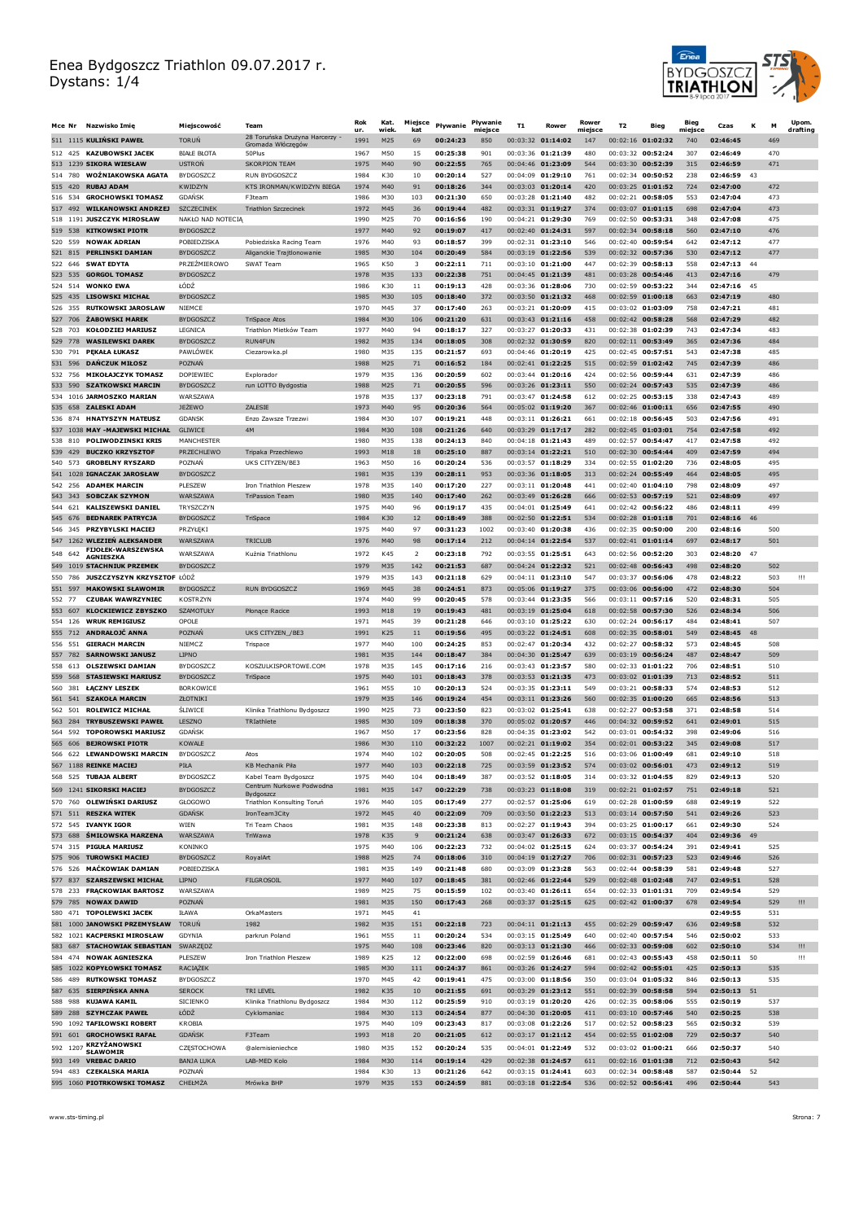

|                    | Mce Nr Nazwisko Imię                                        | Mieiscowość                           | Team                                              | Rok<br>ur.   | Kat.<br>wiek. | Miejsce<br>kat | Pływanie             | Pływanie<br>miejsce | T <sub>1</sub> | Rower                                      | Rower<br>miejsce | T <sub>2</sub> | Bieg                                     | Bieg<br>miejsce | Czas                    | к    | M          | Up om.<br>drafting |
|--------------------|-------------------------------------------------------------|---------------------------------------|---------------------------------------------------|--------------|---------------|----------------|----------------------|---------------------|----------------|--------------------------------------------|------------------|----------------|------------------------------------------|-----------------|-------------------------|------|------------|--------------------|
|                    | 511 1115 KULIŃSKI PAWEŁ                                     | <b>TORUN</b>                          | 28 Toruńska Drużyna Harcerzy<br>Gromada Włóczęgów | 1991         | M25           | 69             | 00:24:23             | 850                 |                | 00:03:32 01:14:02                          | 147              |                | 00:02:16 01:02:32                        | 740             | 02:46:45                |      | 469        |                    |
| 512 425            | <b>KAZUBOWSKI JACEK</b>                                     | <b>BIAŁE BŁOTA</b>                    | 50Plus                                            | 1967         | M50           | 15             | 00:25:38             | 901                 |                | 00:03:36 01:21:39                          | 480              |                | 00:03:32 00:52:24                        | 307             | 02:46:49                |      | 470        |                    |
|                    | 513 1239 SIKORA WIESŁAW                                     | <b>USTRON</b>                         | <b>SKORPION TEAM</b>                              | 1975         | M40           | 90             | 00:22:55             | 765                 |                | 00:04:46 01:23:09                          | 544              |                | 00:03:30 00:52:39                        | 315             | 02:46:59                |      | 471        |                    |
| 514 780<br>515 420 | WOŹNIAKOWSKA AGATA<br><b>RUBAJ ADAM</b>                     | <b>BYDGOSZCZ</b><br><b>KWIDZYN</b>    | <b>RUN BYDGOSZCZ</b><br>KTS IRONMAN/KWIDZYN BIEGA | 1984<br>1974 | K30<br>M40    | 10<br>91       | 00:20:14<br>00:18:26 | 527<br>344          |                | 00:04:09 01:29:10<br>00:03:03 01:20:14     | 761<br>420       |                | 00:02:34 00:50:52<br>00:03:25 01:01:52   | 238<br>724      | 02:46:59<br>02:47:00    | 43   | 472        |                    |
| 516 534            | <b>GROCHOWSKI TOMASZ</b>                                    | <b>GDAŃSK</b>                         | F3team                                            | 1986         | M30           | 103            | 00:21:30             | 650                 |                | 00:03:28 01:21:40                          | 482              |                | 00:02:21 00:58:05                        | 553             | 02:47:04                |      | 473        |                    |
|                    | 517 492 WILKANOWSKI ANDRZEJ                                 | SZCZECINEK                            | <b>Triathlon Szczecinek</b>                       | 1972         | M45           | 36             | 00:19:44             | 482                 |                | 00:03:31 01:19:27                          | 374              |                | 00:03:07 01:01:15                        | 698             | 02:47:04                |      | 473        |                    |
|                    | 518 1191 JUSZCZYK MIROSŁAW<br>519 538 KITKOWSKI PIOTR       | NAKŁO NAD NOTECIĄ<br><b>BYDGOSZCZ</b> |                                                   | 1990<br>1977 | M25<br>M40    | 70<br>92       | 00:16:56<br>00:19:07 | 190<br>417          |                | 00:04:21 01:29:30<br>00:02:40 01:24:31     | 769<br>597       |                | $00:02:50$ 00:53:31<br>00:02:34 00:58:18 | 348<br>560      | 02:47:08<br>02:47:10    |      | 475<br>476 |                    |
| 520 559            | <b>NOWAK ADRIAN</b>                                         | POBIEDZISKA                           | Pobiedziska Racing Team                           | 1976         | M40           | 93             | 00:18:57             | 399                 |                | 00:02:31 01:23:10                          | 546              |                | 00:02:40 00:59:54                        | 642             | 02:47:12                |      | 477        |                    |
| 521 815            | <b>PERLINSKI DAMIAN</b>                                     | <b>BYDGOSZCZ</b>                      | Aliganckie Trajtlonowanie                         | 1985         | M30           | 104            | 00:20:49             | 584                 |                | 00:03:19 01:22:56                          | 539              |                | 00:02:32 00:57:36                        | 530             | 02:47:12                |      | 477        |                    |
| 523 535            | 522 646 SWAT EDYTA<br><b>GORGOL TOMASZ</b>                  | PRZEŹMIEROWO<br>BYDGOSZCZ             | SWAT Team                                         | 1965         | K50<br>M35    | 3<br>133       | 00:22:11<br>00:22:38 | 711<br>751          |                | 00:03:10 01:21:00<br>00:04:45 01:21:39     | 447<br>481       | 00:03:28       | 00:02:39 00:58:13<br>00:54:46            | 558<br>413      | 02:47:13<br>02:47:16    | 44   |            |                    |
| 524 514            | <b>WONKO EWA</b>                                            | ŁÓDŹ                                  |                                                   | 1978<br>1986 | K30           | 11             | 00:19:13             | 428                 |                | 00:03:36 01:28:06                          | 730              |                | $00:02:59$ 00:53:22                      | 344             | 02:47:16                | 45   | 479        |                    |
| 525 435            | <b>LISOWSKI MICHAŁ</b>                                      | BYDGOSZCZ                             |                                                   | 1985         | M30           | 105            | 00:18:40             | 372                 |                | 00:03:50 01:21:32                          | 468              |                | 00:02:59 01:00:18                        | 663             | 02:47:19                |      | 480        |                    |
| 526 355            | <b>RUTKOWSKI JAROSLAW</b>                                   | NIEMCE                                |                                                   | 1970         | M45           | 37             | 00:17:40             | 263                 |                | 00:03:21 01:20:09                          | 415              |                | 00:03:02 01:03:09                        | 758             | 02:47:21                |      | 481        |                    |
| 528<br>703         | 527 706 ŻABOWSKI MAREK<br><b>KOŁODZIEJ MARIUSZ</b>          | <b>BYDGOSZCZ</b><br>LEGNICA           | <b>TriSpace Atos</b><br>Triathlon Mietków Team    | 1984<br>1977 | M30<br>M40    | 106<br>94      | 00:21:20<br>00:18:17 | 631<br>327          |                | $00:03:43$ 01:21:16<br>00:03:27 01:20:33   | 458<br>431       |                | $00:02:42$ 00:58:28<br>00:02:38 01:02:39 | 568<br>743      | 02:47:29<br>02:47:34    |      | 482<br>483 |                    |
| 529 778            | <b>WASILEWSKI DAREK</b>                                     | <b>BYDGOSZCZ</b>                      | RUN4FUN                                           | 1982         | M35           | 134            | 00:18:05             | 308                 |                | 00:02:32 01:30:59                          | 820              |                | 00:02:11 00:53:49                        | 365             | 02:47:36                |      | 484        |                    |
| 530 791            | <b>PEKAŁA ŁUKASZ</b>                                        | PAWLOWEK                              | Ciezarowka.pl                                     | 1980         | M35           | 135            | 00:21:57             | 693                 |                | 00:04:46 01:20:19                          | 425              |                | 00:02:45 00:57:51                        | 543             | 02:47:38                |      | 485        |                    |
|                    | 531 596 DANCZUK MIŁOSZ                                      | POZNAŃ                                |                                                   | 1988         | M25           | 71             | 00:16:52             | 184                 |                | 00:02:41 01:22:25                          | 515              |                | 00:02:59 01:02:42                        | 745             | 02:47:39                |      | 486        |                    |
| 756<br>532         | <b>MIKOŁAJCZYK TOMASZ</b><br>533 590 SZATKOWSKI MARCIN      | DOPIEWIEC<br><b>BYDGOSZCZ</b>         | Explorador<br>run LOTTO Bydgostia                 | 1979<br>1988 | M35<br>M25    | 136<br>71      | 00:20:59<br>00:20:55 | 602<br>596          |                | 00:03:44 01:20:16<br>00:03:26 01:23:11     | 424<br>550       |                | 00:02:56 00:59:44<br>00:02:24 00:57:43   | 631<br>535      | 02:47:39<br>02:47:39    |      | 486<br>486 |                    |
|                    | 534 1016 JARMOSZKO MARIAN                                   | WARSZAWA                              |                                                   | 1978         | M35           | 137            | 00:23:18             | 791                 |                | 00:03:47 01:24:58                          | 612              |                | 00:02:25 00:53:15                        | 338             | 02:47:43                |      | 489        |                    |
|                    | 535 658 ZALESKI ADAM                                        | <b>JEŻEWO</b>                         | ZALESIE                                           | 1973         | M40           | 95             | 00:20:36             | 564                 |                | 00:05:02 01:19:20                          | 367              |                | 00:02:46 01:00:11                        | 656             | 02:47:55                |      | 490        |                    |
| 536 874            | <b>HNATYSZYN MATEUSZ</b><br>537 1038 MAY - MAJEWSKI MICHAŁ  | <b>GDANSK</b><br><b>GLIWICE</b>       | Enzo Zawsze Trzezwi<br>4M                         | 1984<br>1984 | M30<br>M30    | 107<br>108     | 00:19:21<br>00:21:26 | 448<br>640          |                | $00:03:11$ 01:26:21<br>$00:03:29$ 01:17:17 | 661<br>282       |                | $00:02:18$ 00:56:45<br>00:02:45 01:03:01 | 503<br>754      | 02:47:56<br>02:47:58    |      | 491<br>492 |                    |
| 538 810            | POLIWODZINSKI KRIS                                          | MANCHESTER                            |                                                   | 1980         | M35           | 138            | 00:24:13             | 840                 |                | 00:04:18 01:21:43                          | 489              |                | 00:02:57 00:54:47                        | 417             | 02:47:58                |      | 492        |                    |
| 539 429            | <b>BUCZKO KRZYSZTOF</b>                                     | PR 7FCHI FWO                          | Tripaka Przechlewo                                | 1993         | M18           | 18             | 00:25:10             | 887                 |                | 00:03:14 01:22:21                          | 510              |                | 00:02:30 00:54:44                        | 409             | 02:47:59                |      | 494        |                    |
| 540 573            | <b>GROBELNY RYSZARD</b>                                     | POZNAN                                | UKS CITYZEN/BE3                                   | 1963         | M50           | 16             | 00:20:24             | 536                 |                | 00:03:57 01:18:29                          | 334              |                | 00:02:55 01:02:20                        | 736             | 02:48:05                |      | 495        |                    |
|                    | 541 1028 IGNACZAK JAROSŁAW<br>542 256 ADAMEK MARCIN         | <b>BYDGOSZCZ</b><br>PLESZEW           | Iron Triathlon Pleszew                            | 1981<br>1978 | M35<br>M35    | 139<br>140     | 00:28:11<br>00:17:20 | 953<br>227          |                | 00:03:36 01:18:05<br>00:03:11 01:20:48     | 313<br>441       |                | 00:02:24 00:55:49<br>00:02:40 01:04:10   | 464<br>798      | 02:48:05<br>02:48:09    |      | 495<br>497 |                    |
|                    | 543 343 SOBCZAK SZYMON                                      | WARSZAWA                              | <b>TriPassion Team</b>                            | 1980         | M35           | 140            | 00:17:40             | 262                 |                | 00:03:49 01:26:28                          | 666              |                | 00:02:53 00:57:19                        | 521             | 02:48:09                |      | 497        |                    |
| 544 621            | <b>KALISZEWSKI DANIEI</b>                                   | TRYSZCZYN                             |                                                   | 1975         | M40           | 96             | 00:19:17             | 435                 |                | $00:04:01$ 01:25:49                        | 641              |                | 00:02:42 00:56:22                        | 486             | 02:48:11                |      | 499        |                    |
| 545 676            | <b>BEDNAREK PATRYCJA</b>                                    | <b>BYDGOSZCZ</b>                      | TriSpace                                          | 1984         | K30           | 12             | 00:18:49             | 388                 |                | 00:02:50 01:22:51                          | 534              |                | $00:02:28$ 01:01:18                      | 701             | 02:48:16 46             |      |            |                    |
|                    | 546 345 PRZYBYLSKI MACIEJ<br>547 1262 WLEZIEŃ ALEKSANDER    | PRZYŁEKI<br>WARSZAWA                  | <b>TRICLUB</b>                                    | 1975<br>1976 | M40<br>M40    | 97<br>98       | 00:31:23<br>00:17:14 | 1002<br>212         |                | $00:03:40$ 01:20:38<br>00:04:14 01:22:54   | 436<br>537       |                | 00:02:35 00:50:00<br>00:02:41 01:01:14   | 200<br>697      | 02:48:16<br>02:48:17    |      | 500<br>501 |                    |
| 548 642            | <b>FIJOŁEK-WARSZEWSKA</b>                                   | WARSZAWA                              | Kuźnia Triathlonu                                 | 1972         | K45           | $\overline{2}$ | 00:23:18             | 792                 |                | 00:03:55 01:25:51                          | 643              |                | 00:02:56 00:52:20                        | 303             | 02:48:20 47             |      |            |                    |
|                    | <b>AGNIESZKA</b><br>549 1019 STACHNIUK PRZEMEK              | <b>BYDGOSZCZ</b>                      |                                                   | 1979         | M35           | 142            | 00:21:53             | 687                 |                | 00:04:24 01:22:32                          | 521              |                | 00:02:48 00:56:43                        | 498             | 02:48:20                |      | 502        |                    |
| 550 786            | <b>JUSZCZYSZYN KRZYSZTOF ŁÓDŹ</b>                           |                                       |                                                   | 1979         | M35           | 143            | 00:21:18             | 629                 |                | 00:04:11 01:23:10                          | 547              |                | 00:03:37 00:56:06                        | 478             | 02:48:22                |      | 503        | Ш                  |
| 551 597            | <b>MAKOWSKI SŁAWOMIR</b>                                    | <b>BYDGOSZCZ</b>                      | <b>RUN BYDGOSZCZ</b>                              | 1969         | M45           | 38             | 00:24:51             | 873                 |                | 00:05:06 01:19:27                          | 375              |                | 00:03:06 00:56:00                        | 472             | 02:48:30                |      | 504        |                    |
| 552 77<br>553 607  | <b>CZUBAK WAWRZYNIEC</b><br><b>KLOCKIEWICZ ZBYSZKO</b>      | <b>KOSTRZYN</b><br><b>SZAMOTUŁY</b>   | Plonace Racice                                    | 1974<br>1993 | M40<br>M18    | 99<br>19       | 00:20:45<br>00:19:43 | 578<br>481          |                | 00:03:44 01:23:35<br>00:03:19 01:25:04     | 566<br>618       |                | 00:03:11 00:57:16<br>00:02:58 00:57:30   | 520<br>526      | 02:48:31<br>02:48:34    |      | 505<br>506 |                    |
| 554 126            | <b>WRUK REMIGIUSZ</b>                                       | OPOLE                                 |                                                   | 1971         | M45           | 39             | 00:21:28             | 646                 |                | 00:03:10 01:25:22                          | 630              |                | 00:02:24 00:56:17                        | 484             | 02:48:41                |      | 507        |                    |
|                    | 555 712 ANDRAŁOJĆ ANNA                                      | POZNAŃ                                | UKS CITYZEN_/BE3                                  | 1991         | K25           | 11             | 00:19:56             | 495                 |                | 00:03:22 01:24:51                          | 608              |                | 00:02:35 00:58:01                        | 549             | 02:48:45                | - 48 |            |                    |
| 551<br>556         | <b>GIERACH MARCIN</b>                                       | NIEMCZ                                | Trispace                                          | 1977         | M40           | 100            | 00:24:25             | 853                 |                | 00:02:47 01:20:34                          | 432              |                | 00:02:27 00:58:32                        | 573             | 02:48:45                |      | 508        |                    |
| 557 782<br>558 613 | <b>SARNOWSKI JANUSZ</b><br><b>OLSZEWSKI DAMIAN</b>          | <b>LIPNO</b><br><b>BYDGOSZCZ</b>      | KOSZULKISPORTOWE.COM                              | 1981<br>1978 | M35<br>M35    | 144<br>145     | 00:18:47<br>00:17:16 | 384<br>216          |                | 00:04:30 01:25:47<br>00:03:43 01:23:57     | 639<br>580       |                | 00:03:19 00:56:24<br>00:02:33 01:01:22   | 487<br>706      | 02:48:47<br>02:48:51    |      | 509<br>510 |                    |
| 559 568            | <b>STASIEWSKI MARIUSZ</b>                                   | <b>BYDGOSZCZ</b>                      | TriSpace                                          | 1975         | M40           | 101            | 00:18:43             | 378                 |                | 00:03:53 01:21:35                          | 473              |                | 00:03:02 01:01:39                        | 713             | 02:48:52                |      | 511        |                    |
| 560 381            | ŁĄCZNY LESZEK                                               | <b>BORKOWICE</b>                      |                                                   | 1961         | M55           | 10             | 00:20:13             | 524                 |                | $00:03:35$ 01:23:11                        | 549              |                | 00:03:21 00:58:33                        | 574             | 02:48:53                |      | 512        |                    |
| 561 541            | <b>SZAKOŁA MARCIN</b>                                       | ZŁOTNIKI                              |                                                   | 1979         | M35           | 146            | 00:19:24             | 454                 |                | 00:03:11 01:23:26                          | 560              |                | 00:02:35 01:00:20                        | 665             | 02:48:56                |      | 513        |                    |
| 562 501<br>563 284 | <b>ROLEWICZ MICHAŁ</b><br><b>TRYBUSZEWSKI PAWEŁ</b>         | <b>SLIWICE</b><br><b>I ESZNO</b>      | Klinika Triathlonu Bydgoszcz<br>TRIathlete        | 1990<br>1985 | M25<br>M30    | 73<br>109      | 00:23:50<br>00:18:38 | 823<br>370          |                | $00:03:02$ 01:25:41<br>00:05:02 01:20:57   | 638<br>446       |                | 00:02:27 00:53:58<br>00:04:32 00:59:52   | 371<br>641      | 02:48:58<br>02:49:01    |      | 514<br>515 |                    |
|                    | 564 592 TOPOROWSKI MARIUSZ                                  | <b>GDANSK</b>                         |                                                   | 1967         | M50           | 17             | 00:23:56             | 828                 |                | 00:04:35 01:23:02                          | 542              |                | 00:03:01 00:54:32                        | 398             | 02:49:06                |      | 516        |                    |
|                    | 565 606 BEJROWSKI PIOTR                                     | <b>KOWAIF</b>                         |                                                   | 1986         | M30           | 110            | 00.32.22             | 1007                |                | 00:02:21 01:19:02                          | 354              |                | 00:02:01 00:53:22                        | 345             | 02:49:08                |      | 517        |                    |
|                    | 566 622 LEWANDOWSKI MARCIN                                  | <b>BYDGOSZCZ</b>                      | Atos                                              | 1974         | M40           | 102            | 00:20:05             | 508                 |                | 00:02:45 01:22:25                          | 516              |                | 00:03:06 01:00:49                        | 681             | 02:49:10                |      | 518        |                    |
| 567                | <b>1188 REIN</b><br>568 525 TUBAJA ALBERT                   | PIŁA<br><b>BYDGOSZCZ</b>              | кь меспапік<br>Kabel Team Bydgoszcz               | 197.<br>1975 | M40           | 104            | 00:18:49             | 725<br>387          | 00:03:59       | 00:03:52 01:18:05                          | 314              | 00:03:02       | 00:03:32 01:04:55                        | 829             | 02:49:13                |      | 519<br>520 |                    |
|                    | 569 1241 SIKORSKI MACIEJ                                    | <b>BYDGOSZCZ</b>                      | Centrum Nurkowe Podwodna                          | 1981         | M35           | 147            | 00:22:29             | 738                 |                | 00:03:23 01:18:08                          | 319              |                | 00:02:21 01:02:57                        | 751             | 02:49:18                |      | 521        |                    |
|                    | 570 760 OLEWIŃSKI DARIUSZ                                   | GŁOGOWO                               | Bydgoszcz<br>Triathlon Konsulting Toruń           | 1976         | M40           | 105            | 00:17:49             | 277                 |                | 00:02:57 01:25:06                          | 619              |                | 00:02:28 01:00:59                        | 688             | 02:49:19                |      | 522        |                    |
|                    | 571 511 RESZKA WITEK                                        | <b>GDANSK</b>                         | IronTeam3City                                     | 1972         | M45           | 40             | 00:22:09             | 709                 |                | 00:03:50 01:22:23                          | 513              |                | 00:03:14 00:57:50                        | 541             | 02:49:26                |      | 523        |                    |
|                    | 572 545 IVANYK IGOR<br>573 688 ŚMIŁOWSKA MARZENA            | WIEN                                  | Tri Team Chaos                                    | 1981         | M35           | 148<br>9       | 00:23:38             | 813                 |                | 00:02:27 01:19:43                          | 394              |                | 00:03:25 01:00:17                        | 661             | 02:49:30<br>02:49:36 49 |      | 524        |                    |
| 574 315            | <b>PIGUŁA MARIUSZ</b>                                       | WARSZAWA<br><b>KONINKO</b>            | TriWawa                                           | 1978<br>1975 | K35<br>M40    | 106            | 00:21:24<br>00:22:23 | 638<br>732          |                | 00:03:47 01:26:33<br>00:04:02 01:25:15     | 672<br>624       |                | 00:03:15 00:54:37<br>$00:03:37$ 00:54:24 | 404<br>391      | 02:49:41                |      | 525        |                    |
|                    | 575 906 TUROWSKI MACIEJ                                     | <b>BYDGOSZCZ</b>                      | RoyalArt                                          | 1988         | M25           | 74             | 00:18:06             | 310                 |                | 00:04:19 01:27:27                          | 706              |                | 00:02:31 00:57:23                        | 523             | 02:49:46                |      | 526        |                    |
| 576 526            | <b>MAĆKOWIAK DAMIAN</b>                                     | POBIEDZISKA                           |                                                   | 1981         | M35           | 149            | 00:21:48             | 680                 |                | 00:03:09 01:23:28                          | 563              |                | 00:02:44 00:58:39                        | 581             | 02:49:48                |      | 527        |                    |
| 577 837<br>578 233 | <b>SZARSZEWSKI MICHAŁ</b><br><b>FRĄCKOWIAK BARTOSZ</b>      | <b>LIPNO</b><br>WARSZAWA              | <b>FILGROSOIL</b>                                 | 1977<br>1989 | M40<br>M25    | 107<br>75      | 00:18:45<br>00:15:59 | 381<br>102          |                | 00:02:46 01:22:44<br>00:03:40 01:26:11     | 529<br>654       |                | 00:02:48 01:02:48<br>00:02:33 01:01:31   | 747<br>709      | 02:49:51<br>02:49:54    |      | 528<br>529 |                    |
|                    | 579 785 NOWAX DAWID                                         | POZNAŃ                                |                                                   | 1981         | M35           | 150            | 00:17:43             | 268                 |                | 00:03:37 01:25:15                          | 625              |                | 00:02:42 01:00:37                        | 678             | 02:49:54                |      | 529        | !!!                |
| 471<br>580         | <b>TOPOLEWSKI JACEK</b>                                     | IŁAWA                                 | OrkaMasters                                       | 1971         | M45           | 41             |                      |                     |                |                                            |                  |                |                                          |                 | 02:49:55                |      | 531        |                    |
|                    | 581 1000 JANOWSKI PRZEMYSŁAW                                | <b>TORUN</b>                          | 1982                                              | 1982         | M35           | 151            | 00:22:18             | 723                 |                | 00:04:11 01:21:13                          | 455              |                | 00:02:29 00:59:47                        | 636             | 02:49:58                |      | 532        |                    |
|                    | 582 1021 KACPERSKI MIROSŁAW<br>583 687 STACHOWIAK SEBASTIAN | <b>GDYNIA</b><br>SWARZĘDZ             | parkrun Poland                                    | 1961<br>1975 | M55<br>M40    | 11<br>108      | 00:20:24<br>00:23:46 | 534<br>820          |                | 00:03:15 01:25:49<br>00:03:13 01:21:30     | 640<br>466       |                | 00:02:40 00:57:54<br>00:02:33 00:59:08   | 546<br>602      | 02:50:02<br>02:50:10    |      | 533<br>534 | Ш                  |
|                    | 584 474 NOWAK AGNIESZKA                                     | PLESZEW                               | Iron Triathlon Pleszew                            | 1989         | K25           | 12             | 00:22:00             | 698                 |                | 00:02:59 01:26:46                          | 681              |                | 00:02:43 00:55:43                        | 458             | 02:50:11                | 50   |            | Ш                  |
|                    | 585 1022 KOPYŁOWSKI TOMASZ                                  | RACIĄŻEK                              |                                                   | 1985         | M30           | 111            | 00:24:37             | 861                 |                | 00:03:26 01:24:27                          | 594              |                | 00:02:42 00:55:01                        | 425             | 02:50:13                |      | 535        |                    |
|                    | 586 489 RUTKOWSKI TOMASZ                                    | <b>BYDGOSZCZ</b>                      | TRI LEVEL                                         | 1970         | M45<br>K35    | 42<br>10       | 00:19:41<br>00:21:55 | 475<br>691          |                | 00:03:00 01:18:56                          | 350<br>551       |                | 00:03:04 01:05:32                        | 846<br>594      | 02:50:13                |      | 535        |                    |
|                    | 587 635 SIERPIŃSKA ANNA<br>588 988 KUJAWA KAMIL             | <b>SEROCK</b><br><b>SICIENKO</b>      | Klinika Triathlonu Bydgoszcz                      | 1982<br>1984 | M30           | 112            | 00:25:59             | 910                 |                | 00:03:29 01:23:12<br>00:03:19 01:20:20     | 426              |                | 00:02:39 00:58:58<br>00:02:35 00:58:06   | 555             | 02:50:13 51<br>02:50:19 |      | 537        |                    |
|                    | 589 288 SZYMCZAK PAWEŁ                                      | ŁÓDŹ                                  | Cyklomaniac                                       | 1984         | M30           | 113            | 00:24:54             | 877                 |                | 00:04:30 01:20:05                          | 411              |                | 00:03:10 00:57:46                        | 540             | 02:50:25                |      | 538        |                    |
|                    | 590 1092 TAFIŁOWSKI ROBERT                                  | <b>KROBIA</b>                         |                                                   | 1975         | M40           | 109            | 00:23:43             | 817                 |                | 00:03:08 01:22:26                          | 517              |                | 00:02:52 00:58:23                        | 565             | 02:50:32                |      | 539        |                    |
|                    | 591 601 GROCHOWSKI RAFAŁ<br><b>KRZYŻANOWSKI</b>             | <b>GDANSK</b>                         | F3Team                                            | 1993         | M18           | 20             | 00:21:05             | 612                 |                | 00:03:17 01:21:12                          | 454              |                | 00:02:55 01:02:08                        | 729             | 02:50:37                |      | 540        |                    |
| 592 1207           | <b>SŁAWOMIR</b>                                             | CZĘSTOCHOWA                           | @alemisieniechce                                  | 1980         | M35           | 152            | 00:20:24<br>00:19:14 | 535<br>429          |                | 00:04:01 01:22:49                          | 532<br>611       |                | 00:03:02 01:00:21                        | 666<br>712      | 02:50:37                |      | 540<br>542 |                    |
| 593 149            | <b>VREBAC DARIO</b><br>594 483 CZEKALSKA MARIA              | BANJA LUKA<br>POZNAŃ                  | LAB-MED Kolo                                      | 1984<br>1984 | M30<br>K30    | 114<br>13      | 00:21:26             | 642                 |                | 00:02:38 01:24:57<br>00:03:15 01:24:41     | 603              |                | 00:02:16 01:01:38<br>00:02:34 00:58:48   | 587             | 02:50:43<br>02:50:44 52 |      |            |                    |
|                    | 595 1060 PIOTRKOWSKI TOMASZ                                 | CHEŁMŻA                               | Mrówka BHP                                        | 1979         | M35           | 153            | 00:24:59             | 881                 |                | 00:03:18 01:22:54                          | 536              |                | 00:02:52 00:56:41                        | 496             | 02:50:44                |      | 543        |                    |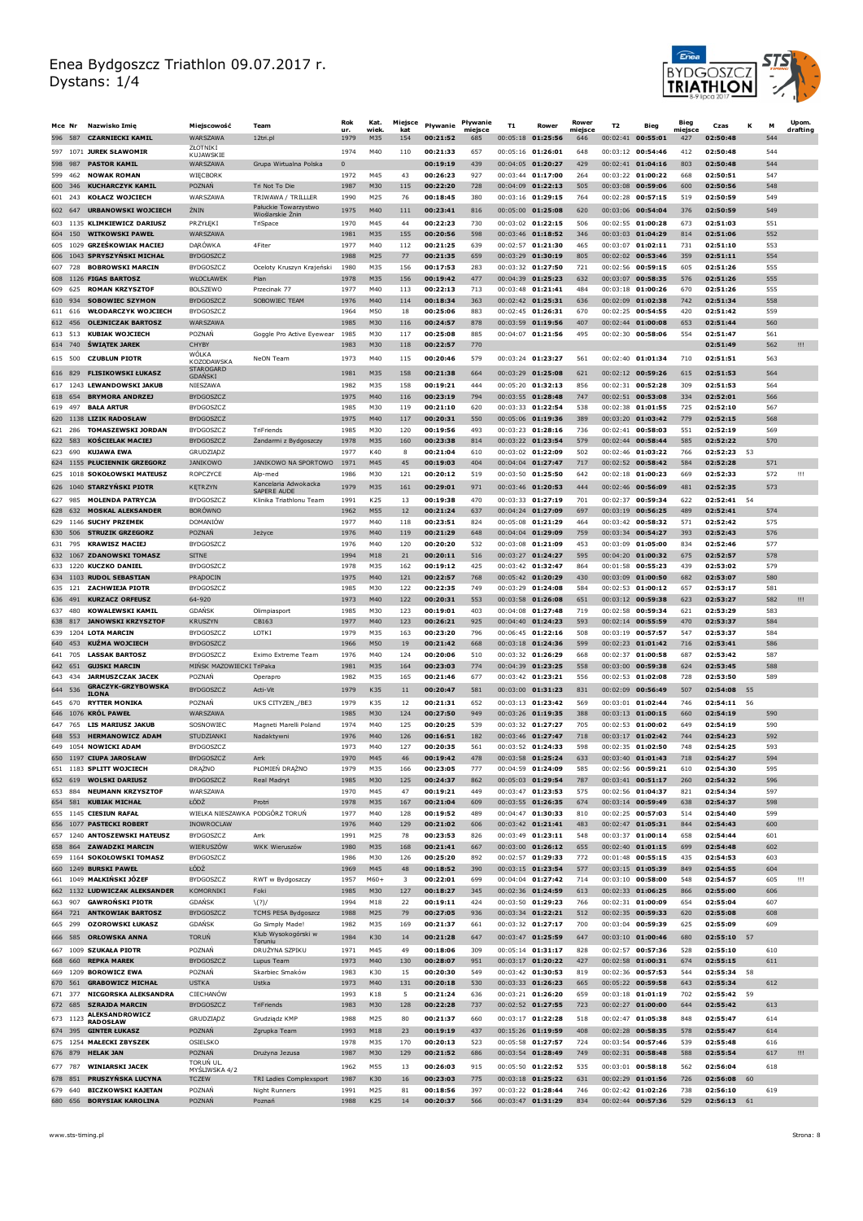

| Mce Nr     |                | Nazwisko Imie                                            | Miejscowość                            | Team                                 | Rok<br>ur.   | Kat.<br>wiek  | Miejsce<br>kat                | Płvwanie             | Pływanie<br>miejsce | T1                                         | Rower                                  | Rower<br>miejsce | T <sub>2</sub>    | Bieg                                     | Bieg<br>miejsce | Czas                    | к    | М          | <b>Upom</b><br>drafting |
|------------|----------------|----------------------------------------------------------|----------------------------------------|--------------------------------------|--------------|---------------|-------------------------------|----------------------|---------------------|--------------------------------------------|----------------------------------------|------------------|-------------------|------------------------------------------|-----------------|-------------------------|------|------------|-------------------------|
|            |                | 596 587 CZARNIECKI KAMIL                                 | WARSZAWA                               | 12tri.pl                             | 1979         | M35           | 154                           | 00:21:52             | 685                 |                                            | 00:05:18 01:25:56                      | 646              |                   | 00:02:41 00:55:01                        | 427             | 02:50:48                |      | 544        |                         |
|            |                | 597 1071 JUREK SŁAWOMIR                                  | ZŁOTNIKI<br>KUJAWSKIE                  |                                      | 1974         | M40           | 110                           | 00:21:33             | 657                 | 00:05:16 01:26:01                          |                                        | 648              |                   | 00:03:12 00:54:46                        | 412             | 02:50:48                |      | 544        |                         |
|            | 598 987        | <b>PASTOR KAMIL</b>                                      | WARSZAWA                               | Grupa Wirtualna Polska               | $\mathbf{0}$ |               |                               | 00:19:19             | 439                 |                                            | 00:04:05 01:20:27                      | 429              |                   | $00:02:41$ 01:04:16                      | 803             | 02:50:48                |      | 544        |                         |
| 599        | 462            | <b>NOWAK ROMAN</b>                                       | WIĘCBORK                               |                                      | 1972         | M45           | 43                            | 00:26:23             | 927                 | 00:03:44 01:17:00                          |                                        | 264              |                   | 00:03:22 01:00:22                        | 668             | 02:50:51                |      | 547        |                         |
| 601        | 600 346<br>243 | <b>KUCHARCZYK KAMIL</b><br><b>KOŁACZ WOJCIECH</b>        | POZNAŃ<br>WARSZAWA                     | Tri Not To Die<br>TRIWAWA / TRILLLER | 1987<br>1990 | M30<br>M25    | 115<br>76                     | 00:22:20<br>00:18:45 | 728<br>380          |                                            | 00:04:09 01:22:13<br>00:03:16 01:29:15 | 505<br>764       |                   | 00:03:08 00:59:06<br>00:02:28 00:57:15   | 600<br>519      | 02:50:56<br>02:50:59    |      | 548<br>549 |                         |
|            | 602 647        | <b>URBANOWSKI WOJCIECH</b>                               | ŻNIN                                   | Pałuckie Towarzystwo                 | 1975         | M40           | 111                           | 00:23:41             | 816                 |                                            | 00:05:00 01:25:08                      | 620              |                   | 00:03:06 00:54:04                        | 376             | 02:50:59                |      | 549        |                         |
| 603        |                | 1135 KLIMKIEWICZ DARIUSZ                                 | PRZYŁĘKI                               | Wioślarskie Znin<br>TriSpace         | 1970         | M45           | 44                            | 00:22:23             | 730                 | 00:03:02 01:22:15                          |                                        | 506              |                   | 00:02:55 01:00:28                        | 673             | 02:51:03                |      | 551        |                         |
|            |                | 604 150 WITKOWSKI PAWEŁ                                  | WARSZAWA                               |                                      | 1981         | M35           | 155                           | 00:20:56             | 598                 |                                            | 00:03:46 01:18:52                      | 346              |                   | 00:03:03 01:04:29                        | 814             | 02:51:06                |      | 552        |                         |
| 605        |                | 1029 GRZEŚKOWIAK MACIEJ                                  | <b>DARÓWKA</b>                         | 4Fiter                               | 1977         | M40           | 112                           | 00:21:25             | 639                 |                                            | 00:02:57 01:21:30                      | 465              |                   | 00:03:07 01:02:11                        | 731             | 02:51:10                |      | 553        |                         |
|            |                | 606 1043 SPRYSZYŃSKI MICHAŁ                              | <b>BYDGOSZCZ</b>                       |                                      | 1988         | M25           | 77                            | 00:21:35             | 659                 |                                            | 00:03:29 01:30:19                      | 805              |                   | 00:02:02 00:53:46                        | 359             | 02:51:11                |      | 554        |                         |
| 607        | 728            | <b>BOBROWSKI MARCIN</b>                                  | <b>BYDGOSZCZ</b>                       | Oceloty Kruszyn Krajeński            | 1980         | M35           | 156                           | 00:17:53             | 283                 |                                            | 00:03:32 01:27:50                      | 721              |                   | 00:02:56 00:59:15                        | 605             | 02:51:26                |      | 555        |                         |
| 608<br>609 | 625            | 1126 FIGAS BARTOSZ<br><b>ROMAN KRZYSZTOF</b>             | WŁOCŁAWEK<br><b>BOLSZEWO</b>           | Plan<br>Przecinak 77                 | 1978<br>1977 | M35<br>M40    | 156<br>113                    | 00:19:42<br>00:22:13 | 477<br>713          | 00:03:48 01:21:41                          | 00:04:39 01:25:23                      | 632<br>484       |                   | 00:03:07 00:58:35<br>00:03:18 01:00:26   | 576<br>670      | 02:51:26<br>02:51:26    |      | 555<br>555 |                         |
| 610        | 934            | <b>SOBOWIEC SZYMON</b>                                   | <b>BYDGOSZCZ</b>                       | SOBOWIEC TEAM                        | 1976         | M40           | 114                           | 00:18:34             | 363                 |                                            | 00:02:42 01:25:31                      | 636              |                   | 00:02:09 01:02:38                        | 742             | 02:51:34                |      | 558        |                         |
| 611        | 616            | <b>WŁODARCZYK WOJCIECH</b>                               | BYDGOSZCZ                              |                                      | 1964         | M50           | 18                            | 00:25:06             | 883                 |                                            | 00:02:45 01:26:31                      | 670              |                   | 00:02:25 00:54:55                        | 420             | 02:51:42                |      | 559        |                         |
| 612        | 456            | <b>OLEJNICZAK BARTOSZ</b>                                | <b>WARSZAWA</b>                        |                                      | 1985         | M30           | 116                           | 00:24:57             | 878                 |                                            | 00:03:59 01:19:56                      | 407              | 00:02:44          | 01:00:08                                 | 653             | 02:51:44                |      | 560        |                         |
| 613 513    |                | <b>KUBIAK WOJCIECH</b>                                   | POZNAŃ                                 | Goggle Pro Active Eyewear            | 1985         | M30           | 117                           | 00:25:08             | 885                 | 00:04:07 01:21:56                          |                                        | 495              |                   | 00:02:30 00:58:06                        | 554             | 02:51:47                |      | 561        |                         |
|            | 614 740        | ŚWIATEK JAREK                                            | CHYBY<br><b>WÔI KA</b>                 |                                      | 1983         | M30           | 118                           | 00:22:57             | 770                 |                                            |                                        |                  |                   |                                          |                 | 02:51:49                |      | 562        | Ш                       |
|            | 615 500        | <b>CZUBLUN PIOTR</b>                                     | KOZODAWSKA<br><b>STAROGARD</b>         | NeON Team                            | 1973         | M40           | 115                           | 00:20:46             | 579                 |                                            | 00:03:24 01:23:27                      | 561              |                   | 00:02:40 01:01:34                        | 710             | 02:51:51                |      | 563        |                         |
|            | 616 829        | <b>FLISIKOWSKI ŁUKASZ</b>                                | <b>GDANSKI</b>                         |                                      | 1981         | M35           | 158                           | 00:21:38             | 664                 | 00:03:29 01:25:08                          |                                        | 621              |                   | 00:02:12 00:59:26                        | 615             | 02:51:53                |      | 564        |                         |
|            |                | 617 1243 LEWANDOWSKI JAKUB                               | NIESZAWA                               |                                      | 1982         | M35           | 158                           | 00:19:21             | 444                 |                                            | 00:05:20 01:32:13                      | 856              |                   | 00:02:31 00:52:28                        | 309             | 02:51:53                |      | 564        |                         |
| 618<br>619 | 654<br>497     | <b>BRYMORA ANDRZEJ</b><br><b>BAŁA ARTUR</b>              | <b>BYDGOSZCZ</b><br>BYDGOSZCZ          |                                      | 1975<br>1985 | M40<br>M30    | 116<br>119                    | 00:23:19<br>00:21:10 | 794<br>620          | 00:03:33 01:22:54                          | $00:03:55$ 01:28:48                    | 747<br>538       |                   | 00:02:51 00:53:08<br>$00:02:38$ 01:01:55 | 334<br>725      | 02:52:01<br>02:52:10    |      | 566<br>567 |                         |
| 620        |                | 1138 LIZIK RADOSŁAW                                      | <b>BYDGOSZCZ</b>                       |                                      | 1975         | M40           | 117                           | 00:20:31             | 550                 |                                            | 00:05:06 01:19:36                      | 389              |                   | 00:03:20 01:03:42                        | 779             | 02:52:15                |      | 568        |                         |
| 621        | 286            | <b>TOMASZEWSKI JORDAN</b>                                | <b>BYDGOSZCZ</b>                       | TriFriends                           | 1985         | M30           | 120                           | 00:19:56             | 493                 |                                            | 00:03:23 01:28:16                      | 736              | 00:02:41          | 00:58:03                                 | 551             | 02:52:19                |      | 569        |                         |
|            | 622 583        | <b>KOŚCIELAK MACIEJ</b>                                  | BYDGOSZCZ                              | Żandarmi z Bydgoszczy                | 1978         | M35           | 160                           | 00:23:38             | 814                 |                                            | 00:03:22 01:23:54                      | 579              |                   | 00:02:44 00:58:44                        | 585             | 02:52:22                |      | 570        |                         |
| 623        | 690            | KUJAWA EWA                                               | GRUDZIĄDZ                              |                                      | 1977         | K40           | 8                             | 00.21:04             | 610                 | 00:03:02 01:22:09                          |                                        | 502              |                   | 00:02:46 01:03:22                        | 766             | 02:52:23                | -53  |            |                         |
|            |                | 624 1155 PŁUCIENNIK GRZEGORZ                             | <b>JANIKOWO</b>                        | JANIKOWO NA SPORTOWO                 | 1971         | M45           | 45                            | 00:19:03             | 404                 | 00:04:04 01:27:47                          |                                        | 717              |                   | 00:02:52 00:58:42                        | 584             | 02:52:28                |      | 571        |                         |
| 625        |                | 1018 SOKOŁOWSKI MATEUSZ                                  | ROPCZYCE                               | Alp-med<br>Kancelaria Adwokacka      | 1986         | M30           | 121                           | 00:20:12             | 519                 | 00:03:50 01:25:50                          |                                        | 642              | 00:02:18          | 01:00:23                                 | 669             | 02:52:33                |      | 572        | Ш                       |
| 626        |                | 1040 STARZYŃSKI PIOTR                                    | <b>KETRZYN</b>                         | SAPERE AUDE                          | 1979         | M35           | 161                           | 00:29:01             | 971<br>470          | 00:03:33 01:27:19                          | 00:03:46 01:20:53                      | 444<br>701       |                   | 00:02:46 00:56:09                        | 481<br>622      | 02:52:35<br>02:52:41    |      | 573        |                         |
| 627<br>628 | 985            | <b>MOLENDA PATRYCJA</b><br>632 MOSKAL ALEKSANDER         | <b>BYDGOSZCZ</b><br><b>BORÓWNO</b>     | Klinika Triathlonu Team              | 1991<br>1962 | K25<br>M55    | 13<br>12                      | 00:19:38<br>00:21:24 | 637                 |                                            | 00:04:24 01:27:09                      | 697              | 00:02:37          | 00:59:34<br>$00:03:19$ 00:56:25          | 489             | 02:52:41                | - 54 | 574        |                         |
| 629        |                | 1146 SUCHY PRZEMEK                                       | <b>DOMANIÓW</b>                        |                                      | 1977         | M40           | 118                           | 00:23:51             | 824                 |                                            | 00:05:08 01:21:29                      | 464              |                   | 00:03:42 00:58:32                        | 571             | 02:52:42                |      | 575        |                         |
| 630        |                | 506 STRUZIK GRZEGORZ                                     | POZNAŃ                                 | Jeżyce                               | 1976         | M40           | 119                           | 00:21:29             | 648                 |                                            | 00:04:04 01:29:09                      | 759              |                   | 00:03:34 00:54:27                        | 393             | 02:52:43                |      | 576        |                         |
| 631        | 795            | <b>KRAWISZ MACIEJ</b>                                    | BYDGOSZCZ                              |                                      | 1976         | M40           | 120                           | 00:20:20             | 532                 |                                            | 00:03:08 01:21:09                      | 453              | 00:03:09          | 01:05:00                                 | 834             | 02:52:46                |      | 577        |                         |
|            |                | 632 1067 ZDANOWSKI TOMASZ                                | <b>SITNE</b>                           |                                      | 1994         | M18           | 21                            | 00:20:11             | 516                 |                                            | 00:03:27 01:24:27                      | 595              |                   | 00:04:20 01:00:32                        | 675             | 02:52:57                |      | 578        |                         |
| 633        |                | 1220 KUCZKO DANIEL<br>634 1103 RUDOL SEBASTIAN           | <b>BYDGOSZCZ</b><br>PRADOCIN           |                                      | 1978<br>1975 | M35<br>M40    | 162<br>121                    | 00:19:12<br>00:22:57 | 425<br>768          | 00:03:42 01:32:47                          | 00:05:42 01:20:29                      | 864<br>430       | 00:01:58          | 00:55:23<br>00:03:09 01:00:50            | 439<br>682      | 02:53:02<br>02:53:07    |      | 579<br>580 |                         |
| 635        | 121            | <b>ZACHWIEJA PIOTR</b>                                   | <b>BYDGOSZCZ</b>                       |                                      | 1985         | M30           | 122                           | 00:22:35             | 749                 |                                            | 00:03:29 01:24:08                      | 584              |                   | 00:02:53 01:00:12                        | 657             | 02:53:17                |      | 581        |                         |
|            | 636 491        | <b>KURZACZ ORFEUSZ</b>                                   | 64-920                                 |                                      | 1973         | M40           | 122                           | 00:20:31             | 553                 |                                            | 00:03:58 01:26:08                      | 651              |                   | 00:03:12 00:59:38                        | 623             | 02:53:27                |      | 582        | Ш                       |
| 637        | 480            | <b>KOWALEWSKI KAMIL</b>                                  | <b>GDANSK</b>                          | Olimpiasport                         | 1985         | M30           | 123                           | 00:19:01             | 403                 |                                            | 00:04:08 01:27:48                      | 719              |                   | 00:02:58 00:59:34                        | 621             | 02:53:29                |      | 583        |                         |
|            | 638 817        | <b>JANOWSKI KRZYSZTOF</b>                                | <b>KRUSZYN</b>                         | CB163                                | 1977         | M40           | 123                           | 00:26:21             | 925                 |                                            | 00:04:40 01:24:23                      | 593              |                   | 00:02:14 00:55:59                        | 470             | 02:53:37                |      | 584        |                         |
|            |                | 639 1204 LOTA MARCIN                                     | <b>BYDGOSZCZ</b>                       | <b>LOTKT</b>                         | 1979         | M35           | 163                           | 00:23:20             | 796                 |                                            | 00:06:45 01:22:16                      | 508              |                   | 00:03:19 00:57:57                        | 547             | 02:53:37                |      | 584        |                         |
| 640<br>641 | 453<br>705     | KUŻMA WOJCIECH<br><b>LASSAK BARTOSZ</b>                  | <b>BYDGOSZCZ</b><br>BYDGOSZCZ          | Eximo Extreme Team                   | 1966<br>1976 | M50<br>M40    | 19<br>124                     | 00:21:42<br>00:20:06 | 668<br>510          |                                            | 00:03:18 01:24:36<br>00:03:32 01:26:29 | 599<br>668       |                   | 00:02:23 01:01:42<br>00:02:37 01:00:58   | 716<br>687      | 02:53:41<br>02:53:42    |      | 586<br>587 |                         |
|            | 642 651        | <b>GUJSKI MARCIN</b>                                     | MIŃSK MAZOWIECKI TriPaka               |                                      | 1981         | M35           | 164                           | 00:23:03             | 774                 |                                            | 00:04:39 01:23:25                      | 558              | 00:03:00          | 00:59:38                                 | 624             | 02:53:45                |      | 588        |                         |
| 643        | 434            | <b>JARMUSZCZAK JACEK</b>                                 | POZNAŃ                                 | Operapro                             | 1982         | M35           | 165                           | 00:21:46             | 677                 | $00:03:42$ 01:23:21                        |                                        | 556              |                   | 00:02:53 01:02:08                        | 728             | 02:53:50                |      | 589        |                         |
|            | 644 536        | <b>GRACZYK-GRZYBOWSKA</b><br><b>ILONA</b>                | <b>BYDGOSZCZ</b>                       | Acti-Vit                             | 1979         | K35           | 11                            | 00:20:47             | 581                 | 00:03:00 01:31:23                          |                                        | 831              | 00:02:09 00:56:49 |                                          | 507             | 02:54:08                | 55   |            |                         |
|            | 645 670        | <b>RYTTER MONIKA</b>                                     | POZNAŃ                                 | UKS CITYZEN_/BE3                     | 1979         | K35           | 12                            | 00:21:31             | 652                 |                                            | $00:03:13$ 01:23:42                    | 569              |                   | 00:03:01 01:02:44                        | 746             | 02:54:11                | 56   |            |                         |
| 646        |                | 1076 KRÓL PAWEŁ                                          | WARSZAWA                               |                                      | 1985         | M30           | 124                           | 00:27:50             | 949                 |                                            | $00:03:26$ 01:19:35                    | 388              | 00:03:13          | 01:00:15                                 | 660             | 02:54:19                |      | 590        |                         |
|            | 647 765        | <b>LIS MARIUSZ JAKUB</b>                                 | SOSNOWIEC                              | Magneti Marelli Poland               | 1974         | M40           | 125                           | 00:20:25             | 539                 | $00:03:32$ 01:27:27<br>$00:03:46$ 01:27:47 |                                        | 705              |                   | $00:02:53$ 01:00:02                      | 649             | 02:54:19                |      | 590        |                         |
| 649        | 648 553        | <b>HERMANOWICZ ADAM</b><br>1054 NOWICKI ADAM             | STUDZIANKI<br><b>BYDGOSZCZ</b>         | Nadaktywni                           | 1976<br>1973 | M40<br>M40    | 126<br>127                    | 00:16:51<br>00:20:35 | 182<br>561          | 00:03:52 01:24:33                          |                                        | 718<br>598       |                   | 00:03:17 01:02:42<br>00:02:35 01:02:50   | 744<br>748      | 02:54:23<br>02:54:25    |      | 592<br>593 |                         |
|            |                | 650 1197 CIUPA JAROSŁAW                                  | BYDGOSZCZ                              | Arrk                                 | 1970         | M45           | 46                            | 00:19:42             | 478                 |                                            | 00:03:58 01:25:24                      | 633              |                   | 00:03:40 01:01:43                        | 718             | 02:54:27                |      | 594        |                         |
| 651        |                | 1183 SPLITT WOJCIECH                                     | DRĄZNO                                 | PŁOMIEN DRĄZNO                       | 1979         | M35           | 166                           | 00:23:05             | 777                 |                                            | 00:04:59 01:24:09                      | 585              |                   | 00:02:56 00:59:21                        | 610             | 02:54:30                |      | 595        |                         |
|            |                | 652 619 WOLSKI DARIUSZ                                   | <b>BYDGOSZCZ</b>                       | Real Madryt                          | 1985         | M30           | 125                           | 00:24:37             | 862                 |                                            | 00:05:03 01:29:54                      | 787              |                   | 00:03:41 00:51:17                        | 260             | 02:54:32                |      | 596        |                         |
| 653        | 884            | <b>NEUMANN KRZYSZTOF</b>                                 | WARS7AWA                               |                                      | 1970         | M45           | 47                            | 00:19:21             | 449                 | 00:03:47 01:23:53                          |                                        | 575              |                   | 00:02:56 01:04:37                        | 821             | 02:54:34                |      | 597        |                         |
|            |                | 654 581 KUBIAK MICHAŁ<br>655 1145 CIESIUN RAFAŁ          | ŁÓDŻ<br>WIELKA NIESZAWKA PODGÓRZ TORUŃ | Protri                               | 1978<br>1977 | M35<br>M40    | 167<br>128                    | 00:21:04<br>00:19:52 | 609<br>489          |                                            | 00:03:55 01:26:35<br>00:04:47 01:30:33 | 674<br>810       |                   | 00:03:14 00:59:49<br>00:02:25 00:57:03   | 638<br>514      | 02:54:37<br>02:54:40    |      | 598<br>599 |                         |
|            |                | 656 1077 PASTECKI ROBERT                                 | INOWROCLAW                             |                                      | 1976         | M40           | 129                           | 00:21:02             | 606                 |                                            | 00:03:42 01:21:41                      | 483              |                   | 00:02:47 01:05:31                        | 844             | 02:54:43                |      | 600        |                         |
|            |                | 657 1240 ANTOSZEWSKI MATEUSZ                             | <b>BYDGOSZCZ</b>                       | Arrk                                 | 1991         | M25           | 78                            | 00:23:53             | 826                 |                                            | 00:03:49 01:23:11                      | 548              |                   | 00:03:37 01:00:14                        | 658             | 02:54:44                |      | 601        |                         |
|            |                | 658 864 ZAWADZKI MARCIN                                  | WIERUSZÓW                              | WKK Wieruszów                        | 1980         | M35           | 168                           | 00:21:41             | 667                 |                                            | 00:03:00 01:26:12                      | 655              |                   | $00:02:40$ 01:01:15                      | 699             | 02:54:48                |      | 602        |                         |
|            |                | 659 1164 SOKOŁOWSKI TOMASZ                               | <b>BYDGOSZCZ</b>                       |                                      | 1986         | M30           | 126                           | 00:25:20             | 892                 |                                            | 00:02:57 01:29:33                      | 772              |                   | 00:01:48 00:55:15                        | 435             | 02:54:53                |      | 603        |                         |
|            |                | 660 1249 BURSKI PAWEŁ<br>661 1049 MAŁKIŃSKI JÓZEF        | ŁÓDŹ<br><b>BYDGOSZCZ</b>               | RWT w Bydgoszczy                     | 1969<br>1957 | M45<br>$M60+$ | 48<br>$\overline{\mathbf{3}}$ | 00:18:52<br>00:22:01 | 390<br>699          |                                            | 00:03:15 01:23:54<br>00:04:04 01:27:42 | 577<br>714       |                   | 00:03:15 01:05:39<br>00:03:10 00:58:00   | 849<br>548      | 02:54:55<br>02:54:57    |      | 604<br>605 | Ш                       |
|            |                | 662 1132 LUDWICZAK ALEKSANDER                            | KOMORNIKI                              | Foki                                 | 1985         | M30           | 127                           | 00:18:27             | 345                 |                                            | 00:02:36 01:24:59                      | 613              |                   | 00:02:33 01:06:25                        | 866             | 02:55:00                |      | 606        |                         |
|            |                | 663 907 GAWROŃSKI PIOTR                                  | <b>GDANSK</b>                          | (?)/                                 | 1994         | M18           | 22                            | 00:19:11             | 424                 |                                            | 00:03:50 01:29:23                      | 766              |                   | 00:02:31 01:00:09                        | 654             | 02:55:04                |      | 607        |                         |
|            |                | 664 721 ANTKOWIAK BARTOSZ                                | <b>BYDGOSZCZ</b>                       | TCMS PESA Bydgoszcz                  | 1988         | M25           | 79                            | 00:27:05             | 936                 |                                            | 00:03:34 01:22:21                      | 512              |                   | 00:02:35 00:59:33                        | 620             | 02:55:08                |      | 608        |                         |
|            | 665 299        | <b>OZOROWSKI ŁUKASZ</b>                                  | <b>GDANSK</b>                          | Go Simply Made!                      | 1982         | M35           | 169                           | 00:21:37             | 661                 |                                            | 00:03:32 01:27:17                      | 700              |                   | 00:03:04 00:59:39                        | 625             | 02:55:09                |      | 609        |                         |
|            |                | 666 585 ORŁOWSKA ANNA                                    | <b>TORUN</b>                           | Klub Wysokogórski w<br>Toruniu       | 1984         | K30           | 14                            | 00:21:28             | 647                 |                                            | 00:03:47 01:25:59                      | 647              |                   | 00:03:10 01:00:46                        | 680             | 02:55:10 57             |      |            |                         |
|            |                | 667 1009 SZUKAŁA PIOTR                                   | POZNAŃ                                 | DRUŻYNA SZPIKU                       | 1971         | M45           | 49                            | 00:18:06             | 309                 |                                            | 00:05:14 01:31:17                      | 828              |                   | 00:02:57 00:57:36                        | 528             | 02:55:10                |      | 610        |                         |
|            |                | 668 660 REPKA MAREK                                      | <b>BYDGOSZCZ</b>                       | Lupus Team                           | 1973         | M40           | 130                           | 00:28:07             | 951                 |                                            | 00:03:17 01:20:22                      | 427              |                   | 00:02:58 01:00:31                        | 674             | 02:55:15                |      | 611        |                         |
|            |                | 669 1209 <b>BOROWICZ EWA</b><br>670 561 GRABOWICZ MICHAŁ | POZNAŃ<br><b>USTKA</b>                 | Skarbiec Smaków<br>Ustka             | 1983<br>1973 | K30<br>M40    | 15<br>131                     | 00:20:30<br>00:20:18 | 549<br>530          |                                            | 00:03:42 01:30:53<br>00:03:33 01:26:23 | 819<br>665       |                   | 00:02:36 00:57:53<br>00:05:22 00:59:58   | 544<br>643      | 02:55:34 58<br>02:55:34 |      | 612        |                         |
|            | 671 377        | NICGORSKA ALEKSANDRA                                     | CIECHANÓW                              |                                      | 1993         | K18           | 5                             | 00:21:24             | 636                 |                                            | 00:03:21 01:26:20                      | 659              |                   | 00:03:18 01:01:19                        | 702             | 02:55:42                | - 59 |            |                         |
|            | 672 685        | <b>SZRAJDA MARCIN</b>                                    | <b>BYDGOSZCZ</b>                       | TriFriends                           | 1983         | M30           | 128                           | 00:22:28             | 737                 |                                            | 00:02:52 01:27:55                      | 723              |                   | 00:02:27 01:00:00                        | 644             | 02:55:42                |      | 613        |                         |
|            | 673 1123       | <b>ALEKSANDROWICZ</b><br><b>RADOSŁAW</b>                 | GRUDZIĄDZ                              | Grudziądz KMP                        | 1988         | M25           | 80                            | 00:21:37             | 660                 |                                            | 00:03:17 01:22:28                      | 518              |                   | 00:02:47 01:05:38                        | 848             | 02:55:47                |      | 614        |                         |
|            | 674 395        | <b>GINTER ŁUKASZ</b>                                     | POZNAŃ                                 | Zgrupka Team                         | 1993         | M18           | 23                            | 00:19:19             | 437                 |                                            | 00:15:26 01:19:59                      | 408              |                   | 00:02:28 00:58:35                        | 578             | 02:55:47                |      | 614        |                         |
|            |                | 675 1254 MAŁECKI ZBYSZEK                                 | <b>OSIELSKO</b>                        |                                      | 1978         | M35           | 170                           | 00:20:13             | 523                 | 00:05:58 01:27:57                          |                                        | 724              |                   | 00:03:54 00:57:46                        | 539             | 02:55:48                |      | 616        |                         |
|            |                | 676 879 HELAK JAN                                        | <b>POZNAN</b>                          | Drużyna Jezusa                       | 1987         | M30           | 129                           | 00:21:52             | 686                 |                                            | 00:03:54 01:28:49                      | 749              |                   | 00:02:31 00:58:48                        | 588             | 02:55:54                |      | 617        | !!!                     |
|            |                | 677 787 WINIARSKI JACEK                                  | TORUŃ UL.<br>MYSLIWSKA 4/2             |                                      | 1962         | M55           | 13                            | 00:26:03             | 915                 |                                            | 00:05:50 01:22:52                      | 535              |                   | 00:03:01 00:58:18                        | 562             | 02:56:04                |      | 618        |                         |
|            | 678 851        | <b>PRUSZYŃSKA LUCYNA</b>                                 | <b>TCZEW</b>                           | TRI Ladies Complexsport              | 1987         | K30           | 16                            | 00:23:03             | 775                 |                                            | 00:03:18 01:25:22                      | 631              |                   | 00:02:29 01:01:56                        | 726             | 02:56:08                | 60   |            |                         |
|            | 679 640        | <b>BICZKOWSKI KAJETAN</b><br>680 656 BORYSIAK KAROLINA   | POZNAŃ<br>POZNAŃ                       | Night Runners<br>Poznań              | 1991<br>1988 | M25<br>K25    | 81<br>14                      | 00:18:56<br>00:20:37 | 397<br>566          |                                            | 00:03:22 01:28:44<br>00:03:47 01:31:29 | 746<br>834       |                   | 00:02:42 01:02:26<br>00:02:44 00:57:36   | 738<br>529      | 02:56:10<br>02:56:13 61 |      | 619        |                         |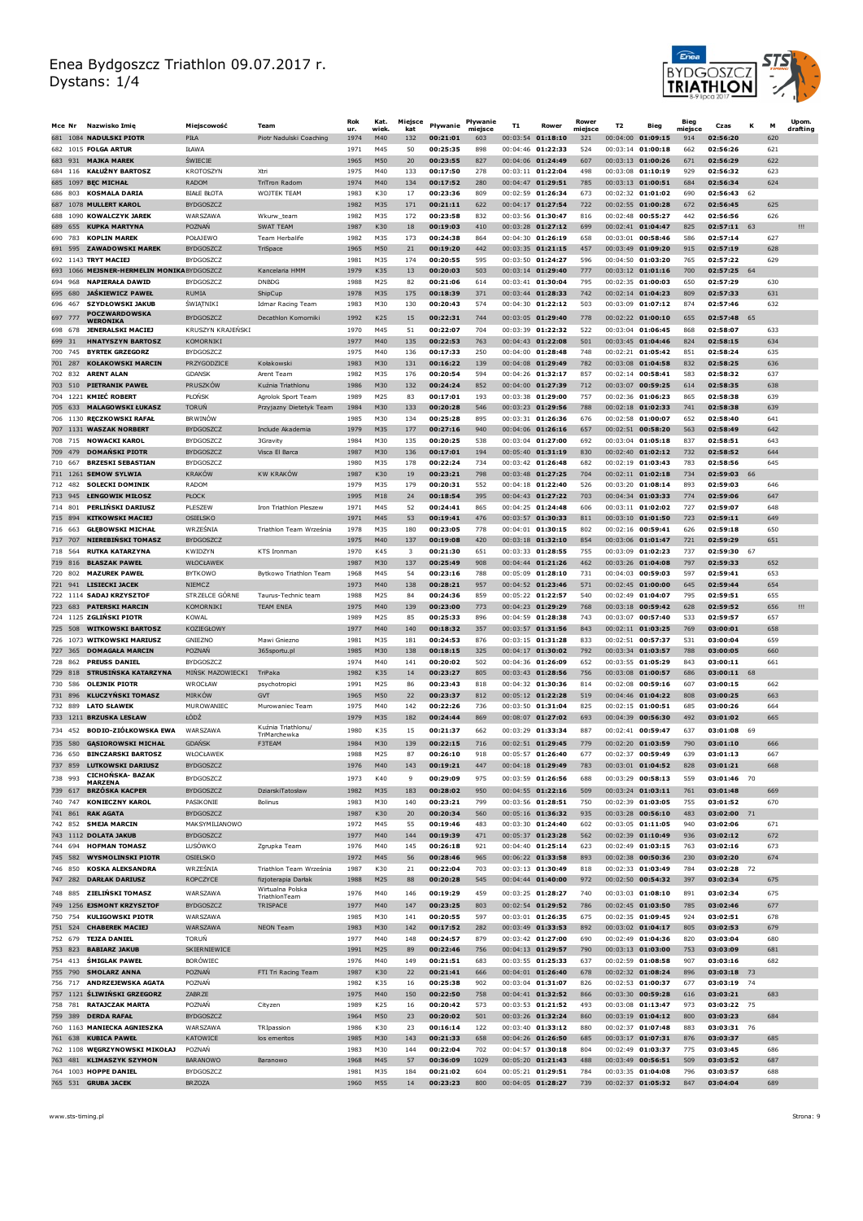

|     | Mce Nr             | Nazwisko Imię                                                     | Miejscowość                           | Team                                    | Rok<br>ur.   | Kat.<br>wiek           | Miejsce<br>kat          | Pływanie             | Pływanie<br>miejsce | <b>T1</b> | Rower                                    | Rower<br>miejsce | T <sub>2</sub> | Bieg                                   | Biea<br>miejsce | Czas                    | К    | M          | Upom.<br>drafting |
|-----|--------------------|-------------------------------------------------------------------|---------------------------------------|-----------------------------------------|--------------|------------------------|-------------------------|----------------------|---------------------|-----------|------------------------------------------|------------------|----------------|----------------------------------------|-----------------|-------------------------|------|------------|-------------------|
|     |                    | 681 1084 NADULSKI PIOTR                                           | PIŁA                                  | Piotr Nadulski Coaching                 | 1974         | M40                    | 132                     | 00:21:01             | 603                 | 00:03:54  | 01:18:10                                 | 321              | 00:04:00       | 01:09:15                               | 914             | 02:56:20                |      | 620        |                   |
|     |                    | 682 1015 FOLGA ARTUR                                              | IŁAWA                                 |                                         | 1971         | M45                    | 50                      | 00:25:35             | 898                 |           | 00:04:46 01:22:33                        | 524              |                | $00:03:14$ 01:00:18                    | 662             | 02:56:26                |      | 621        |                   |
|     | 683 931<br>684 116 | <b>MAJKA MAREK</b><br><b>KAŁUŻNY BARTOSZ</b>                      | <b>SWIECIE</b><br><b>KROTOSZYN</b>    | Xtri                                    | 1965<br>1975 | M50<br>M40             | 20<br>133               | 00:23:55<br>00:17:50 | 827<br>278          | 00:04:06  | 01:24:49<br>00:03:11 01:22:04            | 607<br>498       | 00:03:13       | 01:00:26<br>00:03:08 01:10:19          | 671<br>929      | 02:56:29<br>02:56:32    |      | 622<br>623 |                   |
|     |                    | 685 1097 BEC MICHAŁ                                               | <b>RADOM</b>                          | <b>TriTron Radom</b>                    | 1974         | M40                    | 134                     | 00:17:52             | 280                 |           | 00:04:47 01:29:51                        | 785              |                | 00:03:13 01:00:51                      | 684             | 02:56:34                |      | 624        |                   |
| 686 | 803                | <b>KOSMALA DARIA</b>                                              | <b>BIAŁE BŁOTA</b>                    | <b>WOJTEK TEAM</b>                      | 1983         | K30                    | 17                      | 00:23:36             | 809                 | 00:02:59  | 01:26:34                                 | 673              |                | 00:02:32 01:01:02                      | 690             | 02:56:43                | 62   |            |                   |
| 688 |                    | 687 1078 MULLERT KAROL<br>1090 KOWALCZYK JAREK                    | <b>BYDGOSZCZ</b><br>WARSZAWA          |                                         | 1982<br>1982 | M35<br>M35             | 171<br>172              | 00:21:11<br>00:23:58 | 622<br>832          |           | 00:04:17 01:27:54<br>00:03:56 01:30:47   | 722<br>816       | 00:02:48       | 00:02:55 01:00:28<br>00:55:27          | 672<br>442      | 02:56:45<br>02:56:56    |      | 625<br>626 |                   |
| 689 |                    | 655 KUPKA MARTYNA                                                 | <b>POZNAN</b>                         | Wkurw_team<br><b>SWAT TEAM</b>          | 1987         | K30                    | 18                      | 00:19:03             | 410                 |           | 00:03:28 01:27:12                        | 699              |                | 00:02:41 01:04:47                      | 825             | 02:57:11                | 63   |            | Ш                 |
| 690 | -783               | <b>KOPLIN MAREK</b>                                               | POŁAJEWO                              | <b>Team Herbalife</b>                   | 1982         | M35                    | 173                     | 00:24:38             | 864                 |           | 00:04:30 01:26:19                        | 658              | 00:03:01       | 00:58:46                               | 586             | 02:57:14                |      | 627        |                   |
|     |                    | 691 595 ZAWADOWSKI MAREK                                          | <b>BYDGOSZCZ</b>                      | TriSpace                                | 1965         | M50                    | 21                      | 00:19:20             | 442                 |           | 00:03:35 01:21:15                        | 457              |                | 00:03:49 01:09:20                      | 915             | 02:57:19                |      | 628        |                   |
|     |                    | 692 1143 TRYT MACIEJ<br>693 1066 MEJSNER-HERMELIN MONIKABYDGOSZCZ | <b>BYDGOSZCZ</b>                      | Kancelaria HMM                          | 1981<br>1979 | M35<br>K35             | 174<br>13               | 00:20:55<br>00:20:03 | 595<br>503          |           | 00:03:50 01:24:27<br>00:03:14 01:29:40   | 596<br>777       | 00:04:50       | 01:03:20<br>00:03:12 01:01:16          | 765<br>700      | 02:57:22<br>02:57:25    | 64   | 629        |                   |
|     | 694 968            | <b>NAPIERAŁA DAWID</b>                                            | <b>BYDGOSZCZ</b>                      | <b>DNBDG</b>                            | 1988         | M25                    | 82                      | 00:21:06             | 614                 |           | $00:03:41$ 01:30:04                      | 795              | 00:02:35       | 01:00:03                               | 650             | 02:57:29                |      | 630        |                   |
|     |                    | 695 680 JAŚKIEWICZ PAWEŁ                                          | <b>RUMIA</b>                          | ShipCup                                 | 1978         | M35                    | 175                     | 00:18:39             | 371                 |           | 00:03:44 01:28:33                        | 742              |                | 00:02:14 01:04:23                      | 809             | 02:57:33                |      | 631        |                   |
| 696 | 467                | <b>SZYDŁOWSKI JAKUB</b><br><b>POCZWARDOWSKA</b>                   | <b>SWIĄTNIKI</b>                      | <b>Idmar Racing Team</b>                | 1983         | M30                    | 130                     | 00:20:43             | 574                 |           | 00:04:30 01:22:12                        | 503              | 00:03:09       | 01:07:12                               | 874             | 02:57:46                |      | 632        |                   |
|     | 697 777<br>698 678 | <b>WERONIKA</b><br><b>JENERALSKI MACIEJ</b>                       | <b>BYDGOSZCZ</b><br>KRUSZYN KRAJEŃSKI | Decathlon Komorniki                     | 1992<br>1970 | K25<br>M45             | 15<br>51                | 00:22:31<br>00:22:07 | 744<br>704          |           | 00:03:05 01:29:40<br>00:03:39 01:22:32   | 778<br>522       |                | 00:02:22 01:00:10<br>00:03:04 01:06:45 | 655<br>868      | 02:57:48<br>02:58:07    | 65   | 633        |                   |
|     | 699 31             | <b>HNATYSZYN BARTOSZ</b>                                          | KOMORNIKI                             |                                         | 1977         | M40                    | 135                     | 00:22:53             | 763                 |           | 00:04:43 01:22:08                        | 501              |                | 00:03:45 01:04:46                      | 824             | 02:58:15                |      | 634        |                   |
|     | 700 745            | <b>BYRTEK GRZEGORZ</b>                                            | <b>BYDGOSZCZ</b>                      |                                         | 1975         | M40                    | 136                     | 00:17:33             | 250                 |           | 00:04:00 01:28:48                        | 748              |                | 00:02:21 01:05:42                      | 851             | 02:58:24                |      | 635        |                   |
|     | 701 287            | <b>KOŁAKOWSKI MARCIN</b>                                          | PRZYGODZICE                           | Kołakowski                              | 1983         | M30                    | 131                     | 00:16:22             | 139                 |           | 00:04:08 01:29:49                        | 782              |                | 00:03:08 01:04:58                      | 832             | 02:58:25                |      | 636        |                   |
|     | 702 832<br>703 510 | <b>ARENT ALAN</b><br><b>PIETRANIK PAWEŁ</b>                       | <b>GDANSK</b><br>PRUSZKÓW             | Arent Team<br>Kuźnia Triathlonu         | 1982<br>1986 | M35<br>M30             | 176<br>132              | 00:20:54<br>00:24:24 | 594<br>852          |           | 00:04:26 01:32:17<br>00:04:00 01:27:39   | 857<br>712       |                | 00:02:14 00:58:41<br>00:03:07 00:59:25 | 583<br>614      | 02:58:32<br>02:58:35    |      | 637<br>638 |                   |
|     |                    | 704 1221 KMIEC ROBERT                                             | PŁOŃSK                                | Agrolok Sport Team                      | 1989         | M <sub>25</sub>        | 83                      | 00:17:01             | 193                 |           | 00:03:38 01:29:00                        | 757              |                | 00:02:36 01:06:23                      | 865             | 02:58:38                |      | 639        |                   |
|     |                    | 705 633 MALAGOWSKI ŁUKASZ                                         | <b>TORUN</b>                          | Przyjazny Dietetyk Team                 | 1984         | M30                    | 133                     | 00:20:28             | 546                 |           | 00:03:23 01:29:56                        | 788              |                | 00:02:18 01:02:33                      | 741             | 02:58:38                |      | 639        |                   |
|     |                    | 706 1130 RECZKOWSKI RAFAŁ<br>707 1131 WASZAK NORBERT              | <b>BRWINOW</b>                        |                                         | 1985         | M30                    | 134<br>177              | 00:25:28<br>00:27:16 | 895<br>940          |           | 00:03:31 01:26:36                        | 676              | 00:02:51       | 00:02:58 01:00:07<br>00:58:20          | 652<br>563      | 02:58:40<br>02:58:49    |      | 641        |                   |
|     | 708 715            | <b>NOWACKI KAROL</b>                                              | <b>BYDGOSZCZ</b><br><b>BYDGOSZCZ</b>  | Include Akademia<br>3Gravity            | 1979<br>1984 | M35<br>M <sub>30</sub> | 135                     | 00:20:25             | 538                 |           | 00:04:06 01:26:16<br>$00:03:04$ 01:27:00 | 657<br>692       |                | $00:03:04$ 01:05:18                    | 837             | 02:58:51                |      | 642<br>643 |                   |
| 709 | 479                | <b>DOMANSKI PIOTR</b>                                             | <b>BYDGOSZCZ</b>                      | Visca El Barca                          | 1987         | M30                    | 136                     | 00:17:01             | 194                 |           | 00:05:40 01:31:19                        | 830              |                | 00:02:40 01:02:12                      | 732             | 02:58:52                |      | 644        |                   |
|     | 710 667            | <b>BRZESKI SEBASTIAN</b>                                          | <b>BYDGOSZCZ</b>                      |                                         | 1980         | M35                    | 178                     | 00:22:24             | 734                 |           | 00:03:42 01:26:48                        | 682              | 00:02:19       | 01:03:43                               | 783             | 02:58:56                |      | 645        |                   |
| 712 | 482                | 711 1261 SEMOW SYLWIA<br><b>SOLECKI DOMINIK</b>                   | <b>KRAKÓW</b><br><b>RADOM</b>         | KW KRAKÓW                               | 1987<br>1979 | K30<br>M35             | 19<br>179               | 00:23:21<br>00:20:31 | 798<br>552          | 00:04:18  | $00:03:48$ 01:27:25<br>01:22:40          | 704<br>526       | 00:03:20       | 00:02:11 01:02:18<br>01:08:14          | 734<br>893      | 02:59:03<br>02:59:03    | 66   | 646        |                   |
|     | 713 945            | <b>LENGOWIK MIŁOSZ</b>                                            | <b>PŁOCK</b>                          |                                         | 1995         | M18                    | 24                      | 00:18:54             | 395                 |           | $00:04:43$ 01:27:22                      | 703              |                | 00:04:34 01:03:33                      | 774             | 02:59:06                |      | 647        |                   |
|     | 714 801            | <b>PERLINSKI DARIUSZ</b>                                          | PLESZEW                               | <b>Iron Triathlon Pleszew</b>           | 1971         | M45                    | 52                      | 00:24:41             | 865                 |           | 00:04:25 01:24:48                        | 606              |                | $00:03:11$ 01:02:02                    | 727             | 02:59:07                |      | 648        |                   |
|     | 715 894            | <b>KITKOWSKI MACIEJ</b>                                           | <b>OSIELSKO</b>                       |                                         | 1971         | M45                    | 53                      | 00:19:41             | 476                 |           | 00:03:57 01:30:33                        | 811              |                | 00:03:10 01:01:50                      | 723             | 02:59:11                |      | 649        |                   |
| 716 | 663<br>717 707     | <b>GLEBOWSKI MICHAŁ</b><br>NIEREBIŃSKI TOMASZ                     | WRZEŚNIA<br><b>BYDGOSZCZ</b>          | Triathlon Team Września                 | 1978<br>1975 | M35<br>M40             | 180<br>137              | 00:23:05<br>00:19:08 | 778<br>420          |           | 00:04:01 01:30:15<br>00:03:18 01:32:10   | 802<br>854       |                | 00:02:16 00:59:41<br>00:03:06 01:01:47 | 626<br>721      | 02:59:18<br>02:59:29    |      | 650<br>651 |                   |
|     | 718 564            | <b>RUTKA KATARZYNA</b>                                            | KWIDZYN                               | <b>KTS</b> Ironman                      | 1970         | K45                    | $\overline{\mathbf{3}}$ | 00:21:30             | 651                 |           | 00:03:33 01:28:55                        | 755              | 00:03:09       | 01:02:23                               | 737             | 02:59:30                | 67   |            |                   |
|     | 719 816            | <b>BŁASZAK PAWEŁ</b>                                              | WŁOCŁAWEK                             |                                         | 1987         | M30                    | 137                     | 00:25:49             | 908                 |           | 00:04:44 01:21:26                        | 462              |                | 00:03:26 01:04:08                      | 797             | 02:59:33                |      | 652        |                   |
| 720 | 802                | <b>MAZUREK PAWEŁ</b>                                              | <b>BYTKOWO</b>                        | Bytkowo Triathlon Team                  | 1968         | M45                    | 54                      | 00:23:16             | 788                 | 00:05:09  | 01:28:10                                 | 731              | 00:04:03       | 00:59:03                               | 597             | 02:59:41                |      | 653        |                   |
|     |                    | 721 941 LISIECKI JACEK<br>722 1114 SADAJ KRZYSZTOF                | NIEMCZ<br>STRZELCE GÓRNE              | Taurus-Technic team                     | 1973<br>1988 | M40<br>M25             | 138<br>84               | 00:28:21<br>00:24:36 | 957<br>859          |           | 00:04:52 01:23:46<br>00:05:22 01:22:57   | 571<br>540       |                | 00:02:45 01:00:00<br>00:02:49 01:04:07 | 645<br>795      | 02:59:44<br>02:59:51    |      | 654<br>655 |                   |
|     |                    | 723 683 PATERSKI MARCIN                                           | KOMORNIKI                             | <b>TEAM ENEA</b>                        | 1975         | M40                    | 139                     | 00:23:00             | 773                 |           | 00:04:23 01:29:29                        | 768              |                | 00:03:18 00:59:42                      | 628             | 02:59:52                |      | 656        | Ш                 |
|     |                    | 724 1125 ZGLIŃSKI PIOTR                                           | <b>KOWAL</b>                          |                                         | 1989         | M25                    | 85                      | 00:25:33             | 896                 |           | 00:04:59 01:28:38                        | 743              |                | 00:03:07 00:57:40                      | 533             | 02:59:57                |      | 657        |                   |
|     |                    | 725 508 WITKOWSKI BARTOSZ                                         | KOZIEGŁOWY<br>GNIEZNO                 |                                         | 1977<br>1981 | M40<br>M35             | 140<br>181              | 00:18:32             | 357<br>876          |           | 00:03:57 01:31:56                        | 843<br>833       |                | 00:02:11 01:03:25                      | 769<br>531      | 03:00:01<br>03:00:04    |      | 658<br>659 |                   |
| 727 | 365                | 726 1073 WITKOWSKI MARIUSZ<br><b>DOMAGAŁA MARCIN</b>              | POZNAŃ                                | Mawi Gniezno<br>365sportu.pl            | 1985         | M30                    | 138                     | 00:24:53<br>00:18:15 | 325                 |           | 00:03:15 01:31:28<br>00:04:17 01:30:02   | 792              |                | 00:02:51 00:57:37<br>00:03:34 01:03:57 | 788             | 03:00:05                |      | 660        |                   |
| 728 | 862                | <b>PREUSS DANIEL</b>                                              | <b>BYDGOSZCZ</b>                      |                                         | 1974         | M40                    | 141                     | 00:20:02             | 502                 |           | 00:04:36 01:26:09                        | 652              |                | 00:03:55 01:05:29                      | 843             | 03:00:11                |      | 661        |                   |
|     | 729 818            | <b>STRUSINSKA KATARZYNA</b>                                       | MINSK MAZOWIECKI                      | TriPaka                                 | 1982         | K35                    | 14                      | 00:23:27             | 805                 |           | 00:03:43 01:28:56                        | 756              | 00:03:08       | 01:00:57                               | 686             | 03:00:11                | 68   |            |                   |
|     | 730 586<br>731 896 | <b>OLEJNIK PIOTR</b><br><b>KLUCZYNSKI TOMASZ</b>                  | <b>WROCŁAW</b><br>MIRKÓW              | psychotropici<br><b>GVT</b>             | 1991<br>1965 | M25<br>M50             | 86<br>22                | 00:23:43<br>00:23:37 | 818<br>812          |           | $00:04:32$ 01:30:36<br>00:05:12 01:22:28 | 814<br>519       |                | 00:02:08 00:59:16<br>00:04:46 01:04:22 | 607<br>808      | 03:00:15<br>03:00:25    |      | 662<br>663 |                   |
|     | 732 889            | <b>LATO SŁAWEK</b>                                                | MUROWANIEC                            | Murowaniec Team                         | 1975         | M40                    | 142                     | 00:22:26             | 736                 | 00:03:50  | 01:31:04                                 | 825              | 00:02:15       | 01:00:51                               | 685             | 03:00:26                |      | 664        |                   |
|     |                    | 733 1211 BRZUSKA LESŁAW                                           | ŁÓDŹ                                  |                                         | 1979         | M35                    | 182                     | 00:24:44             | 869                 |           | 00:08:07 01:27:02                        | 693              |                | 00:04:39 00:56:30                      | 492             | 03:01:02                |      | 665        |                   |
|     |                    | 734 452 BODIO-ZIÓŁKOWSKA EWA                                      | WARSZAWA                              | Kuźnia Triathlonu/<br>TriMarchewka      | 1980         | K35                    | 15                      | 00:21:37             | 662                 |           | $00:03:29$ 01:33:34                      | 887              |                | $00:02:41$ 00:59:47                    | 637             | 03:01:08                | - 69 |            |                   |
|     | 735 580            | <b>GASIOROWSKI MICHAŁ</b>                                         | <b>GDANSK</b>                         | F3TEAM                                  | 1984         | M30                    | 139                     | 00:22:15             | 716                 |           | $00:02:51$ 01:29:45                      | 779              |                | 00:02:20 01:03:59                      | 790             | 03:01:10                |      | 666        |                   |
|     | 736 650<br>737 859 | <b>BINCZARSKI BARTOSZ</b><br><b>LUTKOWSKI DARIUSZ</b>             | WŁOCŁAWEK<br><b>BYDGOSZCZ</b>         |                                         | 1988<br>1976 | M25<br>M40             | 87<br>143               | 00:26:10<br>00:19:21 | 918<br>447          |           | 00:05:57 01:26:40<br>00:04:18 01:29:49   | 677<br>783       |                | 00:02:37 00:59:49<br>00:03:01 01:04:52 | 639<br>828      | 03:01:13<br>03:01:21    |      | 667<br>668 |                   |
|     | 738 993            | <b>CICHONSKA- BAZAK</b>                                           | <b>BYDGOSZCZ</b>                      |                                         | 1973         | K40                    | 9                       | 00:29:09             | 975                 |           | 00:03:59 01:26:56                        | 688              |                | 00:03:29 00:58:13                      | 559             | 03:01:46 70             |      |            |                   |
|     |                    | <b>MARZENA</b><br>739 617 BRZÓSKA KACPER                          | <b>BYDGOSZCZ</b>                      | DziarskiTatosław                        | 1982         | M35                    | 183                     | 00:28:02             | 950                 |           | 00:04:55 01:22:16                        | 509              |                | 00:03:24 01:03:11                      | 761             | 03:01:48                |      | 669        |                   |
|     | 740 747            | <b>KONIECZNY KAROL</b>                                            | PASIKONIE                             | Bolinus                                 | 1983         | M30                    | 140                     | 00:23:21             | 799                 |           | 00:03:56 01:28:51                        | 750              |                | 00:02:39 01:03:05                      | 755             | 03:01:52                |      | 670        |                   |
|     |                    | 741 861 RAK AGATA                                                 | <b>BYDGOSZCZ</b>                      |                                         | 1987         | K30                    | 20                      | 00:20:34             | 560                 |           | 00:05:16 01:36:32                        | 935              |                | 00:03:28 00:56:10                      | 483             | 03:02:00 71             |      |            |                   |
|     |                    | 742 852 SMEJA MARCIN<br>743 1112 DOLATA JAKUB                     | MAKSYMILIANOWO<br><b>BYDGOSZCZ</b>    |                                         | 1972<br>1977 | M45<br>M40             | 55<br>144               | 00:19:46<br>00:19:39 | 483<br>471          |           | 00:03:30 01:24:40<br>00:05:37 01:23:28   | 602<br>562       |                | 00:03:05 01:11:05<br>00:02:39 01:10:49 | 940<br>936      | 03:02:06<br>03:02:12    |      | 671<br>672 |                   |
|     |                    | 744 694 HOFMAN TOMASZ                                             | LUSÓWKO                               | Zgrupka Team                            | 1976         | M40                    | 145                     | 00:26:18             | 921                 |           | 00:04:40 01:25:14                        | 623              |                | 00:02:49 01:03:15                      | 763             | 03:02:16                |      | 673        |                   |
|     |                    | 745 582 WYSMOLINSKI PIOTR                                         | <b>OSIELSKO</b>                       |                                         | 1972         | M45                    | 56                      | 00:28:46             | 965                 |           | 00:06:22 01:33:58                        | 893              |                | 00:02:38 00:50:36                      | 230             | 03:02:20                |      | 674        |                   |
|     | 746 850            | <b>KOSKA ALEKSANDRA</b>                                           | WRZEŚNIA                              | Triathlon Team Września                 | 1987         | K30                    | 21<br>88                | 00:22:04<br>00:20:28 | 703                 |           | 00:03:13 01:30:49<br>00:04:44 01:40:00   | 818              |                | 00:02:33 01:03:49                      | 784             | 03:02:28<br>03:02:34    | 72   |            |                   |
|     |                    | 747 282 DARŁAK DARIUSZ<br>748 885 ZIELIŃSKI TOMASZ                | ROPCZYCE<br>WARSZAWA                  | fizjoterapia Darłak<br>Wirtualna Polska | 1988<br>1976 | M25<br>M40             | 146                     | 00:19:29             | 545<br>459          |           | 00:03:25 01:28:27                        | 972<br>740       |                | 00:02:50 00:54:32<br>00:03:03 01:08:10 | 397<br>891      | 03:02:34                |      | 675<br>675 |                   |
|     |                    | 749 1256 EJSMONT KRZYSZTOF                                        | <b>BYDGOSZCZ</b>                      | TriathlonTeam<br>TRISPACE               | 1977         | M40                    | 147                     | 00:23:25             | 803                 |           | 00:02:54 01:29:52                        | 786              |                | 00:02:45 01:03:50                      | 785             | 03:02:46                |      | 677        |                   |
|     |                    | 750 754 KULIGOWSKI PIOTR                                          | WARSZAWA                              |                                         | 1985         | M30                    | 141                     | 00:20:55             | 597                 |           | 00:03:01 01:26:35                        | 675              |                | 00:02:35 01:09:45                      | 924             | 03:02:51                |      | 678        |                   |
|     |                    | 751 524 CHABEREK MACIEJ                                           | WARSZAWA                              | <b>NEON Team</b>                        | 1983         | M30                    | 142                     | 00:17:52             | 282                 |           | 00:03:49 01:33:53                        | 892              |                | 00:03:02 01:04:17                      | 805             | 03:02:53                |      | 679        |                   |
|     |                    | 752 679 TEJZA DANIEL<br>753 823 BABIARZ JAKUB                     | TORUŃ                                 |                                         | 1977<br>1991 | M40<br>M25             | 148<br>89               | 00:24:57             | 879<br>756          |           | 00:03:42 01:27:00                        | 690<br>790       |                | 00:02:49 01:04:36<br>00:03:13 01:03:00 | 820<br>753      | 03:03:04                |      | 680<br>681 |                   |
|     |                    | 754 413 ŚMIGLAK PAWEŁ                                             | SKIERNIEWICE<br><b>BOROWIEC</b>       |                                         | 1976         | M40                    | 149                     | 00:22:46<br>00:21:51 | 683                 |           | 00:04:13 01:29:57<br>00:03:55 01:25:33   | 637              |                | 00:02:59 01:08:58                      | 907             | 03:03:09<br>03:03:16    |      | 682        |                   |
|     |                    | 755 790 SMOLARZ ANNA                                              | POZNAŃ                                | FTI Tri Racing Team                     | 1987         | K30                    | 22                      | 00:21:41             | 666                 |           | 00:04:01 01:26:40                        | 678              |                | 00:02:32 01:08:24                      | 896             | 03:03:18 73             |      |            |                   |
|     |                    |                                                                   | POZNAŃ                                |                                         | 1982         | K35                    | 16                      | 00:25:38             | 902                 |           | 00:03:04 01:31:07                        | 826              |                | 00:02:53 01:00:37                      | 677             | 03:03:19 74             |      |            |                   |
|     |                    | 756 717 ANDRZEJEWSKA AGATA                                        |                                       |                                         |              |                        |                         | 00:22:50             | 758                 |           | 00:04:41 01:32:52                        | 866              |                | 00:03:30 00:59:28                      | 616             | 03:03:21                |      | 683        |                   |
|     |                    | 757 1121 SLIWIŃSKI GRZEGORZ                                       | ZABRZE                                |                                         | 1975         | M40                    | 150                     |                      |                     |           |                                          |                  |                |                                        |                 |                         |      |            |                   |
|     | 759 389            | 758 781 RATAJCZAK MARTA<br><b>DERDA RAFAŁ</b>                     | POZNAŃ<br><b>BYDGOSZCZ</b>            | Cityzen                                 | 1989<br>1964 | K25<br>M50             | 16<br>23                | 00:20:42<br>00:20:02 | 573<br>501          |           | 00:03:53 01:21:52<br>00:03:26 01:32:24   | 493<br>860       |                | 00:03:08 01:13:47<br>00:03:19 01:04:12 | 973<br>800      | 03:03:22 75<br>03:03:23 |      | 684        |                   |
|     |                    | 760 1163 MANIECKA AGNIESZKA                                       | WARSZAWA                              | TRIpassion                              | 1986         | K30                    | 23                      | 00:16:14             | 122                 |           | 00:03:40 01:33:12                        | 880              |                | 00:02:37 01:07:48                      | 883             | 03:03:31                | 76   |            |                   |
|     |                    | 761 638 KUBICA PAWEŁ                                              | KATOWICE                              | los emeritos                            | 1985         | M30                    | 143                     | 00:21:33             | 658                 |           | 00:04:26 01:26:50                        | 685              |                | 00:03:17 01:07:31                      | 876             | 03:03:37                |      | 685        |                   |
|     |                    | 762 1108 WĘGRZYNOWSKI MIKOŁAJ                                     | POZNAN                                |                                         | 1983         | M30                    | 144                     | 00:22:04             | 702                 |           | 00:04:57 01:30:18                        | 804              |                | 00:02:49 01:03:37                      | 775             | 03:03:45                |      | 686        |                   |
|     |                    | 763 481 KLIMASZYK SZYMON<br>764 1003 HOPPE DANIEL                 | <b>BARANOWO</b><br><b>BYDGOSZCZ</b>   | Baranowo                                | 1968<br>1981 | M45<br>M35             | 57<br>184               | 00:36:09<br>00:21:02 | 1029<br>604         |           | 00:05:20 01:21:43<br>00:05:21 01:29:51   | 488<br>784       |                | 00:03:49 00:56:51<br>00:03:35 01:04:08 | 509<br>796      | 03:03:52<br>03:03:57    |      | 687<br>688 |                   |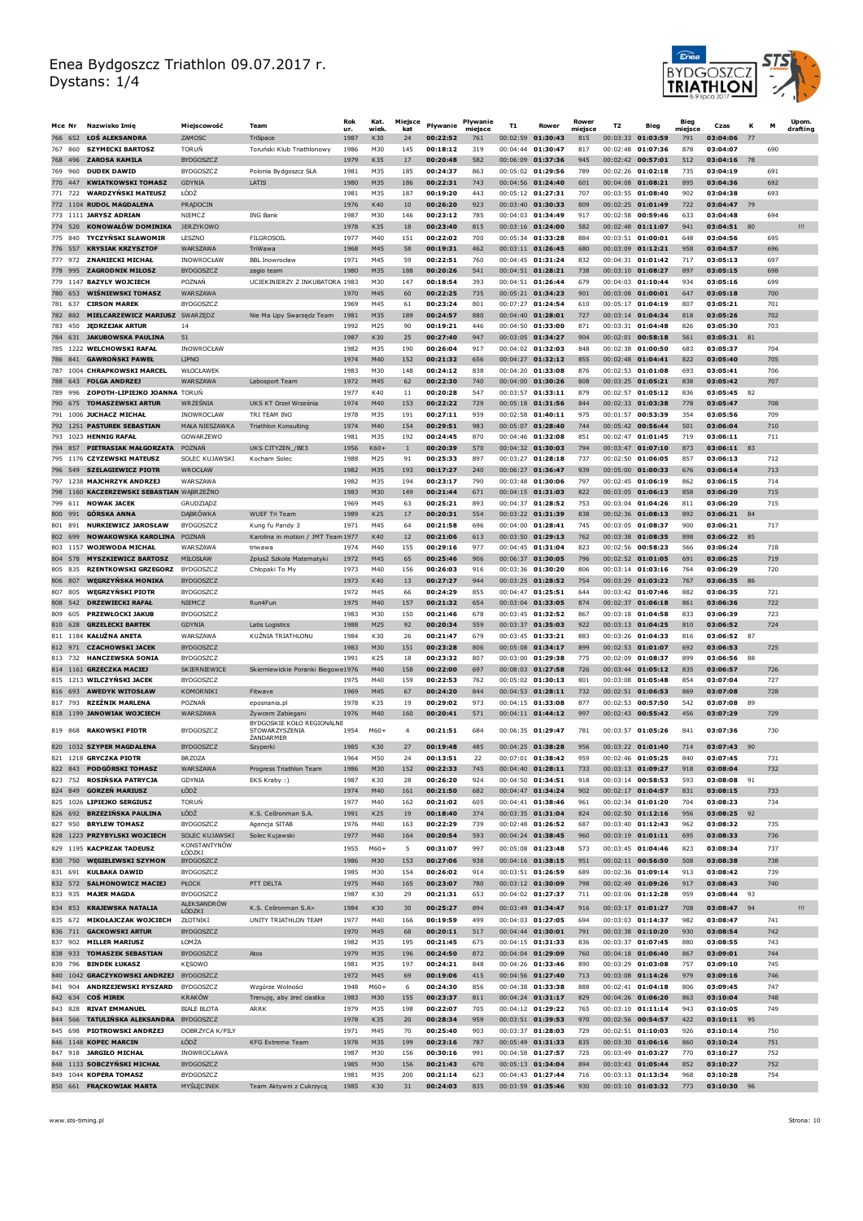

|            | Mce Nr         | Nazwisko Imie                                                   | Mieiscowość                          | Team                                         | Rok          | Kat.         | Miejsce             | Pływanie             | Pływanie       | T <sub>1</sub> | Rower                                    | Rower          | T <sub>2</sub>       | Bieg                                     | Bieg           | Czas                    | к   | м          | Upom.    |
|------------|----------------|-----------------------------------------------------------------|--------------------------------------|----------------------------------------------|--------------|--------------|---------------------|----------------------|----------------|----------------|------------------------------------------|----------------|----------------------|------------------------------------------|----------------|-------------------------|-----|------------|----------|
| 766        | 652            | ŁOŚ ALEKSANDRA                                                  | ZAMOSC                               | TriSpace                                     | ur.<br>1987  | wiek.<br>K30 | kat<br>24           | 00:22:52             | miejsce<br>761 | 00:02:59       | 01:30:43                                 | miejsce<br>815 | 00:03:33             | 01:03:59                                 | miejsce<br>791 | 03:04:06                |     |            | drafting |
|            | 767 860        | <b>SZYMECKI BARTOSZ</b>                                         | <b>TORUN</b>                         | Toruński Klub Triathlonowy                   | 1986         | M30          | 145                 | 00:18:12             | 319            |                | 00:04:44 01:30:47                        | 817            |                      | 00:02:48 01:07:36                        | 878            | 03:04:07                |     | 690        |          |
| 769        | 768 496<br>960 | <b>ZAROSA KAMILA</b><br><b>DUDEK DAWID</b>                      | <b>BYDGOSZCZ</b><br><b>BYDGOSZCZ</b> | Polonia Bydgoszcz SLA                        | 1979<br>1981 | K35<br>M35   | 17<br>185           | 00:20:48<br>00:24:37 | 582<br>863     |                | 00:06:09 01:37:36<br>00:05:02 01:29:56   | 945<br>789     | 00:02:26             | $00:02:42$ 00:57:01<br>01:02:18          | 512<br>735     | 03:04:16<br>03:04:19    | 78  | 691        |          |
|            | 770 447        | <b>KWIATKOWSKI TOMASZ</b>                                       | <b>GDYNIA</b>                        | LATIS                                        | 1980         | M35          | 186                 | 00:22:31             | 743            |                | 00:04:56 01:24:40                        | 601            |                      | 00:04:08 01:08:21                        | 895            | 03:04:36                |     | 692        |          |
|            | 771 722        | <b>WARDZYNSKI MATEUSZ</b>                                       | ŁÓDŹ                                 |                                              | 1981         | M35          | 187                 | 00:19:20             | 443            |                | $00:05:12$ 01:27:31                      | 707            | 00:03:55             | 01:08:40                                 | 902            | 03:04:38                |     | 693        |          |
|            |                | 772 1104 RUDOL MAGDALENA                                        | PRADOCIN                             |                                              | 1976         | K40          | 10                  | 00:26:20             | 923            |                | 00:03:40 01:30:33                        | 809            |                      | 00:02:25 01:01:49                        | 722            | 03:04:47                | 79  |            |          |
|            | 774 520        | 773 1111 JARYSZ ADRIAN<br>KONOWAŁÓW DOMINIKA                    | NIFMC7<br><b>JERZYKOWO</b>           | <b>ING Bank</b>                              | 1987<br>1978 | M30<br>K35   | 146<br>18           | 00:23:12<br>00:23:40 | 785<br>815     |                | 00:04:03 01:34:49<br>00:03:16 01:24:00   | 917<br>582     | 00:02:58             | 00:59:46<br>00:02:48 01:11:07            | 633<br>941     | 03:04:48<br>03:04:51    | 80  | 694        | Ш        |
| 775        | 840            | <b>TYCZYŃSKI SŁAWOMIR</b>                                       | LESZNO                               | <b>FILGROSOIL</b>                            | 1977         | M40          | 151                 | 00:22:02             | 700            |                | 00:05:34 01:33:28                        | 884            | 00:03:51             | 01:00:01                                 | 648            | 03:04:56                |     | 695        |          |
|            | 776 557        | <b>KRYSIAK KRZYSZTOF</b>                                        | WARSZAWA                             | TriWawa                                      | 1968         | M45          | 58                  | 00:19:31             | 462            |                | 00:03:11 01:26:45                        | 680            |                      | 00:03:09 01:12:21                        | 958            | 03:04:57                |     | 696        |          |
| 777        | 972            | <b>ZNANIECKI MICHAŁ</b>                                         | INOWROCŁAW                           | <b>BBL Inowrocław</b>                        | 1971         | M45          | 59                  | 00:22:51             | 760            |                | $00:04:45$ 01:31:24                      | 832            | 00:04:31             | 01:01:42                                 | 717            | 03:05:13                |     | 697        |          |
|            | 778 995        | <b>ZAGRODNIK MIŁOSZ</b><br>779 1147 BAZYLY WOJCIECH             | BYDGOSZCZ<br>POZNAŃ                  | zagio team<br>UCIEKINIERZY Z INKUBATORA 1983 | 1980         | M35<br>M30   | 188<br>147          | 00:20:26<br>00:18:54 | 541<br>393     |                | $00:04:51$ 01:28:21<br>00:04:51 01:26:44 | 738<br>679     |                      | $00:03:10$ 01:08:27<br>00:04:03 01:10:44 | 897<br>934     | 03:05:15<br>03:05:16    |     | 698<br>699 |          |
|            | 780 653        | WIŚNIEWSKI TOMASZ                                               | WARSZAWA                             |                                              | 1970         | M45          | 60                  | 00:22:25             | 735            |                | $00:05:21$ 01:34:23                      | 901            |                      | 00:03:08 01:00:01                        | 647            | 03:05:18                |     | 700        |          |
|            | 781 637        | <b>CIRSON MAREK</b>                                             | <b>BYDGOSZCZ</b>                     |                                              | 1969         | M45          | 61                  | 00:23:24             | 801            |                | 00:07:27 01:24:54                        | 610            |                      | 00:05:17 01:04:19                        | 807            | 03:05:21                |     | 701        |          |
|            | 782 882        | MIELCARZEWICZ MARIUSZ SWARZEDZ                                  |                                      | Nie Ma Lipy Swarzędz Team                    | 1981         | M35          | 189                 | 00:24:57             | 880            |                | 00:04:40 01:28:01                        | 727            |                      | 00:03:14 01:04:34                        | 818            | 03:05:26                |     | 702        |          |
| 784        | 783 450<br>631 | <b>JEDRZEJAK ARTUR</b><br><b>JAKUBOWSKA PAULINA</b>             | 14<br>51                             |                                              | 1992<br>1987 | M25<br>K30   | 90<br>25            | 00:19:21<br>00:27:40 | 446<br>947     |                | 00:04:50 01:33:00<br>00:03:05 01:34:27   | 871<br>904     |                      | 00:03:31 01:04:48<br>00:02:01 00:58:18   | 826<br>561     | 03:05:30<br>03:05:31    |     | 703        |          |
|            |                | 785 1222 WELCHOWSKI RAFAŁ                                       | INOWROCŁAW                           |                                              | 1982         | M35          | 190                 | 00:26:04             | 917            |                | 00:04:02 01:32:03                        | 848            |                      | 00:02:38 01:00:50                        | 683            | 03:05:37                |     | 704        |          |
|            | 786 841        | <b>GAWRONSKI PAWEŁ</b>                                          | <b>LIPNO</b>                         |                                              | 1974         | M40          | 152                 | 00:21:32             | 656            |                | 00:04:27 01:32:12                        | 855            |                      | 00:02:48 01:04:41                        | 822            | 03:05:40                |     | 705        |          |
|            |                | 787 1004 CHRAPKOWSKI MARCEL                                     | WŁOCŁAWEK                            |                                              | 1983         | M30          | 148                 | 00:24:12             | 838            |                | 00:04:20 01:33:08                        | 876            |                      | 00:02:53 01:01:08                        | 693            | 03:05:41                |     | 706        |          |
| 788<br>789 | 643<br>996     | <b>FOLGA ANDRZEJ</b><br>ZOPOTH-LIPIEJKO JOANNA TORUŃ            | <b>WARSZAWA</b>                      | Labosport Team                               | 1972<br>1977 | M45<br>K40   | 62<br>11            | 00:22:30<br>00:20:28 | 740<br>547     |                | 00:04:00 01:30:26<br>00:03:57 01:33:11   | 808<br>879     | 00:03:25<br>00:02:57 | 01:05:21<br>01:05:12                     | 838<br>836     | 03:05:42<br>03:05:45    | 82  | 707        |          |
|            | 790 675        | <b>TOMASZEWSKI ARTUR</b>                                        | WRZEŚNIA                             | UKS KT Orzeł Września                        | 1974         | M40          | 153                 | 00:22:22             | 729            |                | 00:05:18 01:31:56                        | 844            |                      | 00:02:33 01:03:38                        | 778            | 03:05:47                |     | 708        |          |
|            |                | 791 1006 JUCHACZ MICHAŁ                                         | INOWROCLAW                           | TRI TEAM INO                                 | 1978         | M35          | 191                 | 00:27:11             | 939            |                | 00:02:58 01:40:11                        | 975            | 00:01:57             | 00:53:39                                 | 354            | 03:05:56                |     | 709        |          |
|            |                | 792 1251 PASTUREK SEBASTIAN                                     | MAŁA NIESZAWKA                       | Triathlon Konsulting                         | 1974         | M40          | 154                 | 00:29:51             | 983            |                | 00:05:07 01:28:40                        | 744            |                      | 00:05:42 00:56:44                        | 501            | 03:06:04                |     | 710        |          |
|            |                | 793 1023 HENNIG RAFAŁ<br>794 857 PIETRASIAK MAŁGORZATA          | <b>GOWARZEWO</b><br>POZNAN           | UKS CITYZEN / BE3                            | 1981<br>1956 | M35<br>K60+  | 192<br>$\mathbf{1}$ | 00:24:45<br>00:20:39 | 870<br>570     |                | 00:04:46 01:32:08<br>$00:04:32$ 01:30:03 | 851<br>794     | 00:02:47             | 01:01:45<br>00:03:47 01:07:10            | 719<br>873     | 03:06:11<br>03:06:11    | 83  | 711        |          |
|            |                | 795 1176 CZYZEWSKI MATEUSZ                                      | SOLEC KUJAWSKI                       | Kocham Solec                                 | 1988         | M25          | 91                  | 00:25:33             | 897            |                | 00:03:27 01:28:18                        | 737            | 00:02:50             | 01:06:05                                 | 857            | 03:06:13                |     | 712        |          |
|            |                | 796 549 SZELAGIEWICZ PIOTR                                      | WROCŁAW                              |                                              | 1982         | M35          | 193                 | 00:17:27             | 240            |                | 00:06:27 01:36:47                        | 939            |                      | 00:05:00 01:00:33                        | 676            | 03:06:14                |     | 713        |          |
|            |                | 797 1238 MAJCHRZYK ANDRZEJ                                      | WARSZAWA                             |                                              | 1982         | M35          | 194                 | 00:23:17             | 790            |                | 00:03:48 01:30:06                        | 797            | 00:02:45             | 01:06:19                                 | 862            | 03:06:15                |     | 714        |          |
| 799        | 611            | 798 1160 KACZERZEWSKI SEBASTIAN WĄBRZEŹNO<br><b>NOWAK JACEK</b> | GRUDZIĄDZ                            |                                              | 1983<br>1969 | M30<br>M45   | 149<br>63           | 00:21:44<br>00:25:21 | 671<br>893     |                | 00:04:15 01:31:03<br>00:04:37 01:28:52   | 822<br>753     |                      | 00:03:05 01:06:13<br>00:03:04 01:04:26   | 858<br>811     | 03:06:20<br>03:06:20    |     | 715<br>715 |          |
|            | 800 991        | <b>GÓRSKA ANNA</b>                                              | DABRÓWKA                             | <b>WUFF Tri Team</b>                         | 1989         | K25          | 17                  | 00:20:31             | 554            |                | 00:03:22 01:31:39                        | 838            |                      | 00:02:36 01:08:13                        | 892            | 03:06:21                | 84  |            |          |
|            | 801 891        | <b>NURKIEWICZ JAROSŁAW</b>                                      | <b>BYDGOSZCZ</b>                     | Kung fu Pandy 3                              | 1971         | M45          | 64                  | 00:21:58             | 696            |                | 00:04:00 01:28:41                        | 745            |                      | 00:03:05 01:08:37                        | 900            | 03:06:21                |     | 717        |          |
|            | 802 699        | <b>NOWAKOWSKA KAROLINA</b>                                      | POZNAN                               | Karolina in motion / JMT Team 1977           |              | K40          | 12                  | 00:21:06             | 613            |                | 00:03:50 01:29:13                        | 762            |                      | 00:03:38 01:08:35                        | 898            | 03:06:22                | 85  |            |          |
|            | 804 578        | 803 1157 WOJEWODA MICHAŁ<br><b>MYSZKIEWICZ BARTOSZ</b>          | WAR SZAWA<br>MIŁOSŁAW                | triwawa<br>2plus2 Szkoła Matematyki          | 1974<br>1972 | M40<br>M45   | 155<br>65           | 00:29:16<br>00:25:46 | 977<br>906     |                | 00:04:45 01:31:04<br>00:06:37 01:30:05   | 823<br>796     |                      | 00:02:56 00:58:23<br>00:02:52 01:01:05   | 566<br>691     | 03:06:24<br>03:06:25    |     | 718<br>719 |          |
|            | 805 835        | <b>RZENTKOWSKI GRZEGORZ</b>                                     | BYDGOSZCZ                            | Chłopaki To My                               | 1973         | M40          | 156                 | 00:26:03             | 916            |                | 00:03:36 01:30:20                        | 806            |                      | 00:03:14 01:03:16                        | 764            | 03:06:29                |     | 720        |          |
| 806        | 807            | <b>WĘGRZYŃSKA MONIKA</b>                                        | <b>BYDGOSZCZ</b>                     |                                              | 1973         | K40          | 13                  | 00:27:27             | 944            |                | 00:03:25 01:28:52                        | 754            |                      | 00:03:29 01:03:22                        | 767            | 03:06:35                | 86  |            |          |
| 807        | 805            | <b>WĘGRZYŃSKI PIOTR</b>                                         | <b>BYDGOSZCZ</b>                     |                                              | 1972         | M45          | 66                  | 00:24:29             | 855            |                | 00:04:47 01:25:51                        | 644            |                      | 00:03:42 01:07:46                        | 882            | 03:06:35                |     | 721        |          |
| 808<br>809 | 542<br>605     | <b>DRZEWIECKI RAFAŁ</b><br><b>PRZEWŁOCKI JAKUB</b>              | NIEMCZ<br><b>BYDGOSZCZ</b>           | Run4Fun                                      | 1975<br>1983 | M40<br>M30   | 157<br>150          | 00:21:32<br>00:21:46 | 654<br>678     |                | 00:03:04 01:33:05<br>00:03:45 01:32:52   | 874<br>867     | 00:02:37             | 01:06:18<br>00:03:18 01:04:58            | 861<br>833     | 03:06:36<br>03:06:39    |     | 722<br>723 |          |
|            | 810 628        | <b>GRZELECKI BARTEK</b>                                         | <b>GDYNIA</b>                        | Latis Logistics                              | 1988         | M25          | 92                  | 00:20:34             | 559            |                | 00:03:37 01:35:03                        | 922            |                      | 00:03:13 01:04:25                        | 810            | 03:06:52                |     | 724        |          |
|            |                | 811 1184 KAŁUŻNA ANETA                                          | <b>WARSZAWA</b>                      | KUŻNIA TRIATHLONU                            | 1984         | K30          | 26                  | 00:21:47             | 679            |                | 00:03:45 01:33:21                        | 883            |                      | 00:03:26 01:04:33                        | 816            | 03:06:52                | -87 |            |          |
|            | 812 971        | <b>CZACHOWSKI JACEK</b>                                         | <b>BYDGOSZCZ</b>                     |                                              | 1983         | M30          | 151                 | 00:23:28             | 806            |                | 00:05:08 01:34:17                        | 899            |                      | 00:02:53 01:01:07                        | 692            | 03:06:53                |     | 725        |          |
| 813        | 732            | <b>HANCZEWSKA SONIA</b><br>814 1161 GRZECZKA MACIEJ             | <b>BYDGOSZCZ</b><br>SKIERNIEWICE     | Skierniewickie Poranki Biegowe1976           | 1991         | K25<br>M40   | 18<br>158           | 00:23:32<br>00:22:00 | 807<br>697     |                | 00:03:00 01:29:38<br>00:08:03 01:27:58   | 775<br>726     | 00:02:09             | 01:08:37<br>00:03:44 01:05:12            | 899<br>835     | 03:06:56<br>03:06:57    | 88  | 726        |          |
|            |                | 815 1213 WILCZYNSKI JACEK                                       | <b>BYDGOSZCZ</b>                     |                                              | 1975         | M40          | 159                 | 00:22:53             | 762            |                | 00:05:02 01:30:13                        | 801            | 00:03:08             | 01.05.48                                 | 854            | 03:07:04                |     | 727        |          |
|            | 816 693        | <b>AWEDYK WITOSŁAW</b>                                          | KOMORNIKI                            | Fitwave                                      | 1969         | M45          | 67                  | 00:24:20             | 844            |                | 00:04:53 01:28:11                        | 732            |                      | 00:02:51 01:06:53                        | 869            | 03:07:08                |     | 728        |          |
| 817        | 793            | <b>RZEŻNIK MARLENA</b><br>818 1199 JANOWIAK WOJCIECH            | POZNAŃ<br>WARSZAWA                   | eposnania.pl<br>Zywcem Zabiegani             | 1978<br>1976 | K35<br>M40   | 19<br>160           | 00:29:02<br>00:20:41 | 973<br>571     |                | 00:04:15 01:33:08<br>00:04:11 01:44:12   | 877<br>997     | 00:02:53             | 00:57:50<br>00:02:43 00:55:42            | 542<br>456     | 03:07:08<br>03:07:29    | 89  | 729        |          |
|            |                |                                                                 |                                      | BYDGOSKIE KOŁO REGIONALNE                    |              |              |                     |                      |                |                |                                          |                |                      |                                          |                |                         |     |            |          |
|            |                | 819 868 RAKOWSKI PIOTR                                          | <b>BYDGOSZCZ</b>                     | <b>STOWARZYSZENIA</b><br>ŻANDARMER           | 1954         | M60+         | 4                   | 00:21:51             | 684            |                | 00:06:35 01:29:47                        | 781            |                      | 00:03:57 01:05:26                        | 841            | 03:07:36                |     | 730        |          |
|            |                | 820 1032 SZYPER MAGDALENA                                       | BYDGOSZCZ                            | Szyperki                                     | 1985         | K30          | 27                  | 00:19:48             | 485            |                | 00:04:25 01:38:28                        | 956            |                      | 00:03:22 01:01:40                        | 714            | 03:07:43                | 90  |            |          |
|            |                | 821 1218 GRYCZKA PIOTR<br>822 843 PODGÓRSKI TOMASZ              | <b>BRZOZA</b><br>WARSZAWA            | Progress Triathlon Team                      | 1964<br>1986 | M50<br>M30   | 24<br>152           | 00:13:51<br>00:22:33 | 22<br>745      |                | 00:07:01 01:38:42<br>00:04:40 01:28:11   | 959<br>733     |                      | 00:02:46 01:05:25<br>00:03:13 01:09:27   | 840<br>918     | 03:07:45<br>03:08:04    |     | 731<br>732 |          |
|            | 823 752        | ROSINSKA PATRYCJA                                               | GDYNIA                               | EKS Kraby:)                                  | 1987         | K30          | 28                  | 00:26:20             | 924            |                | 00:04:50 01:34:51                        | 918            |                      | 00:03:14 00:58:53                        | 593            | 03:08:08                | 91  |            |          |
|            | 824 849        | <b>GORZEŃ MARIUSZ</b>                                           | ŁÓDŹ                                 |                                              | 1974         | M40          | 161                 | 00:21:50             | 682            |                | 00:04:47 01:34:24                        | 902            |                      | 00:02:17 01:04:57                        | 831            | 03:08:15                |     | 733        |          |
|            |                | 825 1026 LIPIEJKO SERGIUSZ<br>826 692 BRZEZIŃSKA PAULINA        | <b>TORUN</b><br>ŁÓDŹ                 |                                              | 1977         | M40          | 162                 | 00:21:02<br>00:18:40 | 605            |                | 00:04:41 01:38:46                        | 961            |                      | 00:02:34 01:01:20                        | 704            | 03:08:23                | 92  | 734        |          |
|            |                | 827 950 BRYLEW TOMASZ                                           | <b>BYDGOSZCZ</b>                     | K.S. CelIronman S.A.<br>Agencja SITAB        | 1991<br>1976 | K25<br>M40   | 19<br>163           | 00:22:29             | 374<br>739     |                | 00:03:35 01:31:04<br>00:02:48 01:26:52   | 824<br>687     |                      | 00:02:50 01:12:16<br>00:03:40 01:12:43   | 956<br>962     | 03:08:25<br>03:08:32    |     | 735        |          |
|            |                | 828 1223 PRZYBYLSKI WOJCIECH                                    | SOLEC KUJAWSKI                       | Solec Kujawski                               | 1977         | M40          | 164                 | 00:20:54             | 593            |                | 00:04:24 01:38:45                        | 960            |                      | 00:03:19 01:01:11                        | 695            | 03:08:33                |     | 736        |          |
|            |                | 829 1195 KACPRZAK TADEUSZ                                       | KONSTANTYNÓW<br><b>FODSKI</b>        |                                              | 1955         | $M60+$       | 5                   | 00:31:07             | 997            |                | 00:05:08 01:23:48                        | 573            |                      | 00:03:45 01:04:46                        | 823            | 03:08:34                |     | 737        |          |
|            |                | 830 750 WĘGIELEWSKI SZYMON                                      | <b>BYDGOSZCZ</b>                     |                                              | 1986         | M30          | 153                 | 00:27:06             | 938            |                | 00:04:16 01:38:15                        | 951            |                      | 00:02:11 00:56:50                        | 508            | 03:08:38                |     | 738        |          |
|            | 831 691        | <b>KULBAKA DAWID</b><br>832 572 SALMONOWICZ MACIEJ              | <b>BYDGOSZCZ</b>                     | PTT DELTA                                    | 1985<br>1975 | M30<br>M40   | 154                 | 00:26:02<br>00:23:07 | 914<br>780     |                | 00:03:51 01:26:59<br>00:03:12 01:30:09   | 689            |                      | 00:02:36 01:09:14<br>00:02:49 01:09:26   | 913<br>917     | 03:08:42<br>03:08:43    |     | 739<br>740 |          |
|            | 833 935        | <b>MAJER MAGDA</b>                                              | <b>PŁOCK</b><br><b>BYDGOSZCZ</b>     |                                              | 1987         | K30          | 165<br>29           | 00:21:31             | 653            |                | 00:04:02 01:27:37                        | 798<br>711     |                      | 00:03:06 01:12:28                        | 959            | 03:08:44                | 93  |            |          |
|            | 834 853        | <b>KRAJEWSKA NATALIA</b>                                        | ALEKSANDRÓW                          | K.S. Celironman S.A>                         | 1984         | K30          | 30                  | 00:25:27             | 894            |                | 00:03:49 01:34:47                        | 916            |                      | 00:03:17 01:01:27                        | 708            | 03:08:47 94             |     |            | Ш        |
|            | 835 672        | MIKOŁAJCZAK WOJCIECH                                            | <b>ŁODZKI</b><br>ZŁOTNIKI            | UNITY TRIATHLON TEAM                         | 1977         | M40          | 166                 | 00:19:59             | 499            |                | 00:04:03 01:27:05                        | 694            |                      | 00:03:03 01:14:37                        | 982            | 03:08:47                |     | 741        |          |
|            | 836 711        | <b>GACKOWSKI ARTUR</b>                                          | <b>BYDGOSZCZ</b>                     |                                              | 1970         | M45          | 68                  | 00:20:11             | 517            |                | 00:04:44 01:30:01                        | 791            |                      | 00:03:38 01:10:20                        | 930            | 03:08:54                |     | 742        |          |
|            | 837 902        | <b>MILLER MARIUSZ</b>                                           | ŁOMŻA                                |                                              | 1982         | M35          | 195                 | 00:21:45             | 675            |                | 00:04:15 01:31:33                        | 836            |                      | 00:03:37 01:07:45                        | 880            | 03:08:55                |     | 743        |          |
|            | 839 796        | 838 933 TOMASZEK SEBASTIAN<br><b>BINDEK ŁUKASZ</b>              | <b>BYDGOSZCZ</b><br><b>KESOWO</b>    | Atos                                         | 1979<br>1981 | M35<br>M35   | 196<br>197          | 00:24:50<br>00:24:21 | 872<br>848     |                | 00:04:04 01:29:09<br>00:04:26 01:33:46   | 760<br>890     |                      | 00:04:18 01:06:40<br>00:03:29 01:03:08   | 867<br>757     | 03:09:01<br>03:09:10    |     | 744<br>745 |          |
|            |                | 840 1042 GRACZYKOWSKI ANDRZEJ                                   | <b>BYDGOSZCZ</b>                     |                                              | 1972         | M45          | 69                  | 00:19:06             | 415            |                | 00:04:56 01:27:40                        | 713            |                      | 00:03:08 01:14:26                        | 979            | 03:09:16                |     | 746        |          |
|            |                | 841 904 ANDRZEJEWSKI RYSZARD                                    | <b>BYDGOSZCZ</b>                     | Wzgórze Wolności                             | 1948         | $M60+$       | 6                   | 00:24:30             | 856            |                | 00:04:38 01:33:38                        | 888            |                      | 00:02:41 01:04:18                        | 806            | 03:09:45                |     | 747        |          |
|            | 843 828        | 842 634 COŚMIREK                                                | <b>KRAKÓW</b><br><b>BIALE BLOTA</b>  | Trenuję, aby żreć ciastka<br>ARRK            | 1983         | M30          | 155                 | 00:23:37             | 811<br>705     |                | 00:04:24 01:31:17                        | 829<br>765     |                      | 00:04:26 01:06:20                        | 863<br>943     | 03:10:04                |     | 748<br>749 |          |
|            | 844 566        | <b>RIVAT EMMANUEL</b><br>TATULIŃSKA ALEKSANDRA                  | <b>BYDGOSZCZ</b>                     |                                              | 1979<br>1978 | M35<br>K35   | 198<br>20           | 00:22:07<br>00:28:34 | 959            |                | 00:04:12 01:29:22<br>00:03:51 01:39:53   | 970            |                      | 00:03:10 01:11:14<br>00:02:56 00:54:57   | 422            | 03:10:05<br>03:10:11 95 |     |            |          |
|            | 845 698        | <b>PIOTROWSKI ANDRZEJ</b>                                       | DOBRZYCA K/PILY                      |                                              | 1971         | M45          | 70                  | 00:25:40             | 903            |                | 00:03:37 01:28:03                        | 729            |                      | 00:02:51 01:10:03                        | 926            | 03:10:14                |     | 750        |          |
|            |                | 846 1148 KOPEC MARCIN                                           | ŁÓDŹ                                 | KFG Extreme Team                             | 1978         | M35          | 199                 | 00:23:16             | 787            |                | 00:05:49 01:31:33                        | 835            |                      | 00:03:30 01:06:16                        | 860            | 03:10:24                |     | 751        |          |
|            |                | 847 918 JARGIŁO MICHAŁ<br>848 1133 SOBCZYŃSKI MICHAŁ            | INOWROCŁAWA<br><b>BYDGOSZCZ</b>      |                                              | 1987<br>1985 | M30<br>M30   | 156<br>156          | 00:30:16<br>00:21:43 | 991<br>670     |                | 00:04:58 01:27:57<br>00:05:13 01:34:04   | 725<br>894     |                      | 00:03:49 01:03:27<br>00:03:43 01:05:44   | 770<br>852     | 03:10:27<br>03:10:27    |     | 752<br>752 |          |
|            |                | 849 1044 KOPERA TOMASZ                                          | <b>BYDGOSZCZ</b>                     |                                              | 1981         | M35          | 200                 | 00:21:14             | 623            |                | 00:04:43 01:27:44                        | 716            |                      | 00:03:13 01:13:34                        | 968            | 03:10:28                |     | 754        |          |
|            |                | 850 661 FRACKOWIAK MARTA                                        | MYŚLĘCINEK                           | Team Aktywni z Cukrzycą                      | 1985         | K30          | 31                  | 00:24:03             | 835            |                | 00:03:59 01:35:46                        | 930            |                      | 00:03:10 01:03:32                        | 773            | 03:10:30 96             |     |            |          |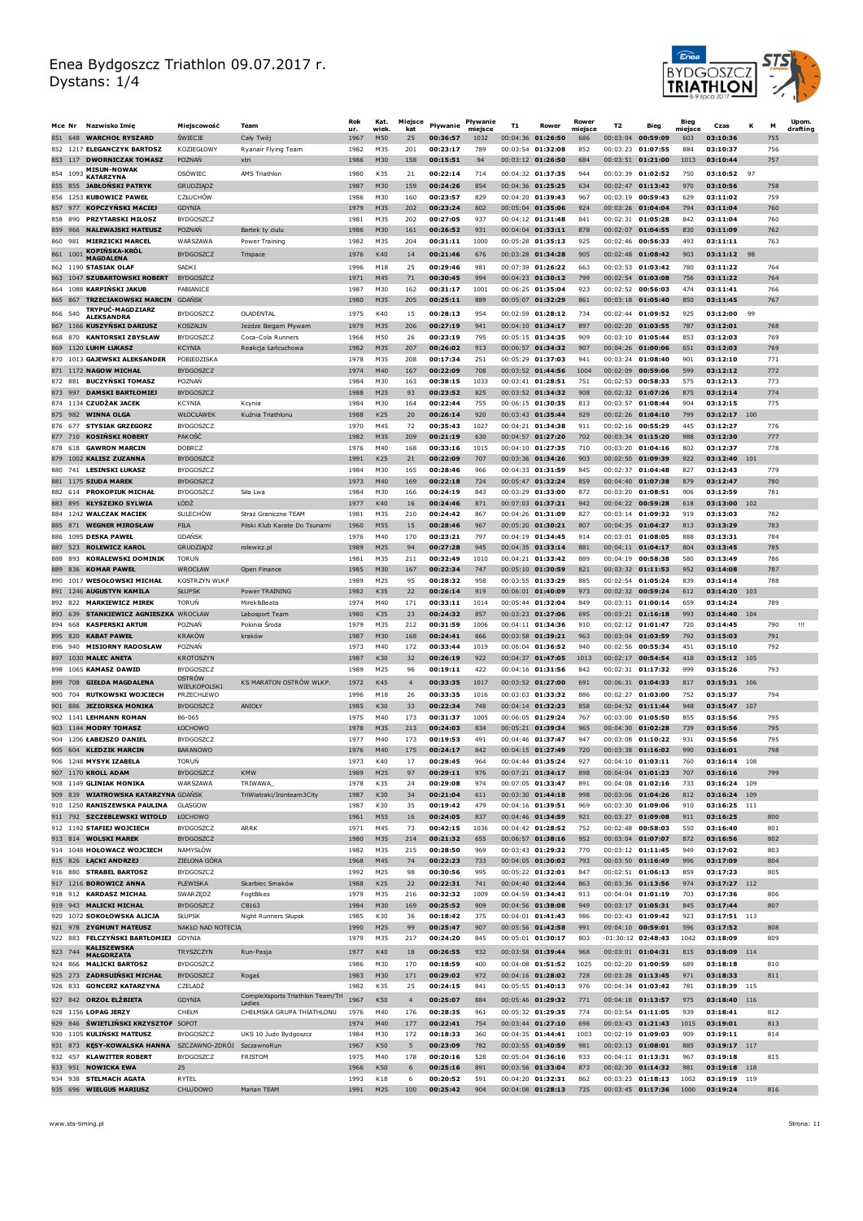

| Mce Nr                |                      | Nazwisko Imie                                               | Mieiscowość                         | Team                                    | Rok          | Kat.         | Miejsce        | Pływanie             | Pływanie        | T1       | Rower                                    | Rower          | T2                   | Bieg                                      | Bieg           | Czas                         | к   | м          | Upom.<br>drafting |
|-----------------------|----------------------|-------------------------------------------------------------|-------------------------------------|-----------------------------------------|--------------|--------------|----------------|----------------------|-----------------|----------|------------------------------------------|----------------|----------------------|-------------------------------------------|----------------|------------------------------|-----|------------|-------------------|
|                       |                      | 851 648 WARCHOŁ RYSZARD                                     | <b>SWIECIE</b>                      | Cały Twój                               | ur.<br>1967  | wiek.<br>M50 | kat<br>25      | 00:36:57             | miejsce<br>1032 | 00:04:36 | 01:26:50                                 | miejsce<br>686 | 00:03:04             | 00:59:09                                  | mieisce<br>603 | 03:10:36                     |     | 755        |                   |
|                       |                      | 852 1217 ELEGANCZYK BARTOSZ                                 | KOZIEGŁOWY                          | Ryanair Flying Team                     | 1982         | M35          | 201            | 00:23:17             | 789             |          | 00:03:54 01:32:08                        | 852            | 00:03:23             | 01:07:55                                  | 884            | 03:10:37                     |     | 756        |                   |
|                       |                      | 853 117 DWORNICZAK TOMASZ<br><b>MISUN-NOWAK</b>             | <b>POZNAN</b>                       | xtri                                    | 1986         | M30          | 158            | 00:15:51             | 94              |          | 00:03:12 01:26:50                        | 684            |                      | 00:03:51 01:21:00                         | 1013           | 03:10:44                     |     | 757        |                   |
| 854 1093              |                      | KATARZYNA                                                   | OSÓWIEC                             | AMS Triathlon                           | 1980         | K35          | 21             | 00:22:14             | 714             |          | 00:04:32 01:37:35                        | 944            |                      | 00:03:39 01:02:52                         | 750            | 03:10:52                     | 97  |            |                   |
|                       |                      | 855 855 JABŁOŃSKI PATRYK<br>856 1253 KUBOWICZ PAWEŁ         | <b>GRUDZIĄDZ</b><br><b>CZŁUCHÓW</b> |                                         | 1987<br>1986 | M30<br>M30   | 159<br>160     | 00:24:26<br>00:23:57 | 854<br>829      |          | 00:04:36 01:25:25<br>00:04:20 01:39:43   | 634<br>967     |                      | $00:02:47$ 01:13:42<br>00:03:19 00:59:43  | 970<br>629     | 03:10:56<br>03:11:02         |     | 758<br>759 |                   |
|                       |                      | 857 977 KOPCZYŃSKI MACIEJ                                   | GDYNIA                              |                                         | 1979         | M35          | 202            | 00:23:24             | 802             |          | 00:05:04 01:35:06                        | 924            |                      | 00:03:26 01:04:04                         | 794            | 03:11:04                     |     | 760        |                   |
| 858 890               |                      | <b>PRZYTARSKI MIŁOSZ</b>                                    | <b>BYDGOSZCZ</b>                    |                                         | 1981         | M35          | 202            | 00:27:05             | 937             |          | 00:04:12 01:31:48                        | 841            | 00:02:31             | 01:05:28                                  | 842            | 03:11:04                     |     | 760        |                   |
| 859 966               |                      | <b>NALEWAJSKI MATEUSZ</b>                                   | POZNAŃ                              | Bartek ty ciulu                         | 1986         | M30          | 161            | 00:26:52             | 931             |          | 00:04:04 01:33:11                        | 878            | 00:02:07             | 01:04:55                                  | 830            | 03:11:09                     |     | 762        |                   |
| 981<br>860            |                      | <b>MIERZICKI MARCEL</b><br><b>KOPIŃSKA-KRÓL</b>             | WARSZAWA                            | Power Training                          | 1982         | M35          | 204            | 00:31:11             | 1000            |          | 00:05:28 01:35:13                        | 925            |                      | 00:02:46 00:56:33                         | 493            | 03:11:11                     |     | 763        |                   |
| 861 1001              |                      | <b>MAGDALENA</b><br>862 1190 STASIAK OLAF                   | <b>BYDGOSZCZ</b><br>SADKI           | Trispace                                | 1976<br>1996 | K40<br>M18   | 14<br>25       | 00:21:46             | 676<br>981      |          | 00:03:28 01:34:28                        | 905<br>663     |                      | 00:02:48 01:08:42                         | 903<br>780     | 03:11:12<br>03:11:22         | 98  |            |                   |
|                       |                      | 863 1047 SZUBARTOWSKI ROBERT                                | <b>BYDGOSZCZ</b>                    |                                         | 1971         | M45          | 71             | 00:29:46<br>00:30:45 | 994             | 00:04:23 | 00:07:39 01:26:22<br>01:30:12            | 799            | 00:02:54             | 00:03:53 01:03:42<br>01:03:08             | 756            | 03:11:22                     |     | 764<br>764 |                   |
|                       |                      | 864 1088 KARPIŃSKI JAKUB                                    | PABIANICE                           |                                         | 1987         | M30          | 162            | 00:31:17             | 1001            |          | 00:06:25 01:35:04                        | 923            | 00:02:52             | 00:56:03                                  | 474            | 03:11:41                     |     | 766        |                   |
| 865 867               |                      | <b>TRZECIAKOWSKI MARCIN</b>                                 | <b>GDANSK</b>                       |                                         | 1980         | M35          | 205            | 00:25:11             | 889             |          | 00:05:07 01:32:29                        | 861            |                      | 00:03:18 01:05:40                         | 850            | 03:11:45                     |     | 767        |                   |
| 866 540               |                      | TRYPUC-MAGDZIARZ<br><b>ALEKSANDRA</b>                       | <b>BYDGOSZCZ</b>                    | <b>OLADENTAL</b>                        | 1975         | K40          | 15             | 00:28:13             | 954             |          | 00:02:59 01:28:12                        | 734            |                      | 00:02:44 01:09:52                         | 925            | 03:12:00                     | 99  |            |                   |
|                       |                      | 867 1166 KUSZYŃSKI DARIUSZ                                  | <b>KOSZALIN</b>                     | Jeżdze Biegam Pływam                    | 1979         | M35          | 206            | 00:27:19             | 941             |          | 00:04:10 01:34:17                        | 897            | 00:02:20             | 01:03:55                                  | 787            | 03:12:01                     |     | 768        |                   |
|                       |                      | 868 870 KANTORSKI ZBYSŁAW<br>869 1120 LUHM ŁUKASZ           | <b>BYDGOSZCZ</b><br><b>KCYNIA</b>   | Coca-Cola Runners<br>Reakcja Łańcuchowa | 1966<br>1982 | M50<br>M35   | 26<br>207      | 00:23:19<br>00:26:02 | 795<br>913      |          | 00:05:15 01:34:35<br>00:06:57 01:34:32   | 909<br>907     |                      | 00:03:10 01:05:44<br>00:04:26 01:00:06    | 853<br>651     | 03:12:03<br>03:12:03         |     | 769<br>769 |                   |
|                       |                      | 870 1013 GAJEWSKI ALEKSANDER                                | POBIEDZISKA                         |                                         | 1978         | M35          | 208            | 00:17:34             | 251             |          | 00:05:29 01:37:03                        | 941            | 00:03:24             | 01:08:40                                  | 901            | 03:12:10                     |     | 771        |                   |
|                       |                      | 871 1172 NAGOW MICHAŁ                                       | <b>BYDGOSZCZ</b>                    |                                         | 1974         | M40          | 167            | 00:22:09             | 708             |          | 00:03:52 01:44:56                        | 1004           |                      | 00:02:09 00:59:06                         | 599            | 03:12:12                     |     | 772        |                   |
| 872 881               |                      | <b>BUCZYŃSKI TOMASZ</b>                                     | POZNAN                              |                                         | 1984         | M30          | 163            | 00:38:15             | 1033            |          | 00:03:41 01:28:51                        | 751            | 00:02:53             | 00:58:33                                  | 575            | 03:12:13                     |     | 773        |                   |
|                       |                      | 873 997 DAMSKI BARTŁOMIEJ<br>874 1134 CZUDŻAK JACEK         | <b>BYDGOSZCZ</b><br>KCYNIA          | Kcynia                                  | 1988<br>1984 | M25<br>M30   | 93<br>164      | 00:23:52<br>00:22:44 | 825<br>755      |          | 00:03:52 01:34:32<br>00:06:15 01:30:35   | 908<br>813     | 00:03:57             | 00:02:32 01:07:26<br>01:08:44             | 875<br>904     | 03:12:14<br>03:12:15         |     | 774<br>775 |                   |
|                       | 875 982 WINNA OLGA   |                                                             | WŁOCŁAWEK                           | Kuźnia Triathlonu                       | 1988         | K25          | 20             | 00:26:14             | 920             |          | 00:03:43 01:35:44                        | 929            |                      | 00:02:26 01:04:10                         | 799            | 03:12:17                     | 100 |            |                   |
|                       |                      | 876 677 STYSIAK GRZEGORZ                                    | <b>BYDGOSZCZ</b>                    |                                         | 1970         | M45          | 72             | 00:35:43             | 1027            |          | 00:04:21 01:34:38                        | 911            | 00:02:16             | 00:55:29                                  | 445            | 03:12:27                     |     | 776        |                   |
|                       |                      | 877 710 KOSIŃSKI ROBERT                                     | PAKOŚĆ                              |                                         | 1982         | M35          | 209            | 00:21:19             | 630             |          | $00:04:57$ 01:27:20                      | 702            |                      | 00:03:34 01:15:20                         | 988            | 03:12:30                     |     | 777        |                   |
| 878 618               |                      | <b>GAWRON MARCIN</b><br>879 1002 KALISZ ZUZANNA             | DOBRCZ<br><b>BYDGOSZCZ</b>          |                                         | 1976<br>1991 | M40<br>K25   | 168<br>21      | 00:33:16<br>00:22:09 | 1015<br>707     |          | 00:04:10 01:27:35<br>00:03:36 01:34:26   | 710<br>903     | 00:03:20             | 01:04:16<br>00:02:50 01:09:39             | 802<br>922     | 03:12:37<br>03:12:40         | 101 | 778        |                   |
|                       |                      | 880 741 LESINSKI ŁUKASZ                                     | <b>BYDGOSZCZ</b>                    |                                         | 1984         | M30          | 165            | 00:28:46             | 966             |          | 00:04:33 01:31:59                        | 845            | 00:02:37             | 01:04:48                                  | 827            | 03:12:43                     |     | 779        |                   |
|                       |                      | 881 1175 SIUDA MAREK                                        | <b>BYDGOSZCZ</b>                    |                                         | 1973         | M40          | 169            | 00:22:18             | 724             |          | $00:05:47$ 01:32:24                      | 859            |                      | $00:04:40$ 01:07:38                       | 879            | 03:12:47                     |     | 780        |                   |
|                       |                      | 882 614 PROKOPIUK MICHAŁ                                    | <b>BYDGOSZCZ</b>                    | Siła I wa                               | 1984         | M30          | 166            | 00:24:19             | 843             |          | 00:03:29 01:33:00                        | 872            |                      | 00:03:20 01:08:51                         | 906            | 03:12:59                     |     | 781        |                   |
|                       |                      | 883 895 KŁYSZEJKO SYLWIA<br>884 1242 WALCZAK MACIEK         | ŁÓDŹ<br><b>SULECHOW</b>             | Straż Graniczna TEAM                    | 1977<br>1981 | K40<br>M35   | 16<br>210      | 00:24:46<br>00:24:42 | 871<br>867      |          | 00:07:03 01:37:21<br>00:04:26 01:31:09   | 942<br>827     |                      | 00:04:22 00:59:28<br>$00:03:14$ 01:09:32  | 618<br>919     | 03:13:00<br>03:13:03         | 102 | 782        |                   |
|                       |                      | 885 871 WEGNER MIROSŁAW                                     | PIŁA                                | Pilski Klub Karate Do Tsunami           | 1960         | M55          | 15             | 00:28:46             | 967             |          | 00:05:20 01:30:21                        | 807            |                      | 00:04:35 01:04:27                         | 813            | 03:13:29                     |     | 783        |                   |
|                       |                      | 886 1095 DESKA PAWEŁ                                        | <b>GDANSK</b>                       |                                         | 1976         | M40          | 170            | 00:23:21             | 797             |          | 00:04:19 01:34:45                        | 914            |                      | 00:03:01 01:08:05                         | 888            | 03:13:31                     |     | 784        |                   |
| 523<br>887            |                      | <b>ROLEWICZ KAROL</b>                                       | GRUDZIĄDZ                           | rolewicz.pl                             | 1989         | M25          | 94             | 00:27:28             | 945             |          | 00:04:35 01:33:14                        | 881            | 00:04:11             | 01:04:17                                  | 804            | 03:13:45                     |     | 785        |                   |
| 888 893               |                      | <b>KORALEWSKI DOMINIK</b>                                   | TORUŃ                               |                                         | 1981         | M35          | 211            | 00:32:49             | 1010            |          | 00:04:21 01:33:42                        | 889            | 00:04:19             | 00:58:38                                  | 580            | 03:13:49                     |     | 786        |                   |
| 889 836               |                      | <b>KOMAR PAWEŁ</b><br>890 1017 WESOŁOWSKI MICHAŁ            | WROCŁAW<br>KOSTRZYN WLKP            | Open Finance                            | 1985<br>1989 | M30<br>M25   | 167<br>95      | 00:22:34<br>00:28:32 | 747<br>958      |          | 00:05:10 01:30:59<br>00:03:55 01:33:29   | 821<br>885     | 00:03:32<br>00:02:54 | 01:11:53<br>01:05:24                      | 952<br>839     | 03:14:08<br>03:14:14         |     | 787<br>788 |                   |
|                       |                      | 891 1246 AUGUSTYN KAMILA                                    | <b>SŁUPSK</b>                       | <b>Power TRAINING</b>                   | 1982         | K35          | 22             | 00:26:14             | 919             |          | 00:06:01 01:40:09                        | 973            |                      | 00:02:32 00:59:24                         | 612            | 03:14:20                     | 103 |            |                   |
| 822<br>892            |                      | <b>MARKIEWICZ MIREK</b>                                     | <b>TORUN</b>                        | Mirek&Beata                             | 1974         | M40          | 171            | 00:33:11             | 1014            |          | 00:05:44 01:32:04                        | 849            | 00:03:11             | 01:00:14                                  | 659            | 03:14:24                     |     | 789        |                   |
| 893 639               |                      | <b>STANKIEWICZ AGNIESZKA WROCŁAW</b>                        |                                     | Labosport Team                          | 1980         | K35          | 23             | 00:24:32             | 857             |          | 00:03:23 01:27:06                        | 695            |                      | $00:03:21$ 01:16:18                       | 993            | 03:14:40                     | 104 |            |                   |
| 894<br>668<br>895 820 |                      | <b>KASPERSKI ARTUR</b><br><b>KABAT PAWEŁ</b>                | POZNAŃ<br><b>KRAKÓW</b>             | Polonia Sroda<br>kraków                 | 1979<br>1987 | M35<br>M30   | 212<br>168     | 00:31:59<br>00:24:41 | 1006<br>866     |          | 00:04:11 01:34:36<br>00:03:58 01:39:21   | 910<br>963     |                      | 00:02:12 01:01:47<br>00:03:04 01:03:59    | 720<br>792     | 03:14:45<br>03:15:03         |     | 790<br>791 | Ш                 |
| 940<br>896            |                      | <b>MISIORNY RADOSŁAW</b>                                    | POZNAŃ                              |                                         | 1973         | M40          | 172            | 00:33:44             | 1019            |          | 00:06:04 01:36:52                        | 940            | 00:02:56             | 00:55:34                                  | 451            | 03:15:10                     |     | 792        |                   |
|                       |                      | 897 1030 MALEC ANETA                                        | <b>KROTOSZYN</b>                    |                                         | 1987         | K30          | 32             | 00:26:19             | 922             |          | 00:04:37 01:47:05                        | 1013           |                      | 00:02:17 00:54:54                         | 418            | 03:15:12                     | 105 |            |                   |
| 898                   |                      | 1065 KAMASZ DAWID                                           | <b>BYDGOSZCZ</b><br>OSTRÓW          |                                         | 1989         | M25          | 96             | 00:19:11             | 422             |          | 00:04:16 01:31:56                        | 842            | 00:02:31             | 01:17:32                                  | 999            | 03:15:26                     |     | 793        |                   |
| 899 708               |                      | <b>GIEŁDA MAGDALENA</b>                                     | WIELK OPOLSKI                       | KS MARATON OSTRÓW WLKP                  | 1972         | K45          | $\overline{4}$ | 00:33:35             | 1017            |          | 00:03:52 01:27:00                        | 691            |                      | 00:06:31 01:04:33                         | 817            | 03:15:31 106                 |     |            |                   |
| 704<br>900            |                      | <b>RUTKOWSKI WOJCIECH</b><br>901 886 JEZIORSKA MONIKA       | PRZECHLEWO<br><b>BYDGOSZCZ</b>      | ANIOŁY                                  | 1996<br>1985 | M18<br>K30   | 26<br>33       | 00:33:35<br>00:22:34 | 1016<br>748     |          | 00:03:03 01:33:32<br>$00:04:14$ 01:32:23 | 886<br>858     | 00:02:27             | 01:03:00<br>$00:04:52$ 01:11:44           | 752<br>948     | 03:15:37                     |     | 794        |                   |
|                       |                      | 902 1141 LEHMANN ROMAN                                      | 86-065                              |                                         | 1975         | M40          | 173            | 00:31:37             | 1005            |          | 00:06:05 01:29:24                        | 767            | 00:03:00             | 01:05:50                                  | 855            | 03:15:47 107<br>03:15:56     |     | 795        |                   |
|                       |                      | 903 1144 MODRY TOMASZ                                       | <b>ŁOCHOWO</b>                      |                                         | 1978         | M35          | 213            | 00:24:03             | 834             |          | 00:05:21 01:39:34                        | 965            |                      | 00:04:30 01:02:28                         | 739            | 03:15:56                     |     | 795        |                   |
|                       |                      | 904 1206 ŁABEJSZO DANIEL                                    | <b>BYDGOSZCZ</b>                    |                                         | 1977         | M40          | 173            | 00:19:53             | 491             |          | 00:04:46 01:37:47                        | 947            |                      | 00:03:08 01:10:22                         | 931            | 03:15:56                     |     | 795        |                   |
|                       |                      | 905 604 KLEDZIK MARCIN<br>906 1248 MYSYK IZABELA            | <b>BARANOWO</b><br>TORUŃ            |                                         | 1976<br>1973 | M40<br>K40   | 175<br>17      | 00:24:17<br>00:28:45 | 842<br>964      |          | 00:04:15 01:27:49<br>00:04:44 01:35:24   | 720<br>927     |                      | 00:03:38 01:16:02<br>$00:04:10$ 01:03:11  | 990<br>760     | 03:16:01<br>03:16:14 108     |     | 798        |                   |
|                       | 907 1170 KROLL ADAM  |                                                             | <b>BYDGOSZCZ</b>                    | KMW                                     | 1989         | M25          | 97             | 00:29:11             | 976             |          | 00:07:21 01:34:17                        | 898            |                      | 00:04:04 01:01:23                         | 707            | 03:16:16                     |     | 799        |                   |
|                       |                      | 908 1149 GLINIAK MONIKA                                     | WARS7AWA                            | TRIWAWA                                 | 1978         | K35          | 24             | 00:29:08             | 974             |          | 00:07:05 01:33:47                        | 891            |                      | 00:04:08 01:02:16                         | 733            | 03:16:24 109                 |     |            |                   |
|                       |                      | 909 839 WIATROWSKA KATARZYNA GDAŃSK                         |                                     | TriWiatraki/Ironteam3City               | 1987         | K30          | 34             | 00:21:04             | 611             |          | 00:03:30 01:44:18                        | 998            |                      | 00:03:06 01:04:26                         | 812            | 03:16:24                     | 109 |            |                   |
|                       |                      | 910 1250 RANISZEWSKA PAULINA<br>911 792 SZCZEBLEWSKI WITOLD | GLASGOW<br><b>ŁOCHOWO</b>           |                                         | 1987<br>1961 | K30<br>M55   | 35<br>16       | 00:19:42<br>00:24:05 | 479<br>837      |          | 00:04:16 01:39:51<br>00:04:46 01:34:59   | 969<br>921     |                      | 00:03:30 01:09:06<br>00:03:27 01:09:08    | 910<br>911     | 03:16:25 111<br>03:16:25     |     | 800        |                   |
|                       |                      | 912 1192 STAFIEJ WOJCIECH                                   | <b>BYDGOSZCZ</b>                    | ARRK                                    | 1971         | M45          | 73             | 00:42:15             | 1036            |          | 00:04:42 01:28:52                        | 752            |                      | 00:02:48 00:58:03                         | 550            | 03:16:40                     |     | 801        |                   |
|                       |                      | 913 814 WOLSKI MAREK                                        | <b>BYDGOSZCZ</b>                    |                                         | 1980         | M35          | 214            | 00:21:32             | 655             |          | 00:06:57 01:38:16                        | 952            |                      | 00:03:04 01:07:07                         | 872            | 03:16:56                     |     | 802        |                   |
|                       |                      | 914 1048 HOŁOWACZ WOJCIECH                                  | NAMYSŁÓW                            |                                         | 1982         | M35          | 215            | 00:28:50             | 969             |          | 00:03:43 01:29:32                        | 770            |                      | 00:03:12 01:11:45                         | 949            | 03:17:02                     |     | 803        |                   |
|                       |                      | 915 826 ŁACKI ANDRZEJ<br>916 880 STRABEL BARTOSZ            | ZIELONA GÓRA<br><b>BYDGOSZCZ</b>    |                                         | 1968<br>1992 | M45<br>M25   | 74<br>98       | 00:22:23<br>00:30:56 | 733<br>995      |          | $00:04:05$ 01:30:02<br>00:05:22 01:32:01 | 793<br>847     |                      | 00:03:50 01:16:49<br>$00:02:51$ 01:06:13  | 996<br>859     | 03:17:09<br>03:17:23         |     | 804<br>805 |                   |
|                       |                      | 917 1216 BOROWICZ ANNA                                      | PLEWISKA                            | Skarbiec Smaków                         | 1988         | K25          | 22             | 00:22:31             | 741             |          | 00:04:40 01:32:44                        | 863            |                      | 00:03:36 01:13:56                         | 974            | 03:17:27 112                 |     |            |                   |
|                       |                      | 918 912 KARDASZ MICHAŁ                                      | <b>SWARZĘDZ</b>                     | FogtBikes                               | 1979         | M35          | 216            | 00:32:32             | 1009            |          | 00:04:59 01:34:42                        | 913            |                      | $00:04:04$ 01:01:19                       | 703            | 03:17:36                     |     | 806        |                   |
|                       |                      | 919 943 MALICKI MICHAŁ                                      | <b>BYDGOSZCZ</b>                    | CB163                                   | 1984         | M30          | 169            | 00:25:52             | 909             |          | 00:04:56 01:38:08                        | 949            |                      | 00:03:17 01:05:31                         | 845            | 03:17:44                     |     | 807        |                   |
|                       |                      | 920 1072 SOKOŁOWSKA ALICJA                                  | <b>SŁUPSK</b>                       | Night Runners Słupsk                    | 1985         | K30          | 36             | 00:18:42             | 375             |          | 00:04:01 01:41:43                        | 986            |                      | 00:03:43 01:09:42                         | 923            | 03:17:51 113                 |     |            |                   |
| 922 883               |                      | 921 978 ZYGMUNT MATEUSZ<br><b>FELCZYŃSKI BARTŁOMIEJ</b>     | NAKŁO NAD NOTECIĄ<br>GDYNIA         |                                         | 1990<br>1979 | M25<br>M35   | 99<br>217      | 00:25:47<br>00:24:20 | 907<br>845      |          | 00:05:56 01:42:58<br>00:05:01 01:30:17   | 991<br>803     |                      | 00:04:10 00:59:01<br>$-01:30:12$ 02:48:43 | 596<br>1042    | 03:17:52<br>03:18:09         |     | 808<br>809 |                   |
| 923 744               |                      | <b>KALISZEWSKA</b>                                          | TRYSZCZYN                           | Run-Pasja                               | 1977         | K40          | 18             | 00:26:55             | 932             |          | 00:03:58 01:39:44                        | 968            |                      | 00:03:01 01:04:31                         | 815            | 03:18:09 114                 |     |            |                   |
| 924 866               |                      | MAŁGORZATA<br><b>MALICKI BARTOSZ</b>                        | <b>BYDGOSZCZ</b>                    |                                         | 1986         | M30          | 170            | 00:18:59             | 400             |          | 00:04:08 01:51:52                        | 1025           |                      | 00:02:20 01:00:59                         | 689            | 03:18:18                     |     | 810        |                   |
|                       |                      | 925 273 ZADRSUIŃSKI MICHAŁ                                  | <b>BYDGOSZCZ</b>                    | Rogaś                                   | 1983         | M30          | 171            | 00:29:02             | 972             |          | 00:04:16 01:28:02                        | 728            |                      | 00:03:28 01:13:45                         | 971            | 03:18:33                     |     | 811        |                   |
| 926 833               |                      | <b>GONCERZ KATARZYNA</b>                                    | CZELADŹ                             | CompleXsports Triathlon Team/Tri        | 1982         | K35          | 25             | 00:24:15             | 841             |          | 00:05:55 01:40:13                        | 976            |                      | 00:04:34 01:03:42                         | 781            | 03:18:39 115                 |     |            |                   |
|                       |                      | 927 842 ORZOŁ ELŻBIETA                                      | GDYNIA                              | Ladies                                  | 1967         | K50          | $\overline{4}$ | 00:25:07             | 884             |          | 00:05:46 01:29:32                        | 771            |                      | 00:04:18 01:13:57                         | 975            | 03:18:40 116                 |     |            |                   |
|                       | 928 1156 LOPAG JERZY | 929 846 ŚWIETLIŃSKI KRZYSZTOF SOPOT                         | CHEŁM                               | CHEŁMSKA GRUPA THIATHLONU               | 1976<br>1974 | M40<br>M40   | 176<br>177     | 00:28:35<br>00:22:41 | 961<br>754      |          | 00:05:32 01:29:35<br>00:03:44 01:27:10   | 774<br>698     |                      | 00:03:54 01:11:05<br>00:03:43 01:21:43    | 939<br>1015    | 03:18:41<br>03:19:01         |     | 812<br>813 |                   |
|                       |                      | 930 1105 KULIŃSKI MATEUSZ                                   | <b>BYDGOSZCZ</b>                    | UKS 10 Judo Bydgoszcz                   | 1984         | M30          | 172            | 00:18:33             | 360             |          | 00:04:35 01:44:41                        | 1003           |                      | 00:02:19 01:09:03                         | 909            | 03:19:11                     |     | 814        |                   |
|                       |                      | 931 873 KESY-KOWALSKA HANNA                                 | SZCZAWNO-ZDRÓJ                      | SzczawnoRun                             | 1967         | K50          | 5              | 00:23:09             | 782             |          | 00:03:55 01:40:59                        | 981            |                      | 00:03:13 01:08:01                         | 885            | 03:19:17 117                 |     |            |                   |
|                       |                      | 932 457 KLAWITTER ROBERT                                    | <b>BYDGOSZCZ</b>                    | <b>FRISTOM</b>                          | 1975         | M40          | 178            | 00:20:16             | 528             |          | 00:05:04 01:36:16                        | 933            |                      | 00:04:11 01:13:31                         | 967            | 03:19:18                     |     | 815        |                   |
|                       |                      | 933 951 NOWICKA EWA<br>934 938 STELMACH AGATA               | 25<br>RYTEL                         |                                         | 1966<br>1993 | K50<br>K18   | 6<br>6         | 00:25:16<br>00:20:52 | 891<br>591      |          | 00:03:56 01:33:04<br>00:04:20 01:32:31   | 873<br>862     |                      | 00:02:30 01:14:32<br>00:03:23 01:18:13    | 981<br>1002    | 03:19:18 118<br>03:19:19 119 |     |            |                   |
|                       |                      | 935 696 WIELGUS MARIUSZ                                     | CHLUDOWO                            | Marian TEAM                             | 1991         | M25          | 100            | 00:25:42             | 904             |          | $00:04:08$ 01:28:13                      | 735            |                      | 00:03:45 01:17:36 1000                    |                | 03:19:24                     |     | 816        |                   |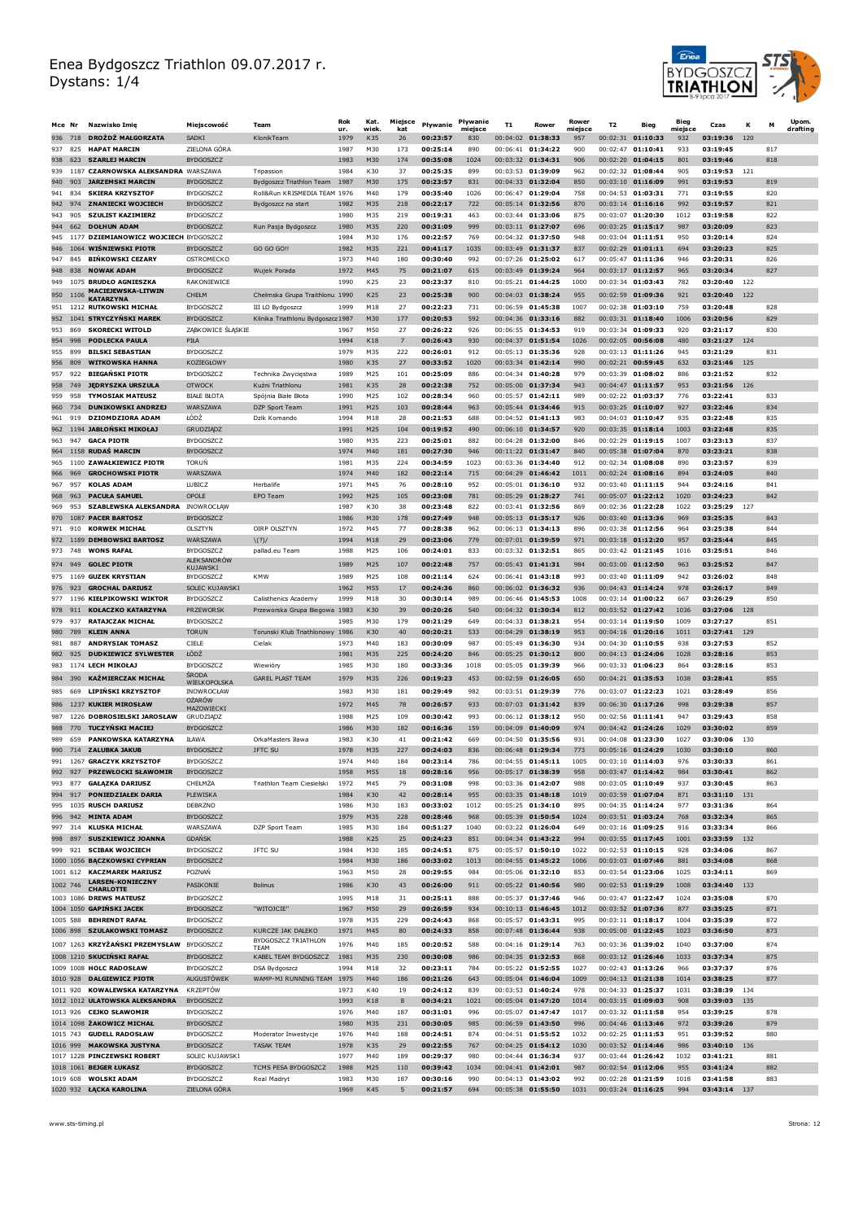

| Mce Nr     |            | Nazwisko Imie                                                   | Miejscowość                          | Team                                                     | <b>Rok</b>   | Kat.            | Miejsce    | Pływanie             | Pływanie       | <b>T1</b> | Rower                                    | Rower          | T <sub>2</sub> | Bieg                                     | Bieg           | Czas                     | к   | м          | Upom.    |
|------------|------------|-----------------------------------------------------------------|--------------------------------------|----------------------------------------------------------|--------------|-----------------|------------|----------------------|----------------|-----------|------------------------------------------|----------------|----------------|------------------------------------------|----------------|--------------------------|-----|------------|----------|
| 936        | 718        | DROŻDŻ MAŁGORZATA                                               | SADKI                                | KlonikTeam                                               | ur.<br>1979  | wiek<br>K35     | kat<br>26  | 00:23:57             | miejsce<br>830 |           | 00:04:02 01:38:33                        | miejsce<br>957 | 00:02:31       | 01:10:33                                 | miejsce<br>932 | 03:19:36                 | 120 |            | drafting |
| 937        | 825        | <b>HAPAT MARCIN</b>                                             | ZIELONA GÓRA                         |                                                          | 1987         | M30             | 173        | 00:25:14             | 890            |           | 00:06:41 01:34:22                        | 900            |                | 00:02:47 01:10:41                        | 933            | 03:19:45                 |     | 817        |          |
| 938        | 623        | <b>SZARLEJ MARCIN</b>                                           | <b>BYDGOSZCZ</b>                     |                                                          | 1983         | M30             | 174        | 00:35:08             | 1024           |           | $00:03:32$ 01:34:31                      | 906            |                | 00:02:20 01:04:15                        | 801            | 03:19:46                 |     | 818        |          |
| 939<br>940 | 903        | 1187 CZARNOWSKA ALEKSANDRA WARSZAWA<br><b>JARZEMSKI MARCIN</b>  | <b>BYDGOSZCZ</b>                     | Tripassion                                               | 1984<br>1987 | K30<br>M30      | 37<br>175  | 00:25:35<br>00:23:57 | 899<br>831     |           | 00:03:53 01:39:09<br>00:04:33 01:32:04   | 962<br>850     |                | 00:02:32 01:08:44<br>00:03:10 01:16:09   | 905<br>991     | 03:19:53<br>03:19:53     | 121 | 819        |          |
| 941        | 834        | <b>SKIERA KRZYSZTOF</b>                                         | <b>BYDGOSZCZ</b>                     | Bydgoszcz Triathlon Team<br>Roll&Run KRISMEDIA TEAM 1976 |              | M40             | 179        | 00:35:40             | 1026           |           | 00:06:47 01:29:04                        | 758            |                | 00:04:53 01:03:31                        | 771            | 03:19:55                 |     | 820        |          |
| 942        | 974        | <b>ZNANIECKI WOJCIECH</b>                                       | <b>BYDGOSZCZ</b>                     | Bydgoszcz na start                                       | 1982         | M35             | 218        | 00:22:17             | 722            |           | 00:05:14 01:32:56                        | 870            |                | $00:03:14$ 01:16:16                      | 992            | 03:19:57                 |     | 821        |          |
| 943        | 905        | <b>SZULIST KAZIMIERZ</b>                                        | <b>BYDGOSZCZ</b>                     |                                                          | 1980         | M35             | 219        | 00:19:31             | 463            |           | 00:03:44 01:33:06                        | 875            |                | 00:03:07 01:20:30                        | 1012           | 03:19:58                 |     | 822        |          |
| 944<br>945 |            | 662 DOŁHUN ADAM<br>1177 DZIEMIANOWICZ WOJCIECH BYDGOSZCZ        | <b>BYDGOSZCZ</b>                     | Run Pasja Bydgoszcz                                      | 1980<br>1984 | M35<br>M30      | 220<br>176 | 00:31:09<br>00:22:57 | 999<br>769     |           | 00:03:11 01:27:07<br>00:04:32 01:37:50   | 696<br>948     |                | 00:03:25 01:15:17<br>00:03:04 01:11:51   | 987<br>950     | 03:20:09<br>03:20:14     |     | 823<br>824 |          |
| 946        |            | 1064 WIŚNIEWSKI PIOTR                                           | <b>BYDGOSZCZ</b>                     | GO GO GO !!                                              | 1982         | M35             | 221        | 00:41:17             | 1035           |           | 00:03:49 01:31:37                        | 837            |                | 00:02:29 01:01:11                        | 694            | 03:20:23                 |     | 825        |          |
| 947        | 845        | <b>BIŃKOWSKI CEZARY</b>                                         | OSTROMECKC                           |                                                          | 1973         | M40             | 180        | 00:30:40             | 992            |           | 00:07:26 01:25:02                        | 617            |                | 00:05:47 01:11:36                        | 946            | 03:20:31                 |     | 826        |          |
| 948        |            | 838 NOWAK ADAM                                                  | <b>BYDGOSZCZ</b>                     | Wujek Porada                                             | 1972         | M45             | 75         | 00:21:07             | 615            |           | 00:03:49 01:39:24                        | 964            |                | 00:03:17 01:12:57                        | 965            | 03:20:34                 |     | 827        |          |
| 949        |            | 1075 BRUDŁO AGNIESZKA<br><b>MACIEJEWSKA-LITWIN</b>              | RAKONIEWICE                          |                                                          | 1990         | K25             | 23         | 00:23:37             | 810            |           | 00:05:21 01:44:25                        | 1000           |                | 00:03:34 01:03:43                        | 782            | 03:20:40                 | 122 |            |          |
| 950        | 1106       | <b>KATARZYNA</b>                                                | CHEŁM                                | Chełmska Grupa Traithlonu 1990                           |              | K25             | 23         | 00:25:38             | 900            |           | 00:04:03 01:38:24                        | 955            |                | 00:02:59 01:09:36                        | 921            | 03:20:40                 | 122 |            |          |
| 951<br>952 |            | 1212 RUTKOWSKI MICHAŁ<br>1041 STRYCZYŃSKI MAREK                 | <b>BYDGOSZCZ</b><br>BYDGOSZCZ        | III LO Bydgoszcz<br>Klinika Triathlonu Bydgoszcz 1987    | 1999         | M18<br>M30      | 27<br>177  | 00:22:23<br>00:20:53 | 731<br>592     |           | 00:06:59 01:45:38<br>$00:04:36$ 01:33:16 | 1007<br>882    |                | 00:02:38 01:03:10<br>00:03:31 01:18:40   | 759<br>1006    | 03:20:48<br>03:20:56     |     | 828<br>829 |          |
| 953        | 869        | <b>SKORECKI WITOLD</b>                                          | ZĄBKOWICE ŚLĄSKIE                    |                                                          | 1967         | M50             | 27         | 00:26:22             | 926            |           | 00:06:55 01:34:53                        | 919            |                | 00:03:34 01:09:33                        | 920            | 03:21:17                 |     | 830        |          |
| 954        | 998        | <b>PODLECKA PAULA</b>                                           | PIŁA                                 |                                                          | 1994         | K18             | 7          | 00:26:43             | 930            |           | 00:04:37 01:51:54                        | 1026           |                | 00:02:05 00:56:08                        | 480            | 03:21:27 124             |     |            |          |
| 955        | 899        | <b>BILSKI SEBASTIAN</b>                                         | <b>BYDGOSZCZ</b>                     |                                                          | 1979         | M35             | 222        | 00:26:01             | 912            |           | 00:05:13 01:35:36                        | 928            |                | 00:03:13 01:11:26                        | 945            | 03:21:29                 |     | 831        |          |
| 956<br>957 | 809<br>922 | <b>WITKOWSKA HANNA</b><br><b>BIEGAŃSKI PIOTR</b>                | KOZIEGŁOWY<br><b>BYDGOSZCZ</b>       | Technika Zwycięstwa                                      | 1980<br>1989 | K35<br>M25      | 27<br>101  | 00:33:52<br>00:25:09 | 1020<br>886    |           | 00:03:34 01:42:14<br>00:04:34 01:40:28   | 990<br>979     |                | 00:02:21 00:59:45<br>00:03:39 01:08:02   | 632<br>886     | 03:21:46<br>03:21:52     | 125 | 832        |          |
| 958        | 749        | <b>JĘDRYSZKA URSZULA</b>                                        | <b>OTWOCK</b>                        | Kuźni Triathlonu                                         | 1981         | K35             | 28         | 00:22:38             | 752            |           | 00:05:00 01:37:34                        | 943            |                | 00:04:47 01:11:57                        | 953            | 03:21:56 126             |     |            |          |
| 959        | 958        | <b>TYMOSIAK MATEUSZ</b>                                         | <b>BIALE BLOTA</b>                   | Spójnia Białe Błota                                      | 1990         | M25             | 102        | 00:28:34             | 960            |           | $00:05:57$ 01:42:11                      | 989            |                | 00:02:22 01:03:37                        | 776            | 03:22:41                 |     | 833        |          |
| 960        | 734        | <b>DUNIKOWSKI ANDRZEJ</b>                                       | WARSZAWA                             | DZP Sport Team                                           | 1991         | M25             | 103        | 00:28:44             | 963            |           | 00:05:44 01:34:46                        | 915            |                | 00:03:25 01:10:07                        | 927            | 03:22:46                 |     | 834        |          |
| 961<br>962 | 919        | <b>DZIOMDZIORA ADAM</b><br>1194 JABŁOŃSKI MIKOŁAJ               | ŁÓDŹ<br><b>GRUDZIĄDZ</b>             | Dzik Komando                                             | 1994<br>1991 | M18<br>M25      | 28<br>104  | 00:21:53<br>00:19:52 | 688<br>490     |           | 00:04:52 01:41:13<br>00:06:10 01:34:57   | 983<br>920     |                | $00:04:03$ 01:10:47<br>00:03:35 01:18:14 | 935<br>1003    | 03:22:48<br>03:22:48     |     | 835<br>835 |          |
| 963        | 947        | <b>GACA PIOTR</b>                                               | BYDGOSZCZ                            |                                                          | 1980         | M35             | 223        | 00:25:01             | 882            |           | $00:04:28$ 01:32:00                      | 846            |                | $00:02:29$ 01:19:15                      | 1007           | 03:23:13                 |     | 837        |          |
| 964        |            | 1158 RUDAŚ MARCIN                                               | <b>BYDGOSZCZ</b>                     |                                                          | 1974         | M40             | 181        | 00:27:30             | 946            |           | 00:11:22 01:31:47                        | 840            |                | 00:05:38 01:07:04                        | 870            | 03:23:21                 |     | 838        |          |
| 965        |            | 1100 ZAWAŁKIEWICZ PIOTR                                         | <b>TORUN</b>                         |                                                          | 1981         | M35             | 224        | 00:34:59             | 1023           |           | 00:03:36 01:34:40                        | 912            |                | 00:02:34 01:08:08                        | 890            | 03:23:57                 |     | 839        |          |
| 966<br>967 | 969<br>957 | <b>GROCHOWSKI PIOTR</b><br><b>KOLAS ADAM</b>                    | WARS7AWA<br>LUBICZ                   | Herbalife                                                | 1974<br>1971 | M40<br>M45      | 182<br>76  | 00:22:14<br>00:28:10 | 715<br>952     |           | 00:04:29 01:46:42<br>00:05:01 01:36:10   | 1011<br>932    |                | 00:02:24 01:08:16<br>00:03:40 01:11:15   | 894<br>944     | 03:24:05<br>03:24:16     |     | 840<br>841 |          |
| 968        | 963        | <b>PACULA SAMUEL</b>                                            | OPOLE                                | EPO Team                                                 | 1992         | M25             | 105        | 00:23:08             | 781            |           | 00:05:29 01:28:27                        | 741            |                | 00:05:07 01:22:12                        | 1020           | 03:24:23                 |     | 842        |          |
| 969        | 953        | <b>SZABLEWSKA ALEKSANDRA</b>                                    | INOWROCŁĄW                           |                                                          | 1987         | K30             | 38         | 00:23:48             | 822            |           | $00:03:41$ 01:32:56                      | 869            |                | 00:02:36 01:22:28                        | 1022           | 03:25:29                 | 127 |            |          |
| 970        |            | 1087 PACER BARTOSZ                                              | <b>BYDGOSZCZ</b>                     |                                                          | 1986         | M30             | 178        | 00:27:49             | 948            |           | 00:05:13 01:35:17                        | 926            |                | 00:03:40 01:13:36                        | 969            | 03:25:35                 |     | 843        |          |
| 971        | 910        | <b>KORWEK MICHAŁ</b><br>972 1189 DEMBOWSKI BARTOSZ              | <b>OLSZTYN</b><br>WARSZAWA           | OIRP OLSZTYN<br>$\binom{?}{}$                            | 1972<br>1994 | M45<br>M18      | 77<br>29   | 00:28:38<br>00:23:06 | 962<br>779     |           | 00:06:13 01:34:13<br>00:07:01 01:39:59   | 896<br>971     |                | 00:03:38 01:12:56<br>$00:03:18$ 01:12:20 | 964<br>957     | 03:25:38<br>03:25:44     |     | 844<br>845 |          |
| 973        | 748        | <b>WONS RAFAL</b>                                               | <b>BYDGOSZCZ</b>                     | pallad.eu Team                                           | 1988         | M25             | 106        | 00:24:01             | 833            |           | 00:03:32 01:32:51                        | 865            |                | 00:03:42 01:21:45                        | 1016           | 03:25:51                 |     | 846        |          |
|            | 974 949    | <b>GOLEC PIOTR</b>                                              | ALEKSANDRÓW<br>KUJAWSKI              |                                                          | 1989         | M <sub>25</sub> | 107        | 00:22:48             | 757            |           | 00:05:43 01:41:31                        | 984            |                | 00:03:00 01:12:50                        | 963            | 03:25:52                 |     | 847        |          |
|            |            | 975 1169 GUZEK KRYSTIAN                                         | <b>BYDGOSZCZ</b>                     | <b>KMW</b>                                               | 1989         | M25             | 108        | 00:21:14             | 624            |           | 00:06:41 01:43:18                        | 993            |                | 00:03:40 01:11:09                        | 942            | 03:26:02                 |     | 848        |          |
|            |            | 976 923 GROCHAL DARIUSZ                                         | SOLEC KUJAWSKI                       |                                                          | 1962         | M55             | 17         | 00:24:36             | 860            |           | 00:06:02 01:36:32                        | 936            |                | 00:04:43 01:14:24                        | 978            | 03:26:17                 |     | 849        |          |
| 977<br>978 | 911        | 1196 KIEŁPIKOWSKI WIKTOR<br><b>KOŁACZKO KATARZYNA</b>           | <b>BYDGOSZCZ</b><br><b>PRZEWORSK</b> | Calisthenics Academy<br>Przeworska Grupa Biegowa 1983    | 1999         | M18<br>K30      | 30<br>39   | 00:30:14<br>00:20:26 | 989<br>540     |           | 00:06:46 01:45:53<br>00:04:32 01:30:34   | 1008<br>812    |                | 00:03:14 01:00:22<br>00:03:52 01:27:42   | 667<br>1036    | 03:26:29<br>03:27:06 128 |     | 850        |          |
| 979        | 937        | <b>RATAJCZAK MICHAŁ</b>                                         | <b>BYDGOSZCZ</b>                     |                                                          | 1985         | M30             | 179        | 00:21:29             | 649            |           | 00:04:33 01:38:21                        | 954            |                | 00:03:14 01:19:50                        | 1009           | 03:27:27                 |     | 851        |          |
| 980        | 789        | <b>KLEIN ANNA</b>                                               | <b>TORUN</b>                         | Torunski Klub Triathlonowy 1986                          |              | K30             | 40         | 00:20:21             | 533            |           | 00:04:29 01:38:19                        | 953            |                | 00:04:16 01:20:16                        | 1011           | 03:27:41                 | 129 |            |          |
| 981        | 887        | <b>ANDRYSIAK TOMASZ</b>                                         | CIELE                                | Cielak                                                   | 1973         | M40             | 183        | 00:30:09             | 987            |           | 00:05:49 01:36:30                        | 934            |                | 00:04:30 01:10:55                        | 938            | 03:27:53                 |     | 852        |          |
| 982<br>983 | 925        | <b>DUDKIEWICZ SYLWESTER</b><br>1174 LECH MIKOŁAJ                | ŁÓDŻ<br><b>BYDGOSZCZ</b>             | Wiewióry                                                 | 1981<br>1985 | M35<br>M30      | 225<br>180 | 00:24:20<br>00:33:36 | 846<br>1018    |           | 00:05:25 01:30:12<br>00:05:05 01:39:39   | 800<br>966     |                | 00:04:13 01:24:06<br>00:03:33 01:06:23   | 1028<br>864    | 03:28:16<br>03:28:16     |     | 853<br>853 |          |
| 984        | 390        | KAŹMIERCZAK MICHAŁ                                              | <b>SRODA</b>                         | <b>GAREL PLAST TEAM</b>                                  | 1979         | M35             | 226        | 00:19:23             | 453            |           | 00:02:59 01:26:05                        | 650            |                | 00:04:21 01:35:53                        | 1038           | 03:28:41                 |     | 855        |          |
| 985        | 669        | <b>LIPIŃSKI KRZYSZTOF</b>                                       | WIELKOPOLSKA<br>INOWROCŁAW           |                                                          | 1983         | M30             | 181        | 00:29:49             | 982            |           | 00:03:51 01:29:39                        | 776            |                | 00:03:07 01:22:23                        | 1021           | 03:28:49                 |     | 856        |          |
|            |            | 986 1237 KUKIER MIROSŁAW                                        | <b>OŻARÓW</b>                        |                                                          | 1972         | M45             | 78         | 00:26:57             | 933            |           | 00:07:03 01:31:42                        | 839            |                | 00:06:30 01:17:26                        | 998            | 03:29:38                 |     | 857        |          |
| 987        |            | 1226 DOBROSIELSKI JAROSŁAW                                      | MAZOWIECKI<br>GRUDZIĄDZ              |                                                          | 1988         | M25             | 109        | 00:30:42             | 993            |           | 00:06:12 01:38:12                        | 950            |                | 00:02:56 01:11:41                        | 947            | 03:29:43                 |     | 858        |          |
| 988        |            | 770 TUCZYŃSKI MACIEJ                                            | <b>BYDGOSZCZ</b>                     |                                                          | 1986         | M30             | 182        | 00:16:36             | 159            |           | 00:04:09 01:40:09                        | 974            |                | 00:04:42 01:24:26                        | 1029           | 03:30:02                 |     | 859        |          |
| 989        | 659        | PANKOWSKA KATARZYNA<br>990 714 ZALUBKA JAKUB                    | <b>IŁAWA</b><br><b>BYDGOSZCZ</b>     | OrkaMasters Iława<br><b>JFTC SU</b>                      | 1983<br>1978 | K30<br>M35      | 41<br>227  | 00:21:42<br>00:24:03 | 669<br>836     |           | 00:04:50 01:35:56<br>00:06:48 01:29:34   | 931<br>773     |                | 00:04:08 01:23:30<br>00:05:16 01:24:29   | 1027<br>1030   | 03:30:06<br>03:30:10     | 130 | 860        |          |
|            |            | 991 1267 GRACZYK KRZYSZTOF                                      | <b>BYDGOSZCZ</b>                     |                                                          | 1974         | M40             | 184        | 00:23:14             | 786            |           | $00:04:55$ 01:45:11                      | 1005           |                | 00:03:10 01:14:03                        | 976            | 03:30:33                 |     | 861        |          |
|            |            | 992 927 PRZEWŁOCKI SŁAWOMIR                                     | BYDGOSZCZ                            |                                                          | 1958         | M55             | 18         | 00:28:16             | 956            |           | 00:05:17 01:38:39                        | 958            |                | 00:03:47 01:14:42                        | 984            | 03:30:41                 |     | 862        |          |
| 993        | 877        | <b>GAŁĄZKA DARIUSZ</b>                                          | CHEŁMŻA                              | Triathlon Team Ciesielski                                | 1972         | M45             | 79         | 00:31:08             | 998            |           | 00:03:36 01:42:07                        | 988            |                | 00:03:05 01:10:49                        | 937            | 03:30:45                 |     | 863        |          |
| 995        |            | 994 917 PONIEDZIAŁEK DARIA<br>1035 RUSCH DARIUSZ                | PLEWISKA<br>DEBRZNO                  |                                                          | 1984<br>1986 | K30<br>M30      | 42<br>183  | 00:28:14<br>00:33:02 | 955<br>1012    |           | 00:03:35 01:48:18<br>00:05:25 01:34:10   | 1019<br>895    |                | 00:03:59 01:07:04<br>00:04:35 01:14:24   | 871<br>977     | 03:31:10 131<br>03:31:36 |     | 864        |          |
| 996        |            | 942 MINTA ADAM                                                  | <b>BYDGOSZCZ</b>                     |                                                          | 1979         | M35             | 228        | 00:28:46             | 968            |           | 00:05:39 01:50:54                        | 1024           |                | 00:03:51 01:03:24                        | 768            | 03:32:34                 |     | 865        |          |
| 997        | 314        | KLUSKA MICHAŁ                                                   | WARSZAWA                             | DZP Sport Team                                           | 1985         | M30             | 184        | 00:51:27             | 1040           |           | 00:03:22 01:26:04                        | 649            |                | 00:03:16 01:09:25                        | 916            | 03:33:34                 |     | 866        |          |
|            |            | 998 897 SUSZKIEWICZ JOANNA                                      | <b>GDANSK</b>                        |                                                          | 1988         | K25             | 25         | 00:24:23             | 851            |           | 00:04:34 01:43:22                        | 994            |                | 00:03:55 01:17:45                        | 1001           | 03:33:59 132             |     |            |          |
| 999        |            | 921 SCIBAK WOJCIECH<br>1000 1056 BĄCZKOWSKI CYPRIAN             | <b>BYDGOSZCZ</b><br><b>BYDGOSZCZ</b> | JFTC SU                                                  | 1984<br>1984 | M30<br>M30      | 185<br>186 | 00:24:51<br>00:33:02 | 875<br>1013    |           | 00:05:57 01:50:10<br>00:04:55 01:45:22   | 1022<br>1006   |                | 00:02:53 01:10:15<br>00:03:03 01:07:46   | 928<br>881     | 03:34:06<br>03:34:08     |     | 867<br>868 |          |
|            | 1001 612   | <b>KACZMAREK MARIUSZ</b>                                        | <b>POZNAN</b>                        |                                                          | 1963         | M50             | 28         | 00:29:55             | 984            |           | 00:05:06 01:32:10                        | 853            |                | 00:03:54 01:23:06                        | 1025           | 03:34:11                 |     | 869        |          |
|            | 1002 746   | <b>LARSEN-KONIECZNY</b><br><b>CHARLOTTE</b>                     | PASIKONIE                            | Bolinus                                                  | 1986         | K30             | 43         | 00:26:00             | 911            |           | 00:05:22 01:40:56                        | 980            |                | 00:02:53 01:19:29                        | 1008           | 03:34:40 133             |     |            |          |
|            |            | 1003 1086 DREWS MATEUSZ                                         | <b>BYDGOSZCZ</b>                     |                                                          | 1995         | M18             | 31         | 00:25:11             | 888            |           | 00:05:37 01:37:46                        | 946            |                | 00:03:47 01:22:47                        | 1024           | 03:35:08                 |     | 870        |          |
|            |            | 1004 1050 GAPIŃSKI JACEK                                        | <b>BYDGOSZCZ</b>                     | "WITOJCIE"                                               | 1967         | M50             | 29         | 00:26:59             | 934            |           | 00:10:13 01:46:45                        | 1012           |                | 00:03:52 01:07:36                        | 877            | 03:35:25                 |     | 871        |          |
|            |            | 1005 588 BEHRENDT RAFAŁ<br>1006 898 SZULAKOWSKI TOMASZ          | <b>BYDGOSZCZ</b><br><b>BYDGOSZCZ</b> | KURCZE JAK DALEKO                                        | 1978<br>1971 | M35<br>M45      | 229<br>80  | 00:24:43<br>00:24:33 | 868<br>858     |           | 00:05:57 01:43:31<br>00:07:48 01:36:44   | 995<br>938     |                | 00:03:11 01:18:17<br>00:05:00 01:22:45   | 1004<br>1023   | 03:35:39<br>03:36:50     |     | 872<br>873 |          |
|            |            | 1007 1263 KRZYŻAŃSKI PRZEMYSŁAW BYDGOSZCZ                       |                                      | BYDGOSZCZ TRIATHLON                                      | 1976         | M40             | 185        | 00:20:52             | 588            |           | $00:04:16$ 01:29:14                      | 763            |                | 00:03:36 01:39:02                        | 1040           | 03:37:00                 |     | 874        |          |
|            |            | 1008 1210 SKUCIŃSKI RAFAŁ                                       | <b>BYDGOSZCZ</b>                     | <b>TEAM</b><br>KABEL TEAM BYDGOSZCZ                      | 1981         | M35             | 230        | 00:30:08             | 986            |           | 00:04:35 01:32:53                        | 868            |                | 00:03:12 01:26:46                        | 1033           | 03:37:34                 |     | 875        |          |
|            |            | 1009 1008 HOLC RADOSŁAW                                         | <b>BYDGOSZCZ</b>                     | <b>DSA Bydgoszcz</b>                                     | 1994         | M18             | 32         | 00:23:11             | 784            |           | 00:05:22 01:52:55                        | 1027           |                | 00:02:43 01:13:26                        | 966            | 03:37:37                 |     | 876        |          |
|            |            | 1010 928 DALGIEWICZ PIOTR                                       | <b>AUGUSTOWEK</b>                    | WAMP-MJ RUNNING TEAM 1975                                |              | M40             | 186        | 00:21:26             | 643            |           | 00:05:04 01:46:04                        | 1009           |                | 00:04:13 01:21:38                        | 1014           | 03:38:25                 |     | 877        |          |
|            |            | 1011 920 KOWALEWSKA KATARZYNA<br>1012 1012 ULATOWSKA ALEKSANDRA | <b>KRZEPTÓW</b>                      |                                                          | 1973<br>1993 | K40<br>K18      | 19         | 00:24:12<br>00:34:21 | 839<br>1021    |           | 00:03:53 01:40:24<br>00:05:04 01:47:20   | 978<br>1014    |                | 00:04:33 01:25:37<br>00:03:15 01:09:03   | 1031<br>908    | 03:38:39<br>03:39:03 135 | 134 |            |          |
|            |            | 1013 926 CEJKO SŁAWOMIR                                         | <b>BYDGOSZCZ</b><br><b>BYDGOSZCZ</b> |                                                          | 1976         | M40             | 8<br>187   | 00:31:01             | 996            |           | 00:05:07 01:47:47                        | 1017           |                | 00:03:32 01:11:58                        | 954            | 03:39:25                 |     | 878        |          |
|            |            | 1014 1098 ŻAKOWICZ MICHAŁ                                       | <b>BYDGOSZCZ</b>                     |                                                          | 1980         | M35             | 231        | 00:30:05             | 985            |           | 00:06:59 01:43:50                        | 996            |                | 00:04:46 01:13:46                        | 972            | 03:39:26                 |     | 879        |          |
|            |            | 1015 743 GUDELL RADOSŁAW                                        | <b>BYDGOSZCZ</b>                     | Moderator Inwestycje                                     | 1976         | M40             | 188        | 00:24:51             | 874            |           | 00:04:51 01:55:52                        | 1032           |                | 00:02:25 01:11:53                        | 951            | 03:39:52                 |     | 880        |          |
|            |            | 1016 999 MAKOWSKA JUSTYNA<br>1017 1228 PINCZEWSKI ROBERT        | <b>BYDGOSZCZ</b><br>SOLEC KUJAWSKI   | TASAK TEAM                                               | 1978<br>1977 | K35<br>M40      | 29<br>189  | 00:22:55<br>00:29:37 | 767<br>980     |           | 00:04:25 01:54:12<br>00:04:44 01:36:34   | 1030<br>937    |                | 00:03:52 01:14:46<br>00:03:44 01:26:42   | 986<br>1032    | 03:40:10 136<br>03:41:21 |     | 881        |          |
|            |            | 1018 1061 BEJGER ŁUKASZ                                         | <b>BYDGOSZCZ</b>                     | TCMS PESA BYDGOSZCZ                                      | 1988         | M25             | 110        | 00:39:42             | 1034           |           | 00:04:41 01:42:01                        | 987            |                | 00:02:54 01:12:06                        | 955            | 03:41:24                 |     | 882        |          |
|            |            | 1019 608 WOLSKI ADAM                                            | <b>BYDGOSZCZ</b>                     | Real Madryt                                              | 1983         | M30             | 187        | 00:30:16             | 990            |           | 00:04:13 01:43:02                        | 992            |                | 00:02:28 01:21:59                        | 1018           | 03:41:58                 |     | 883        |          |
|            |            | 1020 932 ŁĄCKA KAROLINA                                         | ZIELONA GÓRA                         |                                                          | 1969         | K45             | 5          | 00:21:57             | 694            |           | 00:05:38 01:55:50                        | 1031           |                | 00:03:24 01:16:25                        | 994            | 03:43:14 137             |     |            |          |